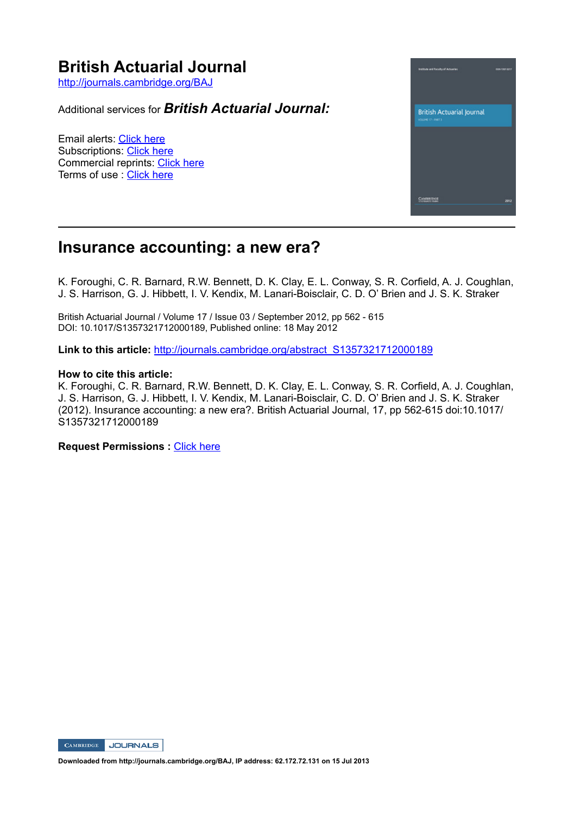# **British Actuarial Journal**

http://journals.cambridge.org/BAJ

Additional services for *British Actuarial Journal:*

Email alerts: Click here Subscriptions: Click here Commercial reprints: Click here Terms of use : Click here



# **Insurance accounting: a new era?**

K. Foroughi, C. R. Barnard, R.W. Bennett, D. K. Clay, E. L. Conway, S. R. Corfield, A. J. Coughlan, J. S. Harrison, G. J. Hibbett, I. V. Kendix, M. Lanari-Boisclair, C. D. O' Brien and J. S. K. Straker

British Actuarial Journal / Volume 17 / Issue 03 / September 2012, pp 562 - 615 DOI: 10.1017/S1357321712000189, Published online: 18 May 2012

**Link to this article:** http://journals.cambridge.org/abstract\_S1357321712000189

#### **How to cite this article:**

K. Foroughi, C. R. Barnard, R.W. Bennett, D. K. Clay, E. L. Conway, S. R. Corfield, A. J. Coughlan, J. S. Harrison, G. J. Hibbett, I. V. Kendix, M. Lanari-Boisclair, C. D. O' Brien and J. S. K. Straker (2012). Insurance accounting: a new era?. British Actuarial Journal, 17, pp 562-615 doi:10.1017/ S1357321712000189

**Request Permissions : Click here** 



**Downloaded from http://journals.cambridge.org/BAJ, IP address: 62.172.72.131 on 15 Jul 2013**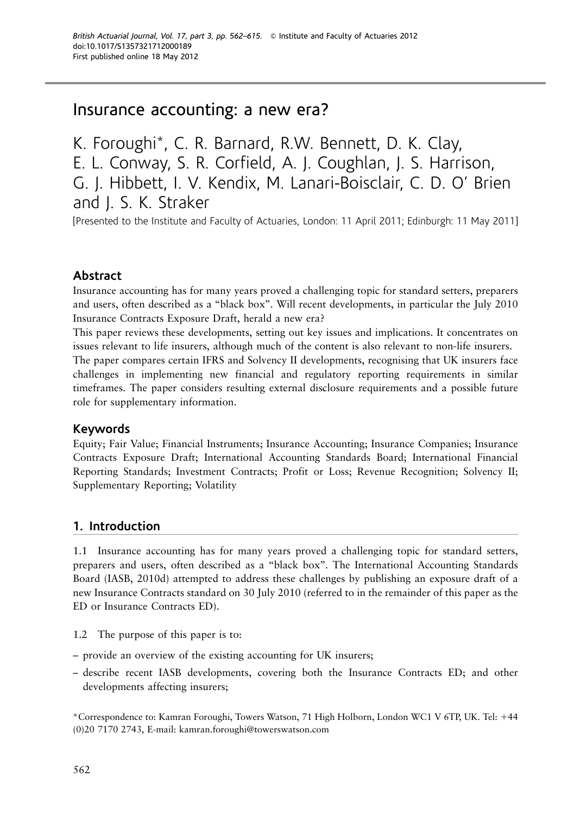# Insurance accounting: a new era?

K. Foroughi\*, C. R. Barnard, R.W. Bennett, D. K. Clay, E. L. Conway, S. R. Corfield, A. J. Coughlan, J. S. Harrison, G. J. Hibbett, I. V. Kendix, M. Lanari-Boisclair, C. D. O' Brien and J. S. K. Straker

[Presented to the Institute and Faculty of Actuaries, London: 11 April 2011; Edinburgh: 11 May 2011]

### Abstract

Insurance accounting has for many years proved a challenging topic for standard setters, preparers and users, often described as a ''black box''. Will recent developments, in particular the July 2010 Insurance Contracts Exposure Draft, herald a new era?

This paper reviews these developments, setting out key issues and implications. It concentrates on issues relevant to life insurers, although much of the content is also relevant to non-life insurers.

The paper compares certain IFRS and Solvency II developments, recognising that UK insurers face challenges in implementing new financial and regulatory reporting requirements in similar timeframes. The paper considers resulting external disclosure requirements and a possible future role for supplementary information.

#### Keywords

Equity; Fair Value; Financial Instruments; Insurance Accounting; Insurance Companies; Insurance Contracts Exposure Draft; International Accounting Standards Board; International Financial Reporting Standards; Investment Contracts; Profit or Loss; Revenue Recognition; Solvency II; Supplementary Reporting; Volatility

### 1. Introduction

1.1 Insurance accounting has for many years proved a challenging topic for standard setters, preparers and users, often described as a ''black box''. The International Accounting Standards Board (IASB, [2010d\)](#page-50-0) attempted to address these challenges by publishing an exposure draft of a new Insurance Contracts standard on 30 July 2010 (referred to in the remainder of this paper as the ED or Insurance Contracts ED).

- 1.2 The purpose of this paper is to:
- provide an overview of the existing accounting for UK insurers;
- describe recent IASB developments, covering both the Insurance Contracts ED; and other developments affecting insurers;

\*Correspondence to: Kamran Foroughi, Towers Watson, 71 High Holborn, London WC1 V 6TP, UK. Tel: 144 (0)20 7170 2743, E-mail: kamran.foroughi@towerswatson.com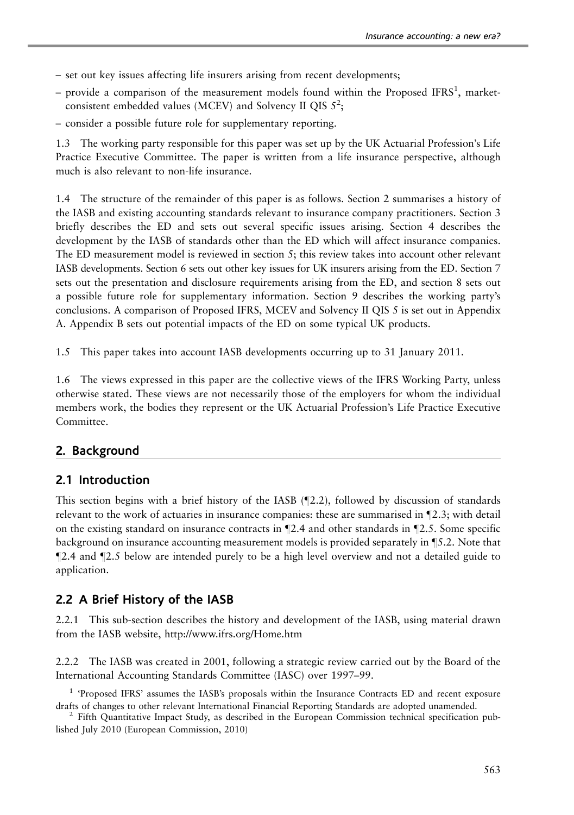- set out key issues affecting life insurers arising from recent developments;
- $-$  provide a comparison of the measurement models found within the Proposed IFRS<sup>1</sup>, marketconsistent embedded values (MCEV) and Solvency II QIS  $5^2$ ;
- consider a possible future role for supplementary reporting.

1.3 The working party responsible for this paper was set up by the UK Actuarial Profession's Life Practice Executive Committee. The paper is written from a life insurance perspective, although much is also relevant to non-life insurance.

1.4 The structure of the remainder of this paper is as follows. Section 2 summarises a history of the IASB and existing accounting standards relevant to insurance company practitioners. Section 3 briefly describes the ED and sets out several specific issues arising. Section 4 describes the development by the IASB of standards other than the ED which will affect insurance companies. The ED measurement model is reviewed in section 5; this review takes into account other relevant IASB developments. Section 6 sets out other key issues for UK insurers arising from the ED. Section 7 sets out the presentation and disclosure requirements arising from the ED, and section 8 sets out a possible future role for supplementary information. Section 9 describes the working party's conclusions. A comparison of Proposed IFRS, MCEV and Solvency II QIS 5 is set out in Appendix A. Appendix B sets out potential impacts of the ED on some typical UK products.

1.5 This paper takes into account IASB developments occurring up to 31 January 2011.

1.6 The views expressed in this paper are the collective views of the IFRS Working Party, unless otherwise stated. These views are not necessarily those of the employers for whom the individual members work, the bodies they represent or the UK Actuarial Profession's Life Practice Executive Committee.

#### 2. Background

#### 2.1 Introduction

This section begins with a brief history of the IASB  $(2.2)$ , followed by discussion of standards relevant to the work of actuaries in insurance companies: these are summarised in  $\mathbb{Z}$ .3; with detail on the existing standard on insurance contracts in  $\P$ 2.4 and other standards in  $\P$ 2.5. Some specific background on insurance accounting measurement models is provided separately in  $\S$ 5.2. Note that  $\mathbb{Z}2.4$  and  $\mathbb{Z}2.5$  below are intended purely to be a high level overview and not a detailed guide to application.

#### 2.2 A Brief History of the IASB

2.2.1 This sub-section describes the history and development of the IASB, using material drawn from the IASB website, http://www.ifrs.org/Home.htm

2.2.2 The IASB was created in 2001, following a strategic review carried out by the Board of the International Accounting Standards Committee (IASC) over 1997–99.

<sup>1</sup> 'Proposed IFRS' assumes the IASB's proposals within the Insurance Contracts ED and recent exposure drafts of changes to other relevant International Financial Reporting Standards are adopted unamended.<br><sup>2</sup> Fifth Quantitative Impact Study, as described in the European Commission technical specification pub-

lished July 2010 (European Commission, [2010](#page-49-0))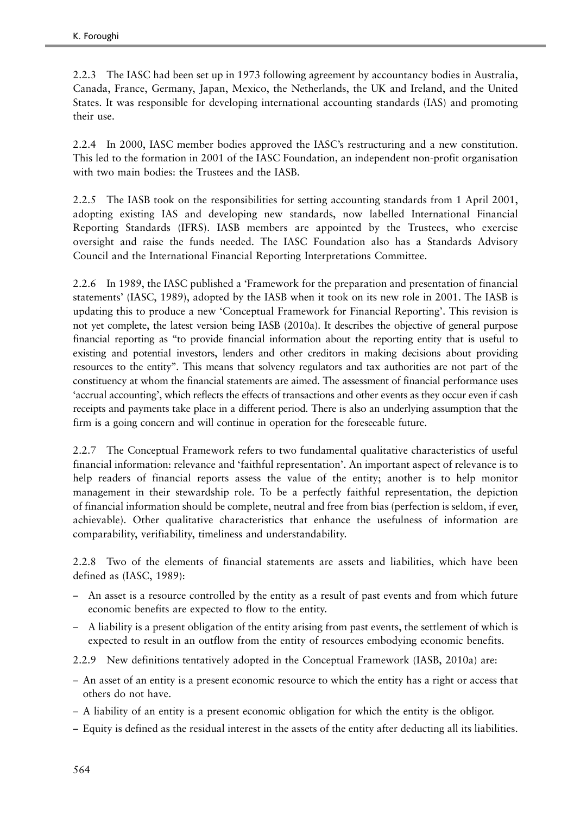2.2.3 The IASC had been set up in 1973 following agreement by accountancy bodies in Australia, Canada, France, Germany, Japan, Mexico, the Netherlands, the UK and Ireland, and the United States. It was responsible for developing international accounting standards (IAS) and promoting their use.

2.2.4 In 2000, IASC member bodies approved the IASC's restructuring and a new constitution. This led to the formation in 2001 of the IASC Foundation, an independent non-profit organisation with two main bodies: the Trustees and the IASB.

2.2.5 The IASB took on the responsibilities for setting accounting standards from 1 April 2001, adopting existing IAS and developing new standards, now labelled International Financial Reporting Standards (IFRS). IASB members are appointed by the Trustees, who exercise oversight and raise the funds needed. The IASC Foundation also has a Standards Advisory Council and the International Financial Reporting Interpretations Committee.

2.2.6 In 1989, the IASC published a 'Framework for the preparation and presentation of financial statements' (IASC, [1989](#page-51-0)), adopted by the IASB when it took on its new role in 2001. The IASB is updating this to produce a new 'Conceptual Framework for Financial Reporting'. This revision is not yet complete, the latest version being IASB [\(2010a](#page-50-0)). It describes the objective of general purpose financial reporting as ''to provide financial information about the reporting entity that is useful to existing and potential investors, lenders and other creditors in making decisions about providing resources to the entity''. This means that solvency regulators and tax authorities are not part of the constituency at whom the financial statements are aimed. The assessment of financial performance uses 'accrual accounting', which reflects the effects of transactions and other events as they occur even if cash receipts and payments take place in a different period. There is also an underlying assumption that the firm is a going concern and will continue in operation for the foreseeable future.

2.2.7 The Conceptual Framework refers to two fundamental qualitative characteristics of useful financial information: relevance and 'faithful representation'. An important aspect of relevance is to help readers of financial reports assess the value of the entity; another is to help monitor management in their stewardship role. To be a perfectly faithful representation, the depiction of financial information should be complete, neutral and free from bias (perfection is seldom, if ever, achievable). Other qualitative characteristics that enhance the usefulness of information are comparability, verifiability, timeliness and understandability.

2.2.8 Two of the elements of financial statements are assets and liabilities, which have been defined as (IASC, [1989\)](#page-51-0):

- An asset is a resource controlled by the entity as a result of past events and from which future economic benefits are expected to flow to the entity.
- A liability is a present obligation of the entity arising from past events, the settlement of which is expected to result in an outflow from the entity of resources embodying economic benefits.

2.2.9 New definitions tentatively adopted in the Conceptual Framework (IASB, [2010a](#page-50-0)) are:

- An asset of an entity is a present economic resource to which the entity has a right or access that others do not have.
- A liability of an entity is a present economic obligation for which the entity is the obligor.
- Equity is defined as the residual interest in the assets of the entity after deducting all its liabilities.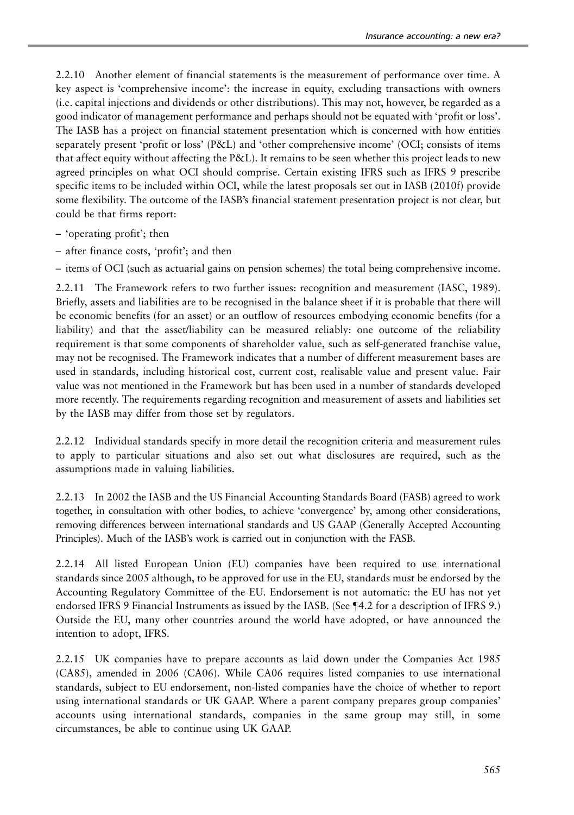2.2.10 Another element of financial statements is the measurement of performance over time. A key aspect is 'comprehensive income': the increase in equity, excluding transactions with owners (i.e. capital injections and dividends or other distributions). This may not, however, be regarded as a good indicator of management performance and perhaps should not be equated with 'profit or loss'. The IASB has a project on financial statement presentation which is concerned with how entities separately present 'profit or loss' (P&L) and 'other comprehensive income' (OCI; consists of items that affect equity without affecting the P&L). It remains to be seen whether this project leads to new agreed principles on what OCI should comprise. Certain existing IFRS such as IFRS 9 prescribe specific items to be included within OCI, while the latest proposals set out in IASB ([2010f\)](#page-50-0) provide some flexibility. The outcome of the IASB's financial statement presentation project is not clear, but could be that firms report:

- 'operating profit'; then
- after finance costs, 'profit'; and then

– items of OCI (such as actuarial gains on pension schemes) the total being comprehensive income.

2.2.11 The Framework refers to two further issues: recognition and measurement (IASC, [1989\)](#page-51-0). Briefly, assets and liabilities are to be recognised in the balance sheet if it is probable that there will be economic benefits (for an asset) or an outflow of resources embodying economic benefits (for a liability) and that the asset/liability can be measured reliably: one outcome of the reliability requirement is that some components of shareholder value, such as self-generated franchise value, may not be recognised. The Framework indicates that a number of different measurement bases are used in standards, including historical cost, current cost, realisable value and present value. Fair value was not mentioned in the Framework but has been used in a number of standards developed more recently. The requirements regarding recognition and measurement of assets and liabilities set by the IASB may differ from those set by regulators.

2.2.12 Individual standards specify in more detail the recognition criteria and measurement rules to apply to particular situations and also set out what disclosures are required, such as the assumptions made in valuing liabilities.

2.2.13 In 2002 the IASB and the US Financial Accounting Standards Board (FASB) agreed to work together, in consultation with other bodies, to achieve 'convergence' by, among other considerations, removing differences between international standards and US GAAP (Generally Accepted Accounting Principles). Much of the IASB's work is carried out in conjunction with the FASB.

2.2.14 All listed European Union (EU) companies have been required to use international standards since 2005 although, to be approved for use in the EU, standards must be endorsed by the Accounting Regulatory Committee of the EU. Endorsement is not automatic: the EU has not yet endorsed IFRS 9 Financial Instruments as issued by the IASB. (See ¶4.2 for a description of IFRS 9.) Outside the EU, many other countries around the world have adopted, or have announced the intention to adopt, IFRS.

2.2.15 UK companies have to prepare accounts as laid down under the Companies Act 1985 (CA85), amended in 2006 (CA06). While CA06 requires listed companies to use international standards, subject to EU endorsement, non-listed companies have the choice of whether to report using international standards or UK GAAP. Where a parent company prepares group companies' accounts using international standards, companies in the same group may still, in some circumstances, be able to continue using UK GAAP.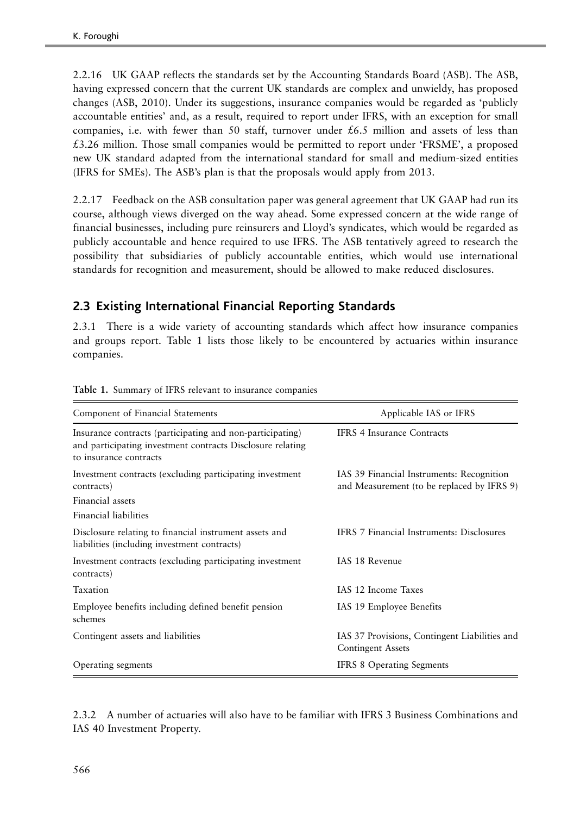2.2.16 UK GAAP reflects the standards set by the Accounting Standards Board (ASB). The ASB, having expressed concern that the current UK standards are complex and unwieldy, has proposed changes (ASB, [2010\)](#page-48-0). Under its suggestions, insurance companies would be regarded as 'publicly accountable entities' and, as a result, required to report under IFRS, with an exception for small companies, i.e. with fewer than 50 staff, turnover under  $£6.5$  million and assets of less than £3.26 million. Those small companies would be permitted to report under 'FRSME', a proposed new UK standard adapted from the international standard for small and medium-sized entities (IFRS for SMEs). The ASB's plan is that the proposals would apply from 2013.

2.2.17 Feedback on the ASB consultation paper was general agreement that UK GAAP had run its course, although views diverged on the way ahead. Some expressed concern at the wide range of financial businesses, including pure reinsurers and Lloyd's syndicates, which would be regarded as publicly accountable and hence required to use IFRS. The ASB tentatively agreed to research the possibility that subsidiaries of publicly accountable entities, which would use international standards for recognition and measurement, should be allowed to make reduced disclosures.

## 2.3 Existing International Financial Reporting Standards

2.3.1 There is a wide variety of accounting standards which affect how insurance companies and groups report. Table 1 lists those likely to be encountered by actuaries within insurance companies.

| Component of Financial Statements                                                                                                                 | Applicable IAS or IFRS                                                                  |
|---------------------------------------------------------------------------------------------------------------------------------------------------|-----------------------------------------------------------------------------------------|
| Insurance contracts (participating and non-participating)<br>and participating investment contracts Disclosure relating<br>to insurance contracts | <b>IFRS 4 Insurance Contracts</b>                                                       |
| Investment contracts (excluding participating investment<br>contracts)                                                                            | IAS 39 Financial Instruments: Recognition<br>and Measurement (to be replaced by IFRS 9) |
| Financial assets                                                                                                                                  |                                                                                         |
| Financial liabilities                                                                                                                             |                                                                                         |
| Disclosure relating to financial instrument assets and<br>liabilities (including investment contracts)                                            | IFRS 7 Financial Instruments: Disclosures                                               |
| Investment contracts (excluding participating investment<br>contracts)                                                                            | IAS 18 Revenue                                                                          |
| Taxation                                                                                                                                          | IAS 12 Income Taxes                                                                     |
| Employee benefits including defined benefit pension<br>schemes                                                                                    | IAS 19 Employee Benefits                                                                |
| Contingent assets and liabilities                                                                                                                 | IAS 37 Provisions, Contingent Liabilities and<br><b>Contingent Assets</b>               |
| Operating segments                                                                                                                                | <b>IFRS 8 Operating Segments</b>                                                        |

Table 1. Summary of IFRS relevant to insurance companies

2.3.2 A number of actuaries will also have to be familiar with IFRS 3 Business Combinations and IAS 40 Investment Property.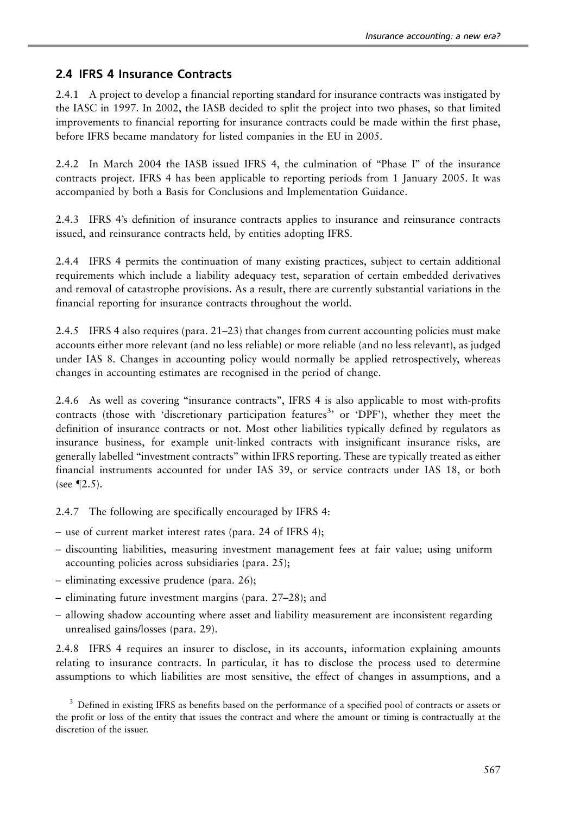#### 2.4 IFRS 4 Insurance Contracts

2.4.1 A project to develop a financial reporting standard for insurance contracts was instigated by the IASC in 1997. In 2002, the IASB decided to split the project into two phases, so that limited improvements to financial reporting for insurance contracts could be made within the first phase, before IFRS became mandatory for listed companies in the EU in 2005.

2.4.2 In March 2004 the IASB issued IFRS 4, the culmination of ''Phase I'' of the insurance contracts project. IFRS 4 has been applicable to reporting periods from 1 January 2005. It was accompanied by both a Basis for Conclusions and Implementation Guidance.

2.4.3 IFRS 4's definition of insurance contracts applies to insurance and reinsurance contracts issued, and reinsurance contracts held, by entities adopting IFRS.

2.4.4 IFRS 4 permits the continuation of many existing practices, subject to certain additional requirements which include a liability adequacy test, separation of certain embedded derivatives and removal of catastrophe provisions. As a result, there are currently substantial variations in the financial reporting for insurance contracts throughout the world.

2.4.5 IFRS 4 also requires (para. 21–23) that changes from current accounting policies must make accounts either more relevant (and no less reliable) or more reliable (and no less relevant), as judged under IAS 8. Changes in accounting policy would normally be applied retrospectively, whereas changes in accounting estimates are recognised in the period of change.

2.4.6 As well as covering ''insurance contracts'', IFRS 4 is also applicable to most with-profits contracts (those with 'discretionary participation features<sup>3</sup>' or 'DPF'), whether they meet the definition of insurance contracts or not. Most other liabilities typically defined by regulators as insurance business, for example unit-linked contracts with insignificant insurance risks, are generally labelled ''investment contracts'' within IFRS reporting. These are typically treated as either financial instruments accounted for under IAS 39, or service contracts under IAS 18, or both (see  $\P$ 2.5).

2.4.7 The following are specifically encouraged by IFRS 4:

- use of current market interest rates (para. 24 of IFRS 4);
- discounting liabilities, measuring investment management fees at fair value; using uniform accounting policies across subsidiaries (para. 25);
- eliminating excessive prudence (para. 26);
- eliminating future investment margins (para. 27–28); and
- allowing shadow accounting where asset and liability measurement are inconsistent regarding unrealised gains/losses (para. 29).

2.4.8 IFRS 4 requires an insurer to disclose, in its accounts, information explaining amounts relating to insurance contracts. In particular, it has to disclose the process used to determine assumptions to which liabilities are most sensitive, the effect of changes in assumptions, and a

<sup>3</sup> Defined in existing IFRS as benefits based on the performance of a specified pool of contracts or assets or the profit or loss of the entity that issues the contract and where the amount or timing is contractually at the discretion of the issuer.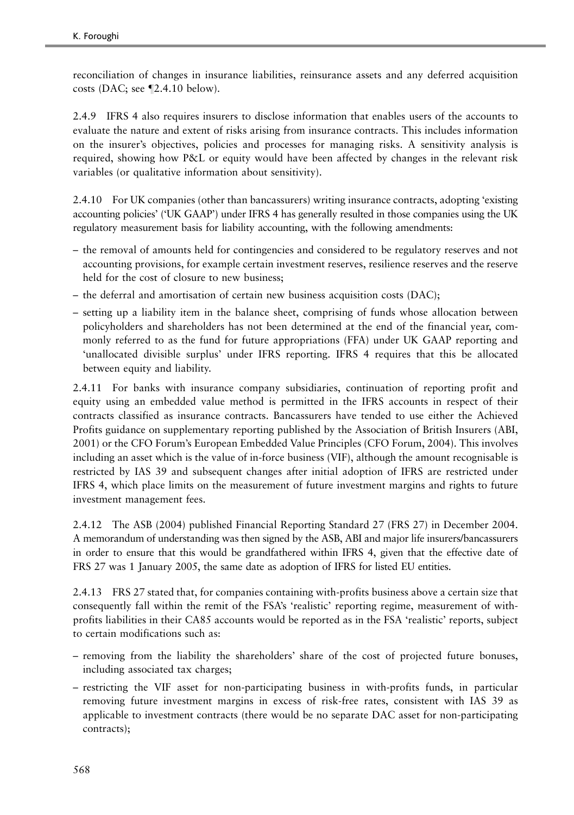reconciliation of changes in insurance liabilities, reinsurance assets and any deferred acquisition costs (DAC; see  $\P$ 2.4.10 below).

2.4.9 IFRS 4 also requires insurers to disclose information that enables users of the accounts to evaluate the nature and extent of risks arising from insurance contracts. This includes information on the insurer's objectives, policies and processes for managing risks. A sensitivity analysis is required, showing how P&L or equity would have been affected by changes in the relevant risk variables (or qualitative information about sensitivity).

2.4.10 For UK companies (other than bancassurers) writing insurance contracts, adopting 'existing accounting policies' ('UK GAAP') under IFRS 4 has generally resulted in those companies using the UK regulatory measurement basis for liability accounting, with the following amendments:

- the removal of amounts held for contingencies and considered to be regulatory reserves and not accounting provisions, for example certain investment reserves, resilience reserves and the reserve held for the cost of closure to new business;
- the deferral and amortisation of certain new business acquisition costs (DAC);
- setting up a liability item in the balance sheet, comprising of funds whose allocation between policyholders and shareholders has not been determined at the end of the financial year, commonly referred to as the fund for future appropriations (FFA) under UK GAAP reporting and 'unallocated divisible surplus' under IFRS reporting. IFRS 4 requires that this be allocated between equity and liability.

2.4.11 For banks with insurance company subsidiaries, continuation of reporting profit and equity using an embedded value method is permitted in the IFRS accounts in respect of their contracts classified as insurance contracts. Bancassurers have tended to use either the Achieved Profits guidance on supplementary reporting published by the Association of British Insurers (ABI, [2001\)](#page-48-0) or the CFO Forum's European Embedded Value Principles (CFO Forum, [2004](#page-48-0)). This involves including an asset which is the value of in-force business (VIF), although the amount recognisable is restricted by IAS 39 and subsequent changes after initial adoption of IFRS are restricted under IFRS 4, which place limits on the measurement of future investment margins and rights to future investment management fees.

2.4.12 The ASB ([2004\)](#page-48-0) published Financial Reporting Standard 27 (FRS 27) in December 2004. A memorandum of understanding was then signed by the ASB, ABI and major life insurers/bancassurers in order to ensure that this would be grandfathered within IFRS 4, given that the effective date of FRS 27 was 1 January 2005, the same date as adoption of IFRS for listed EU entities.

2.4.13 FRS 27 stated that, for companies containing with-profits business above a certain size that consequently fall within the remit of the FSA's 'realistic' reporting regime, measurement of withprofits liabilities in their CA85 accounts would be reported as in the FSA 'realistic' reports, subject to certain modifications such as:

- removing from the liability the shareholders' share of the cost of projected future bonuses, including associated tax charges;
- restricting the VIF asset for non-participating business in with-profits funds, in particular removing future investment margins in excess of risk-free rates, consistent with IAS 39 as applicable to investment contracts (there would be no separate DAC asset for non-participating contracts);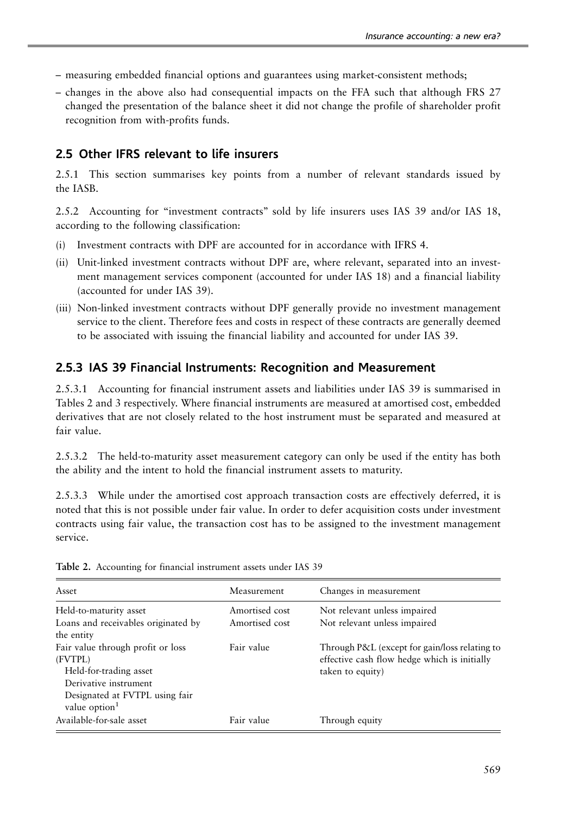- <span id="page-8-0"></span>– measuring embedded financial options and guarantees using market-consistent methods;
- changes in the above also had consequential impacts on the FFA such that although FRS 27 changed the presentation of the balance sheet it did not change the profile of shareholder profit recognition from with-profits funds.

#### 2.5 Other IFRS relevant to life insurers

2.5.1 This section summarises key points from a number of relevant standards issued by the IASB.

2.5.2 Accounting for ''investment contracts'' sold by life insurers uses IAS 39 and/or IAS 18, according to the following classification:

- (i) Investment contracts with DPF are accounted for in accordance with IFRS 4.
- (ii) Unit-linked investment contracts without DPF are, where relevant, separated into an investment management services component (accounted for under IAS 18) and a financial liability (accounted for under IAS 39).
- (iii) Non-linked investment contracts without DPF generally provide no investment management service to the client. Therefore fees and costs in respect of these contracts are generally deemed to be associated with issuing the financial liability and accounted for under IAS 39.

#### 2.5.3 IAS 39 Financial Instruments: Recognition and Measurement

2.5.3.1 Accounting for financial instrument assets and liabilities under IAS 39 is summarised in Tables 2 and [3](#page-9-0) respectively. Where financial instruments are measured at amortised cost, embedded derivatives that are not closely related to the host instrument must be separated and measured at fair value.

2.5.3.2 The held-to-maturity asset measurement category can only be used if the entity has both the ability and the intent to hold the financial instrument assets to maturity.

2.5.3.3 While under the amortised cost approach transaction costs are effectively deferred, it is noted that this is not possible under fair value. In order to defer acquisition costs under investment contracts using fair value, the transaction cost has to be assigned to the investment management service.

| Asset                                                       | Measurement    | Changes in measurement                        |
|-------------------------------------------------------------|----------------|-----------------------------------------------|
| Held-to-maturity asset                                      | Amortised cost | Not relevant unless impaired                  |
| Loans and receivables originated by                         | Amortised cost | Not relevant unless impaired                  |
| the entity                                                  |                |                                               |
| Fair value through profit or loss                           | Fair value     | Through P&L (except for gain/loss relating to |
| (FVTPL)                                                     |                | effective cash flow hedge which is initially  |
| Held-for-trading asset                                      |                | taken to equity)                              |
| Derivative instrument                                       |                |                                               |
| Designated at FVTPL using fair<br>value option <sup>1</sup> |                |                                               |
| Available-for-sale asset                                    | Fair value     | Through equity                                |

Table 2. Accounting for financial instrument assets under IAS 39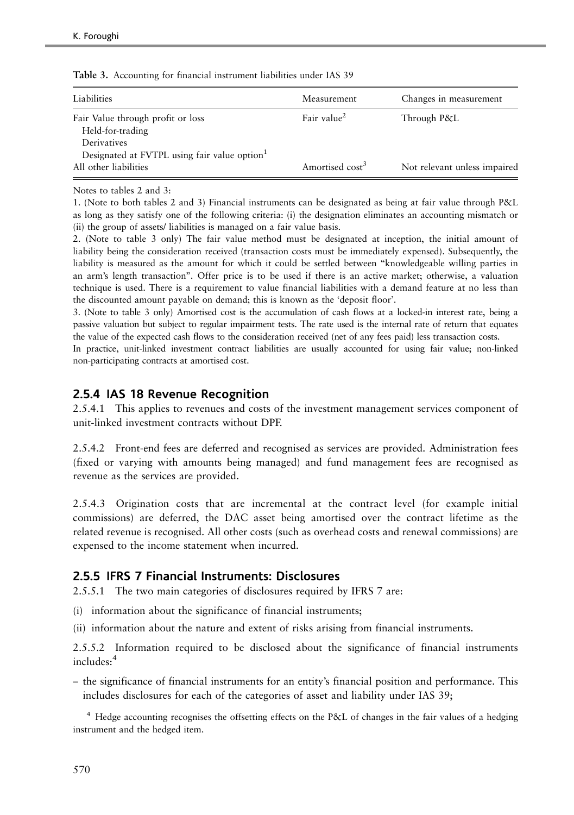| Liabilities                                                                                      | Measurement                 | Changes in measurement       |
|--------------------------------------------------------------------------------------------------|-----------------------------|------------------------------|
| Fair Value through profit or loss<br>Held-for-trading                                            | Fair value <sup>2</sup>     | Through P&L                  |
| Derivatives<br>Designated at FVTPL using fair value option <sup>1</sup><br>All other liabilities | Amortised cost <sup>3</sup> | Not relevant unless impaired |

<span id="page-9-0"></span>Table 3. Accounting for financial instrument liabilities under IAS 39

Notes to [tables 2](#page-8-0) and 3:

1. (Note to both [tables 2](#page-8-0) and 3) Financial instruments can be designated as being at fair value through P&L as long as they satisfy one of the following criteria: (i) the designation eliminates an accounting mismatch or (ii) the group of assets/ liabilities is managed on a fair value basis.

2. (Note to table 3 only) The fair value method must be designated at inception, the initial amount of liability being the consideration received (transaction costs must be immediately expensed). Subsequently, the liability is measured as the amount for which it could be settled between ''knowledgeable willing parties in an arm's length transaction''. Offer price is to be used if there is an active market; otherwise, a valuation technique is used. There is a requirement to value financial liabilities with a demand feature at no less than the discounted amount payable on demand; this is known as the 'deposit floor'.

3. (Note to table 3 only) Amortised cost is the accumulation of cash flows at a locked-in interest rate, being a passive valuation but subject to regular impairment tests. The rate used is the internal rate of return that equates the value of the expected cash flows to the consideration received (net of any fees paid) less transaction costs.

In practice, unit-linked investment contract liabilities are usually accounted for using fair value; non-linked non-participating contracts at amortised cost.

#### 2.5.4 IAS 18 Revenue Recognition

2.5.4.1 This applies to revenues and costs of the investment management services component of unit-linked investment contracts without DPF.

2.5.4.2 Front-end fees are deferred and recognised as services are provided. Administration fees (fixed or varying with amounts being managed) and fund management fees are recognised as revenue as the services are provided.

2.5.4.3 Origination costs that are incremental at the contract level (for example initial commissions) are deferred, the DAC asset being amortised over the contract lifetime as the related revenue is recognised. All other costs (such as overhead costs and renewal commissions) are expensed to the income statement when incurred.

#### 2.5.5 IFRS 7 Financial Instruments: Disclosures

2.5.5.1 The two main categories of disclosures required by IFRS 7 are:

- (i) information about the significance of financial instruments;
- (ii) information about the nature and extent of risks arising from financial instruments.

2.5.5.2 Information required to be disclosed about the significance of financial instruments includes:<sup>4</sup>

– the significance of financial instruments for an entity's financial position and performance. This includes disclosures for each of the categories of asset and liability under IAS 39;

<sup>4</sup> Hedge accounting recognises the offsetting effects on the P&L of changes in the fair values of a hedging instrument and the hedged item.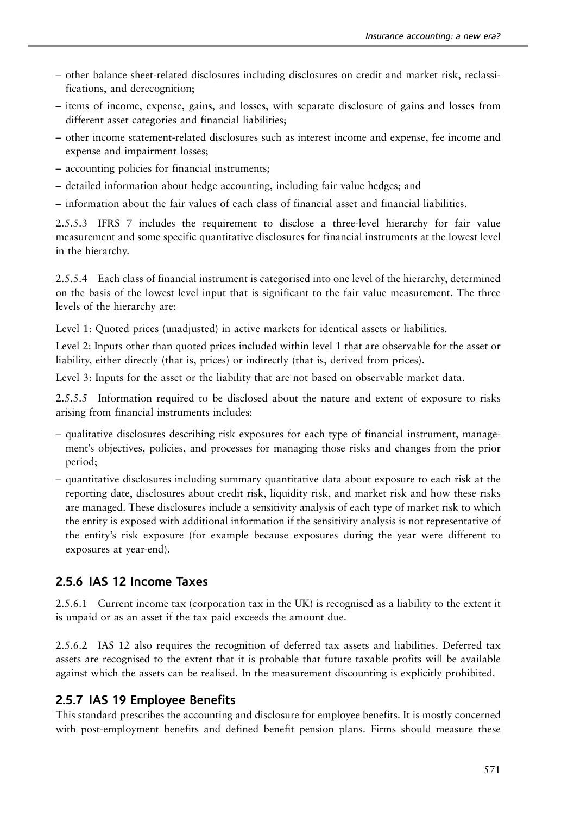- other balance sheet-related disclosures including disclosures on credit and market risk, reclassifications, and derecognition;
- items of income, expense, gains, and losses, with separate disclosure of gains and losses from different asset categories and financial liabilities;
- other income statement-related disclosures such as interest income and expense, fee income and expense and impairment losses;
- accounting policies for financial instruments;
- detailed information about hedge accounting, including fair value hedges; and
- information about the fair values of each class of financial asset and financial liabilities.

2.5.5.3 IFRS 7 includes the requirement to disclose a three-level hierarchy for fair value measurement and some specific quantitative disclosures for financial instruments at the lowest level in the hierarchy.

2.5.5.4 Each class of financial instrument is categorised into one level of the hierarchy, determined on the basis of the lowest level input that is significant to the fair value measurement. The three levels of the hierarchy are:

Level 1: Quoted prices (unadjusted) in active markets for identical assets or liabilities.

Level 2: Inputs other than quoted prices included within level 1 that are observable for the asset or liability, either directly (that is, prices) or indirectly (that is, derived from prices).

Level 3: Inputs for the asset or the liability that are not based on observable market data.

2.5.5.5 Information required to be disclosed about the nature and extent of exposure to risks arising from financial instruments includes:

- qualitative disclosures describing risk exposures for each type of financial instrument, management's objectives, policies, and processes for managing those risks and changes from the prior period;
- quantitative disclosures including summary quantitative data about exposure to each risk at the reporting date, disclosures about credit risk, liquidity risk, and market risk and how these risks are managed. These disclosures include a sensitivity analysis of each type of market risk to which the entity is exposed with additional information if the sensitivity analysis is not representative of the entity's risk exposure (for example because exposures during the year were different to exposures at year-end).

### 2.5.6 IAS 12 Income Taxes

2.5.6.1 Current income tax (corporation tax in the UK) is recognised as a liability to the extent it is unpaid or as an asset if the tax paid exceeds the amount due.

2.5.6.2 IAS 12 also requires the recognition of deferred tax assets and liabilities. Deferred tax assets are recognised to the extent that it is probable that future taxable profits will be available against which the assets can be realised. In the measurement discounting is explicitly prohibited.

### 2.5.7 IAS 19 Employee Benefits

This standard prescribes the accounting and disclosure for employee benefits. It is mostly concerned with post-employment benefits and defined benefit pension plans. Firms should measure these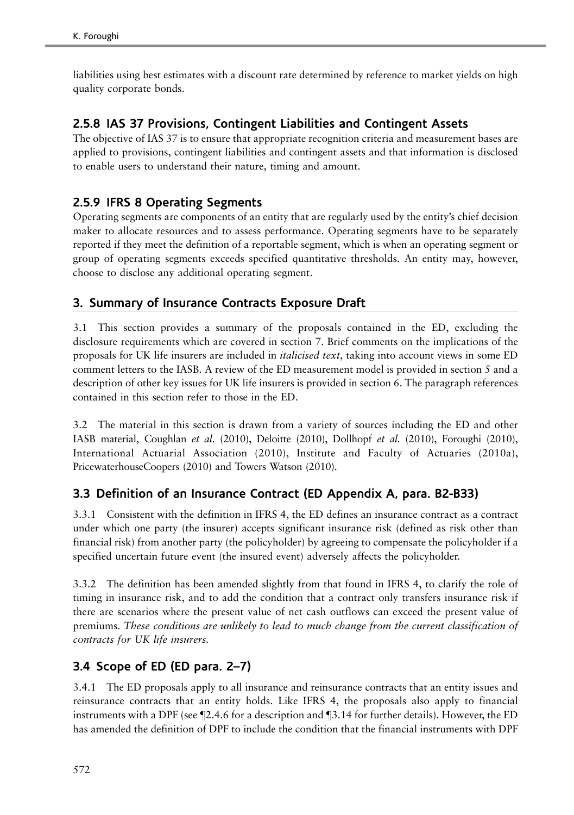liabilities using best estimates with a discount rate determined by reference to market yields on high quality corporate bonds.

### 2.5.8 IAS 37 Provisions, Contingent Liabilities and Contingent Assets

The objective of IAS 37 is to ensure that appropriate recognition criteria and measurement bases are applied to provisions, contingent liabilities and contingent assets and that information is disclosed to enable users to understand their nature, timing and amount.

### 2.5.9 IFRS 8 Operating Segments

Operating segments are components of an entity that are regularly used by the entity's chief decision maker to allocate resources and to assess performance. Operating segments have to be separately reported if they meet the definition of a reportable segment, which is when an operating segment or group of operating segments exceeds specified quantitative thresholds. An entity may, however, choose to disclose any additional operating segment.

### 3. Summary of Insurance Contracts Exposure Draft

3.1 This section provides a summary of the proposals contained in the ED, excluding the disclosure requirements which are covered in section 7. Brief comments on the implications of the proposals for UK life insurers are included in italicised text, taking into account views in some ED comment letters to the IASB. A review of the ED measurement model is provided in section 5 and a description of other key issues for UK life insurers is provided in section 6. The paragraph references contained in this section refer to those in the ED.

3.2 The material in this section is drawn from a variety of sources including the ED and other IASB material, Coughlan et al. [\(2010](#page-49-0)), Deloitte [\(2010](#page-49-0)), Dollhopf et al. [\(2010](#page-49-0)), Foroughi [\(2010\)](#page-49-0), International Actuarial Association ([2010\)](#page-51-0), Institute and Faculty of Actuaries [\(2010a\)](#page-49-0), PricewaterhouseCoopers [\(2010](#page-51-0)) and Towers Watson [\(2010\)](#page-51-0).

### 3.3 Definition of an Insurance Contract (ED Appendix A, para. B2-B33)

3.3.1 Consistent with the definition in IFRS 4, the ED defines an insurance contract as a contract under which one party (the insurer) accepts significant insurance risk (defined as risk other than financial risk) from another party (the policyholder) by agreeing to compensate the policyholder if a specified uncertain future event (the insured event) adversely affects the policyholder.

3.3.2 The definition has been amended slightly from that found in IFRS 4, to clarify the role of timing in insurance risk, and to add the condition that a contract only transfers insurance risk if there are scenarios where the present value of net cash outflows can exceed the present value of premiums. These conditions are unlikely to lead to much change from the current classification of contracts for UK life insurers.

### 3.4 Scope of ED (ED para. 2–7)

3.4.1 The ED proposals apply to all insurance and reinsurance contracts that an entity issues and reinsurance contracts that an entity holds. Like IFRS 4, the proposals also apply to financial instruments with a DPF (see  $\P$ 2.4.6 for a description and  $\P$ 3.14 for further details). However, the ED has amended the definition of DPF to include the condition that the financial instruments with DPF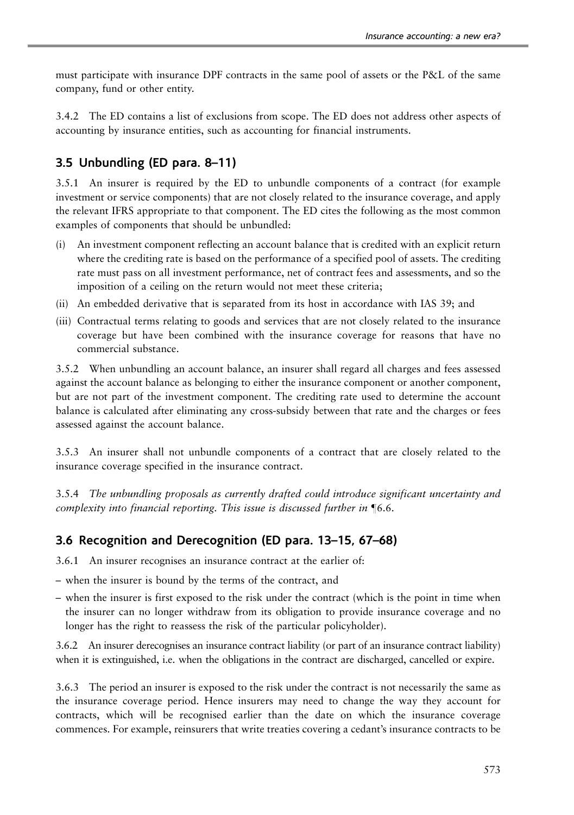must participate with insurance DPF contracts in the same pool of assets or the P&L of the same company, fund or other entity.

3.4.2 The ED contains a list of exclusions from scope. The ED does not address other aspects of accounting by insurance entities, such as accounting for financial instruments.

#### 3.5 Unbundling (ED para. 8–11)

3.5.1 An insurer is required by the ED to unbundle components of a contract (for example investment or service components) that are not closely related to the insurance coverage, and apply the relevant IFRS appropriate to that component. The ED cites the following as the most common examples of components that should be unbundled:

- (i) An investment component reflecting an account balance that is credited with an explicit return where the crediting rate is based on the performance of a specified pool of assets. The crediting rate must pass on all investment performance, net of contract fees and assessments, and so the imposition of a ceiling on the return would not meet these criteria;
- (ii) An embedded derivative that is separated from its host in accordance with IAS 39; and
- (iii) Contractual terms relating to goods and services that are not closely related to the insurance coverage but have been combined with the insurance coverage for reasons that have no commercial substance.

3.5.2 When unbundling an account balance, an insurer shall regard all charges and fees assessed against the account balance as belonging to either the insurance component or another component, but are not part of the investment component. The crediting rate used to determine the account balance is calculated after eliminating any cross-subsidy between that rate and the charges or fees assessed against the account balance.

3.5.3 An insurer shall not unbundle components of a contract that are closely related to the insurance coverage specified in the insurance contract.

3.5.4 The unbundling proposals as currently drafted could introduce significant uncertainty and complexity into financial reporting. This issue is discussed further in  $\P6.6$ .

#### 3.6 Recognition and Derecognition (ED para. 13–15, 67–68)

3.6.1 An insurer recognises an insurance contract at the earlier of:

- when the insurer is bound by the terms of the contract, and
- when the insurer is first exposed to the risk under the contract (which is the point in time when the insurer can no longer withdraw from its obligation to provide insurance coverage and no longer has the right to reassess the risk of the particular policyholder).

3.6.2 An insurer derecognises an insurance contract liability (or part of an insurance contract liability) when it is extinguished, i.e. when the obligations in the contract are discharged, cancelled or expire.

3.6.3 The period an insurer is exposed to the risk under the contract is not necessarily the same as the insurance coverage period. Hence insurers may need to change the way they account for contracts, which will be recognised earlier than the date on which the insurance coverage commences. For example, reinsurers that write treaties covering a cedant's insurance contracts to be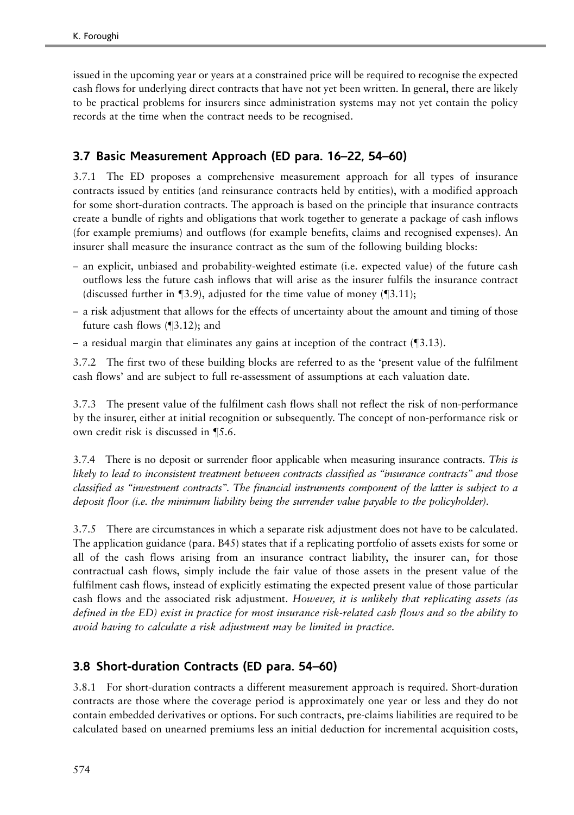issued in the upcoming year or years at a constrained price will be required to recognise the expected cash flows for underlying direct contracts that have not yet been written. In general, there are likely to be practical problems for insurers since administration systems may not yet contain the policy records at the time when the contract needs to be recognised.

## 3.7 Basic Measurement Approach (ED para. 16–22, 54–60)

3.7.1 The ED proposes a comprehensive measurement approach for all types of insurance contracts issued by entities (and reinsurance contracts held by entities), with a modified approach for some short-duration contracts. The approach is based on the principle that insurance contracts create a bundle of rights and obligations that work together to generate a package of cash inflows (for example premiums) and outflows (for example benefits, claims and recognised expenses). An insurer shall measure the insurance contract as the sum of the following building blocks:

- an explicit, unbiased and probability-weighted estimate (i.e. expected value) of the future cash outflows less the future cash inflows that will arise as the insurer fulfils the insurance contract (discussed further in  $\P$ 3.9), adjusted for the time value of money ( $\P$ 3.11);
- a risk adjustment that allows for the effects of uncertainty about the amount and timing of those future cash flows  $(\sqrt{3.12})$ ; and
- a residual margin that eliminates any gains at inception of the contract  $(\text{\textdegree{3.13}})$ .

3.7.2 The first two of these building blocks are referred to as the 'present value of the fulfilment cash flows' and are subject to full re-assessment of assumptions at each valuation date.

3.7.3 The present value of the fulfilment cash flows shall not reflect the risk of non-performance by the insurer, either at initial recognition or subsequently. The concept of non-performance risk or own credit risk is discussed in  $\P$ 5.6.

3.7.4 There is no deposit or surrender floor applicable when measuring insurance contracts. This is likely to lead to inconsistent treatment between contracts classified as ''insurance contracts'' and those classified as ''investment contracts''. The financial instruments component of the latter is subject to a deposit floor (i.e. the minimum liability being the surrender value payable to the policyholder).

3.7.5 There are circumstances in which a separate risk adjustment does not have to be calculated. The application guidance (para. B45) states that if a replicating portfolio of assets exists for some or all of the cash flows arising from an insurance contract liability, the insurer can, for those contractual cash flows, simply include the fair value of those assets in the present value of the fulfilment cash flows, instead of explicitly estimating the expected present value of those particular cash flows and the associated risk adjustment. However, it is unlikely that replicating assets (as defined in the ED) exist in practice for most insurance risk-related cash flows and so the ability to avoid having to calculate a risk adjustment may be limited in practice.

### 3.8 Short-duration Contracts (ED para. 54–60)

3.8.1 For short-duration contracts a different measurement approach is required. Short-duration contracts are those where the coverage period is approximately one year or less and they do not contain embedded derivatives or options. For such contracts, pre-claims liabilities are required to be calculated based on unearned premiums less an initial deduction for incremental acquisition costs,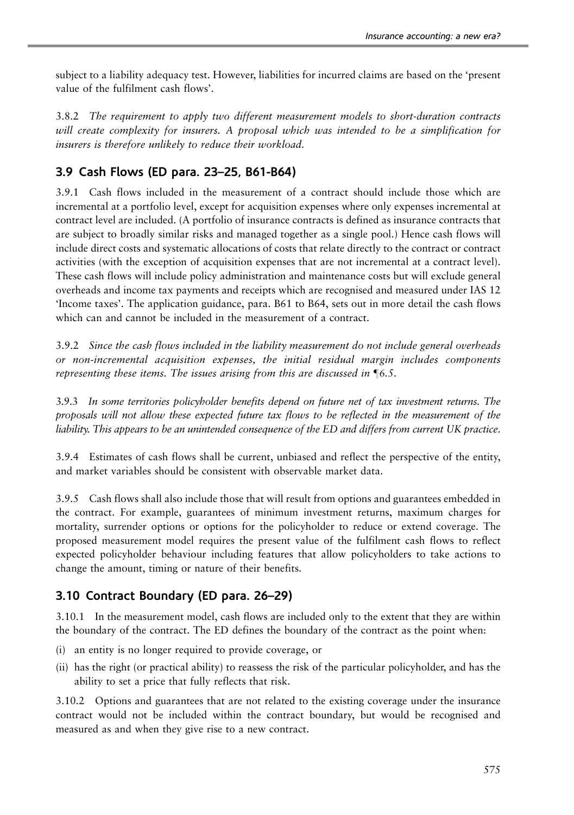subject to a liability adequacy test. However, liabilities for incurred claims are based on the 'present value of the fulfilment cash flows'.

3.8.2 The requirement to apply two different measurement models to short-duration contracts will create complexity for insurers. A proposal which was intended to be a simplification for insurers is therefore unlikely to reduce their workload.

### 3.9 Cash Flows (ED para. 23–25, B61-B64)

3.9.1 Cash flows included in the measurement of a contract should include those which are incremental at a portfolio level, except for acquisition expenses where only expenses incremental at contract level are included. (A portfolio of insurance contracts is defined as insurance contracts that are subject to broadly similar risks and managed together as a single pool.) Hence cash flows will include direct costs and systematic allocations of costs that relate directly to the contract or contract activities (with the exception of acquisition expenses that are not incremental at a contract level). These cash flows will include policy administration and maintenance costs but will exclude general overheads and income tax payments and receipts which are recognised and measured under IAS 12 'Income taxes'. The application guidance, para. B61 to B64, sets out in more detail the cash flows which can and cannot be included in the measurement of a contract.

3.9.2 Since the cash flows included in the liability measurement do not include general overheads or non-incremental acquisition expenses, the initial residual margin includes components representing these items. The issues arising from this are discussed in  $\P6.5$ .

3.9.3 In some territories policyholder benefits depend on future net of tax investment returns. The proposals will not allow these expected future tax flows to be reflected in the measurement of the liability. This appears to be an unintended consequence of the ED and differs from current UK practice.

3.9.4 Estimates of cash flows shall be current, unbiased and reflect the perspective of the entity, and market variables should be consistent with observable market data.

3.9.5 Cash flows shall also include those that will result from options and guarantees embedded in the contract. For example, guarantees of minimum investment returns, maximum charges for mortality, surrender options or options for the policyholder to reduce or extend coverage. The proposed measurement model requires the present value of the fulfilment cash flows to reflect expected policyholder behaviour including features that allow policyholders to take actions to change the amount, timing or nature of their benefits.

### 3.10 Contract Boundary (ED para. 26–29)

3.10.1 In the measurement model, cash flows are included only to the extent that they are within the boundary of the contract. The ED defines the boundary of the contract as the point when:

- (i) an entity is no longer required to provide coverage, or
- (ii) has the right (or practical ability) to reassess the risk of the particular policyholder, and has the ability to set a price that fully reflects that risk.

3.10.2 Options and guarantees that are not related to the existing coverage under the insurance contract would not be included within the contract boundary, but would be recognised and measured as and when they give rise to a new contract.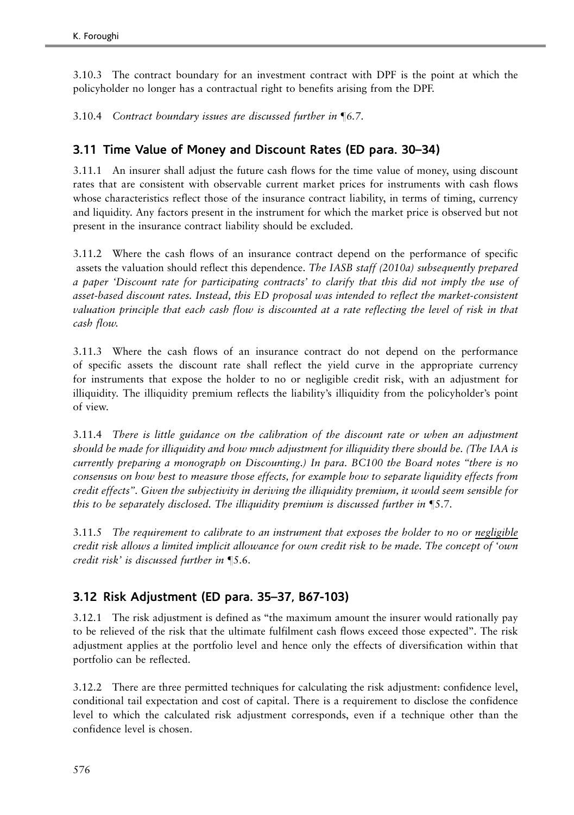3.10.3 The contract boundary for an investment contract with DPF is the point at which the policyholder no longer has a contractual right to benefits arising from the DPF.

3.10.4 Contract boundary issues are discussed further in  $\P6.7$ .

### 3.11 Time Value of Money and Discount Rates (ED para. 30–34)

3.11.1 An insurer shall adjust the future cash flows for the time value of money, using discount rates that are consistent with observable current market prices for instruments with cash flows whose characteristics reflect those of the insurance contract liability, in terms of timing, currency and liquidity. Any factors present in the instrument for which the market price is observed but not present in the insurance contract liability should be excluded.

3.11.2 Where the cash flows of an insurance contract depend on the performance of specific assets the valuation should reflect this dependence. The IASB staff ([2010a](#page-51-0)) subsequently prepared a paper 'Discount rate for participating contracts' to clarify that this did not imply the use of asset-based discount rates. Instead, this ED proposal was intended to reflect the market-consistent valuation principle that each cash flow is discounted at a rate reflecting the level of risk in that cash flow.

3.11.3 Where the cash flows of an insurance contract do not depend on the performance of specific assets the discount rate shall reflect the yield curve in the appropriate currency for instruments that expose the holder to no or negligible credit risk, with an adjustment for illiquidity. The illiquidity premium reflects the liability's illiquidity from the policyholder's point of view.

3.11.4 There is little guidance on the calibration of the discount rate or when an adjustment should be made for illiquidity and how much adjustment for illiquidity there should be. (The IAA is currently preparing a monograph on Discounting.) In para. BC100 the Board notes ''there is no consensus on how best to measure those effects, for example how to separate liquidity effects from credit effects''. Given the subjectivity in deriving the illiquidity premium, it would seem sensible for this to be separately disclosed. The illiquidity premium is discussed further in  $\mathbb{S}$ .7.

3.11.5 The requirement to calibrate to an instrument that exposes the holder to no or negligible credit risk allows a limited implicit allowance for own credit risk to be made. The concept of 'own credit risk' is discussed further in  $\P$ 5.6.

### 3.12 Risk Adjustment (ED para. 35–37, B67-103)

3.12.1 The risk adjustment is defined as ''the maximum amount the insurer would rationally pay to be relieved of the risk that the ultimate fulfilment cash flows exceed those expected''. The risk adjustment applies at the portfolio level and hence only the effects of diversification within that portfolio can be reflected.

3.12.2 There are three permitted techniques for calculating the risk adjustment: confidence level, conditional tail expectation and cost of capital. There is a requirement to disclose the confidence level to which the calculated risk adjustment corresponds, even if a technique other than the confidence level is chosen.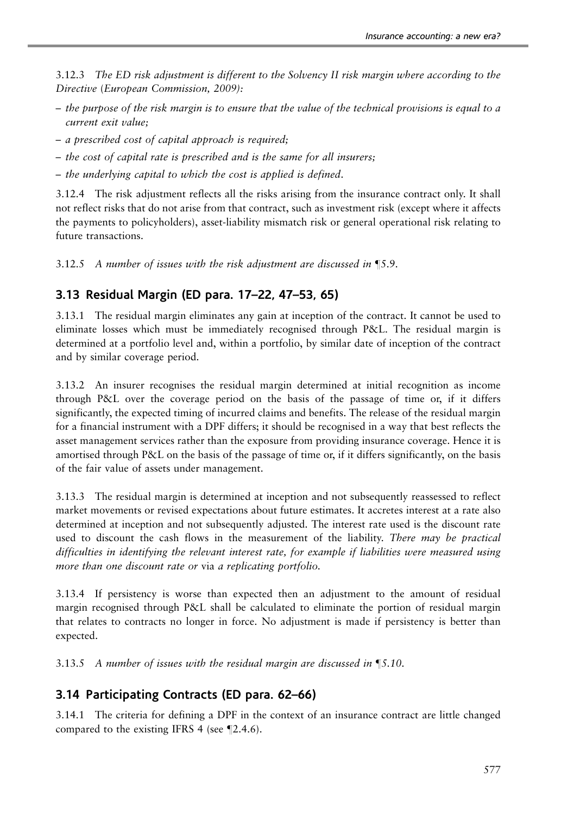3.12.3 The ED risk adjustment is different to the Solvency II risk margin where according to the Directive (European Commission, [2009](#page-49-0)):

- the purpose of the risk margin is to ensure that the value of the technical provisions is equal to a current exit value;
- a prescribed cost of capital approach is required;
- the cost of capital rate is prescribed and is the same for all insurers;
- the underlying capital to which the cost is applied is defined.

3.12.4 The risk adjustment reflects all the risks arising from the insurance contract only. It shall not reflect risks that do not arise from that contract, such as investment risk (except where it affects the payments to policyholders), asset-liability mismatch risk or general operational risk relating to future transactions.

3.12.5 A number of issues with the risk adjustment are discussed in  $\P$ 5.9.

### 3.13 Residual Margin (ED para. 17–22, 47–53, 65)

3.13.1 The residual margin eliminates any gain at inception of the contract. It cannot be used to eliminate losses which must be immediately recognised through P&L. The residual margin is determined at a portfolio level and, within a portfolio, by similar date of inception of the contract and by similar coverage period.

3.13.2 An insurer recognises the residual margin determined at initial recognition as income through P&L over the coverage period on the basis of the passage of time or, if it differs significantly, the expected timing of incurred claims and benefits. The release of the residual margin for a financial instrument with a DPF differs; it should be recognised in a way that best reflects the asset management services rather than the exposure from providing insurance coverage. Hence it is amortised through P&L on the basis of the passage of time or, if it differs significantly, on the basis of the fair value of assets under management.

3.13.3 The residual margin is determined at inception and not subsequently reassessed to reflect market movements or revised expectations about future estimates. It accretes interest at a rate also determined at inception and not subsequently adjusted. The interest rate used is the discount rate used to discount the cash flows in the measurement of the liability. There may be practical difficulties in identifying the relevant interest rate, for example if liabilities were measured using more than one discount rate or via a replicating portfolio.

3.13.4 If persistency is worse than expected then an adjustment to the amount of residual margin recognised through P&L shall be calculated to eliminate the portion of residual margin that relates to contracts no longer in force. No adjustment is made if persistency is better than expected.

3.13.5 A number of issues with the residual margin are discussed in  $\P$ 5.10.

### 3.14 Participating Contracts (ED para. 62–66)

3.14.1 The criteria for defining a DPF in the context of an insurance contract are little changed compared to the existing IFRS 4 (see  $\P$ 2.4.6).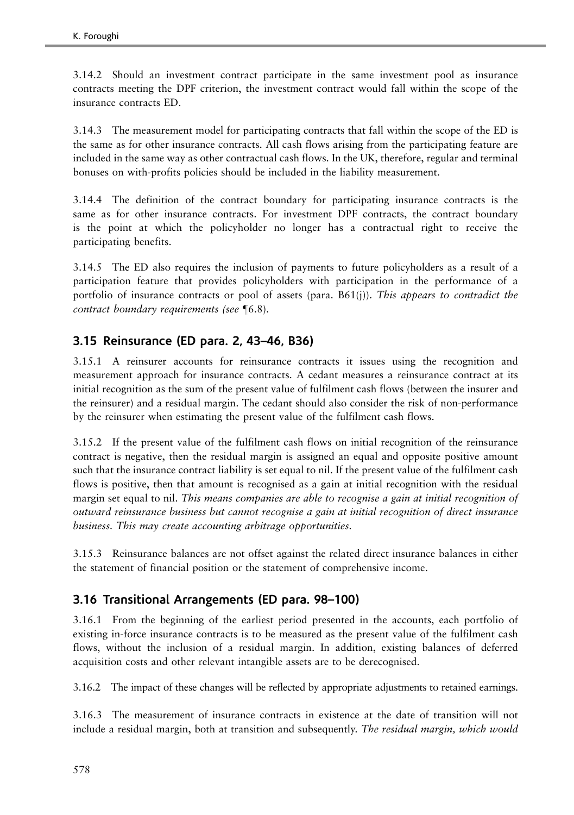3.14.2 Should an investment contract participate in the same investment pool as insurance contracts meeting the DPF criterion, the investment contract would fall within the scope of the insurance contracts ED.

3.14.3 The measurement model for participating contracts that fall within the scope of the ED is the same as for other insurance contracts. All cash flows arising from the participating feature are included in the same way as other contractual cash flows. In the UK, therefore, regular and terminal bonuses on with-profits policies should be included in the liability measurement.

3.14.4 The definition of the contract boundary for participating insurance contracts is the same as for other insurance contracts. For investment DPF contracts, the contract boundary is the point at which the policyholder no longer has a contractual right to receive the participating benefits.

3.14.5 The ED also requires the inclusion of payments to future policyholders as a result of a participation feature that provides policyholders with participation in the performance of a portfolio of insurance contracts or pool of assets (para.  $B61(j)$ ). This appears to contradict the contract boundary requirements (see  $\P$ 6.8).

## 3.15 Reinsurance (ED para. 2, 43–46, B36)

3.15.1 A reinsurer accounts for reinsurance contracts it issues using the recognition and measurement approach for insurance contracts. A cedant measures a reinsurance contract at its initial recognition as the sum of the present value of fulfilment cash flows (between the insurer and the reinsurer) and a residual margin. The cedant should also consider the risk of non-performance by the reinsurer when estimating the present value of the fulfilment cash flows.

3.15.2 If the present value of the fulfilment cash flows on initial recognition of the reinsurance contract is negative, then the residual margin is assigned an equal and opposite positive amount such that the insurance contract liability is set equal to nil. If the present value of the fulfilment cash flows is positive, then that amount is recognised as a gain at initial recognition with the residual margin set equal to nil. This means companies are able to recognise a gain at initial recognition of outward reinsurance business but cannot recognise a gain at initial recognition of direct insurance business. This may create accounting arbitrage opportunities.

3.15.3 Reinsurance balances are not offset against the related direct insurance balances in either the statement of financial position or the statement of comprehensive income.

### 3.16 Transitional Arrangements (ED para. 98–100)

3.16.1 From the beginning of the earliest period presented in the accounts, each portfolio of existing in-force insurance contracts is to be measured as the present value of the fulfilment cash flows, without the inclusion of a residual margin. In addition, existing balances of deferred acquisition costs and other relevant intangible assets are to be derecognised.

3.16.2 The impact of these changes will be reflected by appropriate adjustments to retained earnings.

3.16.3 The measurement of insurance contracts in existence at the date of transition will not include a residual margin, both at transition and subsequently. The residual margin, which would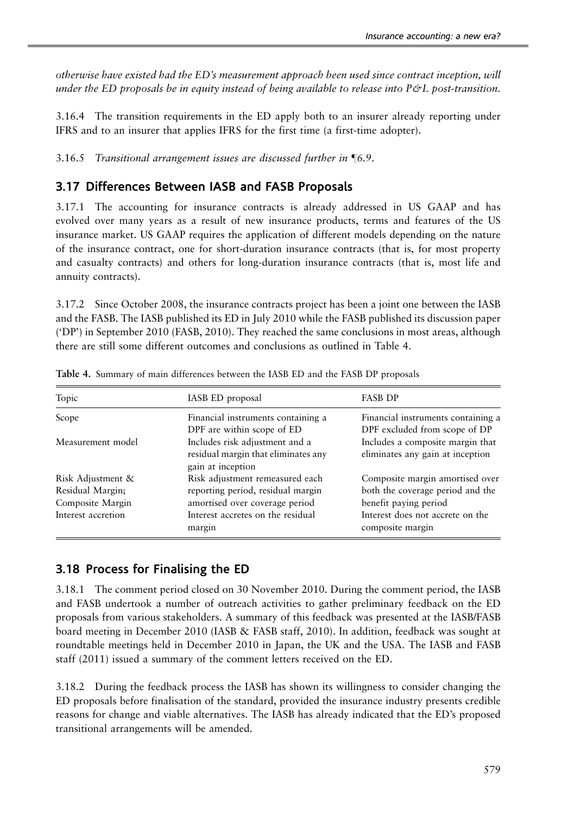otherwise have existed had the ED's measurement approach been used since contract inception, will under the ED proposals be in equity instead of being available to release into  $P\acute{\sigma}L$  post-transition.

3.16.4 The transition requirements in the ED apply both to an insurer already reporting under IFRS and to an insurer that applies IFRS for the first time (a first-time adopter).

 $3.16.5$  Transitional arrangement issues are discussed further in  $\P6.9$ .

### 3.17 Differences Between IASB and FASB Proposals

3.17.1 The accounting for insurance contracts is already addressed in US GAAP and has evolved over many years as a result of new insurance products, terms and features of the US insurance market. US GAAP requires the application of different models depending on the nature of the insurance contract, one for short-duration insurance contracts (that is, for most property and casualty contracts) and others for long-duration insurance contracts (that is, most life and annuity contracts).

3.17.2 Since October 2008, the insurance contracts project has been a joint one between the IASB and the FASB. The IASB published its ED in July 2010 while the FASB published its discussion paper ('DP') in September 2010 (FASB, [2010\)](#page-49-0). They reached the same conclusions in most areas, although there are still some different outcomes and conclusions as outlined in Table 4.

| Topic                                                     | IASB ED proposal                                                                                       | <b>FASB DP</b>                                                                               |
|-----------------------------------------------------------|--------------------------------------------------------------------------------------------------------|----------------------------------------------------------------------------------------------|
| Scope                                                     | Financial instruments containing a<br>DPF are within scope of ED                                       | Financial instruments containing a<br>DPF excluded from scope of DP                          |
| Measurement model                                         | Includes risk adjustment and a<br>residual margin that eliminates any<br>gain at inception             | Includes a composite margin that<br>eliminates any gain at inception                         |
| Risk Adjustment &<br>Residual Margin;<br>Composite Margin | Risk adjustment remeasured each<br>reporting period, residual margin<br>amortised over coverage period | Composite margin amortised over<br>both the coverage period and the<br>benefit paying period |
| Interest accretion                                        | Interest accretes on the residual<br>margin                                                            | Interest does not accrete on the<br>composite margin                                         |

Table 4. Summary of main differences between the IASB ED and the FASB DP proposals

### 3.18 Process for Finalising the ED

3.18.1 The comment period closed on 30 November 2010. During the comment period, the IASB and FASB undertook a number of outreach activities to gather preliminary feedback on the ED proposals from various stakeholders. A summary of this feedback was presented at the IASB/FASB board meeting in December 2010 (IASB & FASB staff, [2010](#page-50-0)). In addition, feedback was sought at roundtable meetings held in December 2010 in Japan, the UK and the USA. The IASB and FASB staff ([2011](#page-50-0)) issued a summary of the comment letters received on the ED.

3.18.2 During the feedback process the IASB has shown its willingness to consider changing the ED proposals before finalisation of the standard, provided the insurance industry presents credible reasons for change and viable alternatives. The IASB has already indicated that the ED's proposed transitional arrangements will be amended.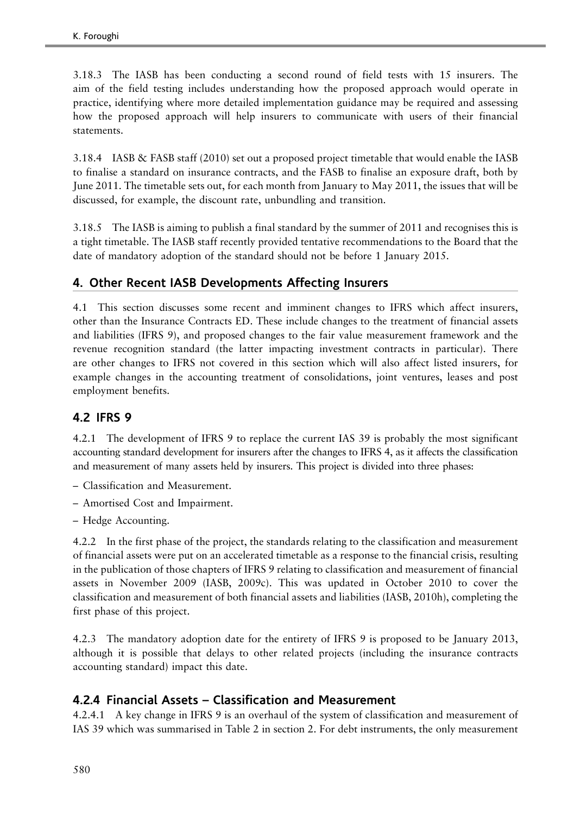3.18.3 The IASB has been conducting a second round of field tests with 15 insurers. The aim of the field testing includes understanding how the proposed approach would operate in practice, identifying where more detailed implementation guidance may be required and assessing how the proposed approach will help insurers to communicate with users of their financial statements.

3.18.4 IASB & FASB staff ([2010](#page-50-0)) set out a proposed project timetable that would enable the IASB to finalise a standard on insurance contracts, and the FASB to finalise an exposure draft, both by June 2011. The timetable sets out, for each month from January to May 2011, the issues that will be discussed, for example, the discount rate, unbundling and transition.

3.18.5 The IASB is aiming to publish a final standard by the summer of 2011 and recognises this is a tight timetable. The IASB staff recently provided tentative recommendations to the Board that the date of mandatory adoption of the standard should not be before 1 January 2015.

### 4. Other Recent IASB Developments Affecting Insurers

4.1 This section discusses some recent and imminent changes to IFRS which affect insurers, other than the Insurance Contracts ED. These include changes to the treatment of financial assets and liabilities (IFRS 9), and proposed changes to the fair value measurement framework and the revenue recognition standard (the latter impacting investment contracts in particular). There are other changes to IFRS not covered in this section which will also affect listed insurers, for example changes in the accounting treatment of consolidations, joint ventures, leases and post employment benefits.

### 4.2 IFRS 9

4.2.1 The development of IFRS 9 to replace the current IAS 39 is probably the most significant accounting standard development for insurers after the changes to IFRS 4, as it affects the classification and measurement of many assets held by insurers. This project is divided into three phases:

- Classification and Measurement.
- Amortised Cost and Impairment.
- Hedge Accounting.

4.2.2 In the first phase of the project, the standards relating to the classification and measurement of financial assets were put on an accelerated timetable as a response to the financial crisis, resulting in the publication of those chapters of IFRS 9 relating to classification and measurement of financial assets in November 2009 (IASB, [2009c](#page-50-0)). This was updated in October 2010 to cover the classification and measurement of both financial assets and liabilities (IASB, [2010h\)](#page-50-0), completing the first phase of this project.

4.2.3 The mandatory adoption date for the entirety of IFRS 9 is proposed to be January 2013, although it is possible that delays to other related projects (including the insurance contracts accounting standard) impact this date.

### 4.2.4 Financial Assets – Classification and Measurement

4.2.4.1 A key change in IFRS 9 is an overhaul of the system of classification and measurement of IAS 39 which was summarised in [Table 2](#page-8-0) in section 2. For debt instruments, the only measurement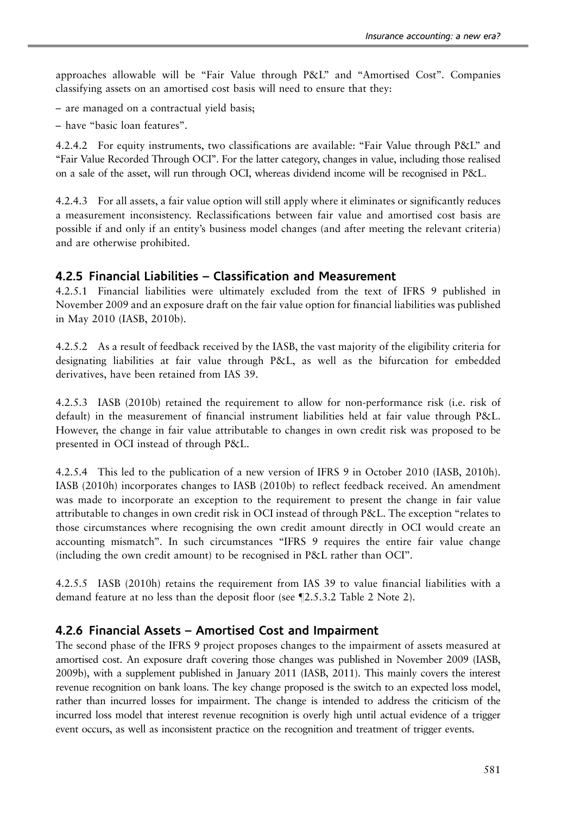approaches allowable will be ''Fair Value through P&L'' and ''Amortised Cost''. Companies classifying assets on an amortised cost basis will need to ensure that they:

– are managed on a contractual yield basis;

– have ''basic loan features''.

4.2.4.2 For equity instruments, two classifications are available: ''Fair Value through P&L'' and ''Fair Value Recorded Through OCI''. For the latter category, changes in value, including those realised on a sale of the asset, will run through OCI, whereas dividend income will be recognised in P&L.

4.2.4.3 For all assets, a fair value option will still apply where it eliminates or significantly reduces a measurement inconsistency. Reclassifications between fair value and amortised cost basis are possible if and only if an entity's business model changes (and after meeting the relevant criteria) and are otherwise prohibited.

### 4.2.5 Financial Liabilities – Classification and Measurement

4.2.5.1 Financial liabilities were ultimately excluded from the text of IFRS 9 published in November 2009 and an exposure draft on the fair value option for financial liabilities was published in May 2010 (IASB, [2010b\)](#page-50-0).

4.2.5.2 As a result of feedback received by the IASB, the vast majority of the eligibility criteria for designating liabilities at fair value through P&L, as well as the bifurcation for embedded derivatives, have been retained from IAS 39.

4.2.5.3 IASB [\(2010b](#page-50-0)) retained the requirement to allow for non-performance risk (i.e. risk of default) in the measurement of financial instrument liabilities held at fair value through P&L. However, the change in fair value attributable to changes in own credit risk was proposed to be presented in OCI instead of through P&L.

4.2.5.4 This led to the publication of a new version of IFRS 9 in October 2010 (IASB, [2010h\)](#page-50-0). IASB [\(2010h](#page-50-0)) incorporates changes to IASB [\(2010b\)](#page-50-0) to reflect feedback received. An amendment was made to incorporate an exception to the requirement to present the change in fair value attributable to changes in own credit risk in OCI instead of through P&L. The exception ''relates to those circumstances where recognising the own credit amount directly in OCI would create an accounting mismatch''. In such circumstances ''IFRS 9 requires the entire fair value change (including the own credit amount) to be recognised in P&L rather than OCI''.

4.2.5.5 IASB [\(2010h](#page-50-0)) retains the requirement from IAS 39 to value financial liabilities with a demand feature at no less than the deposit floor (see  $\P$ 2.5.3.2 [Table 2](#page-8-0) Note 2).

### 4.2.6 Financial Assets – Amortised Cost and Impairment

The second phase of the IFRS 9 project proposes changes to the impairment of assets measured at amortised cost. An exposure draft covering those changes was published in November 2009 (IASB, [2009b\)](#page-50-0), with a supplement published in January 2011 (IASB, [2011\)](#page-50-0). This mainly covers the interest revenue recognition on bank loans. The key change proposed is the switch to an expected loss model, rather than incurred losses for impairment. The change is intended to address the criticism of the incurred loss model that interest revenue recognition is overly high until actual evidence of a trigger event occurs, as well as inconsistent practice on the recognition and treatment of trigger events.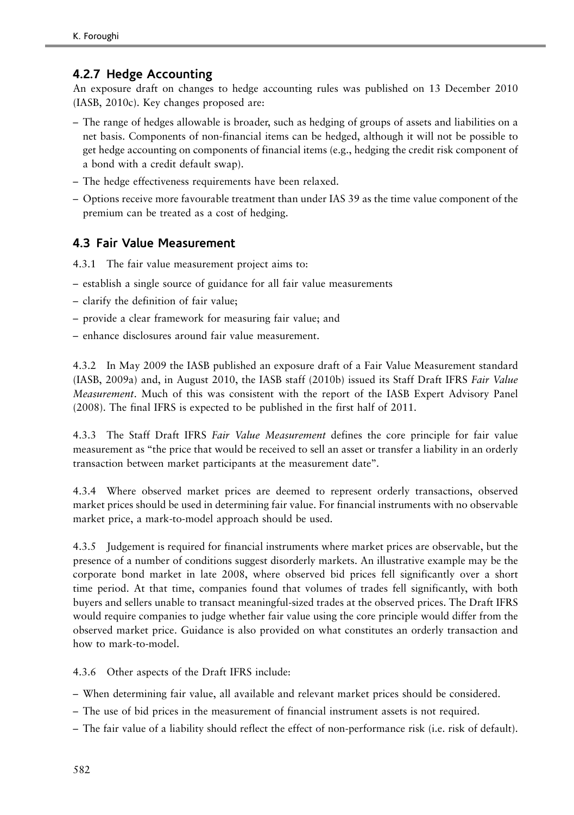## 4.2.7 Hedge Accounting

An exposure draft on changes to hedge accounting rules was published on 13 December 2010 (IASB, [2010c\)](#page-50-0). Key changes proposed are:

- The range of hedges allowable is broader, such as hedging of groups of assets and liabilities on a net basis. Components of non-financial items can be hedged, although it will not be possible to get hedge accounting on components of financial items (e.g., hedging the credit risk component of a bond with a credit default swap).
- The hedge effectiveness requirements have been relaxed.
- Options receive more favourable treatment than under IAS 39 as the time value component of the premium can be treated as a cost of hedging.

### 4.3 Fair Value Measurement

4.3.1 The fair value measurement project aims to:

- establish a single source of guidance for all fair value measurements
- clarify the definition of fair value;
- provide a clear framework for measuring fair value; and
- enhance disclosures around fair value measurement.

4.3.2 In May 2009 the IASB published an exposure draft of a Fair Value Measurement standard (IASB, [2009a](#page-50-0)) and, in August 2010, the IASB staff [\(2010b](#page-51-0)) issued its Staff Draft IFRS Fair Value Measurement. Much of this was consistent with the report of the IASB Expert Advisory Panel ([2008\)](#page-50-0). The final IFRS is expected to be published in the first half of 2011.

4.3.3 The Staff Draft IFRS Fair Value Measurement defines the core principle for fair value measurement as ''the price that would be received to sell an asset or transfer a liability in an orderly transaction between market participants at the measurement date''.

4.3.4 Where observed market prices are deemed to represent orderly transactions, observed market prices should be used in determining fair value. For financial instruments with no observable market price, a mark-to-model approach should be used.

4.3.5 Judgement is required for financial instruments where market prices are observable, but the presence of a number of conditions suggest disorderly markets. An illustrative example may be the corporate bond market in late 2008, where observed bid prices fell significantly over a short time period. At that time, companies found that volumes of trades fell significantly, with both buyers and sellers unable to transact meaningful-sized trades at the observed prices. The Draft IFRS would require companies to judge whether fair value using the core principle would differ from the observed market price. Guidance is also provided on what constitutes an orderly transaction and how to mark-to-model.

4.3.6 Other aspects of the Draft IFRS include:

- When determining fair value, all available and relevant market prices should be considered.
- The use of bid prices in the measurement of financial instrument assets is not required.
- The fair value of a liability should reflect the effect of non-performance risk (i.e. risk of default).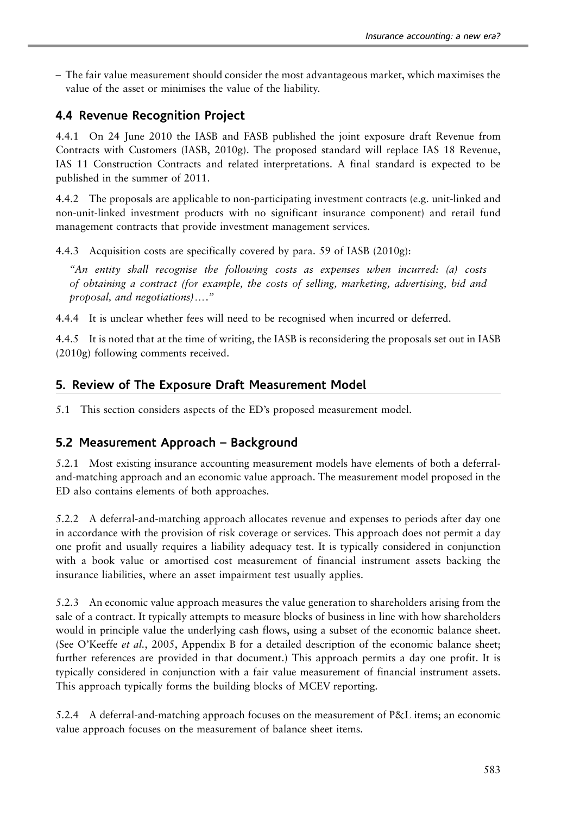– The fair value measurement should consider the most advantageous market, which maximises the value of the asset or minimises the value of the liability.

## 4.4 Revenue Recognition Project

4.4.1 On 24 June 2010 the IASB and FASB published the joint exposure draft Revenue from Contracts with Customers (IASB, [2010g\)](#page-50-0). The proposed standard will replace IAS 18 Revenue, IAS 11 Construction Contracts and related interpretations. A final standard is expected to be published in the summer of 2011.

4.4.2 The proposals are applicable to non-participating investment contracts (e.g. unit-linked and non-unit-linked investment products with no significant insurance component) and retail fund management contracts that provide investment management services.

4.4.3 Acquisition costs are specifically covered by para. 59 of IASB ([2010g\)](#page-50-0):

''An entity shall recognise the following costs as expenses when incurred: (a) costs of obtaining a contract (for example, the costs of selling, marketing, advertising, bid and  $proposal$ , and negotiations)...."

4.4.4 It is unclear whether fees will need to be recognised when incurred or deferred.

4.4.5 It is noted that at the time of writing, the IASB is reconsidering the proposals set out in IASB ([2010g](#page-50-0)) following comments received.

### 5. Review of The Exposure Draft Measurement Model

5.1 This section considers aspects of the ED's proposed measurement model.

### 5.2 Measurement Approach – Background

5.2.1 Most existing insurance accounting measurement models have elements of both a deferraland-matching approach and an economic value approach. The measurement model proposed in the ED also contains elements of both approaches.

5.2.2 A deferral-and-matching approach allocates revenue and expenses to periods after day one in accordance with the provision of risk coverage or services. This approach does not permit a day one profit and usually requires a liability adequacy test. It is typically considered in conjunction with a book value or amortised cost measurement of financial instrument assets backing the insurance liabilities, where an asset impairment test usually applies.

5.2.3 An economic value approach measures the value generation to shareholders arising from the sale of a contract. It typically attempts to measure blocks of business in line with how shareholders would in principle value the underlying cash flows, using a subset of the economic balance sheet. (See O'Keeffe et al., [2005](#page-51-0), Appendix B for a detailed description of the economic balance sheet; further references are provided in that document.) This approach permits a day one profit. It is typically considered in conjunction with a fair value measurement of financial instrument assets. This approach typically forms the building blocks of MCEV reporting.

5.2.4 A deferral-and-matching approach focuses on the measurement of P&L items; an economic value approach focuses on the measurement of balance sheet items.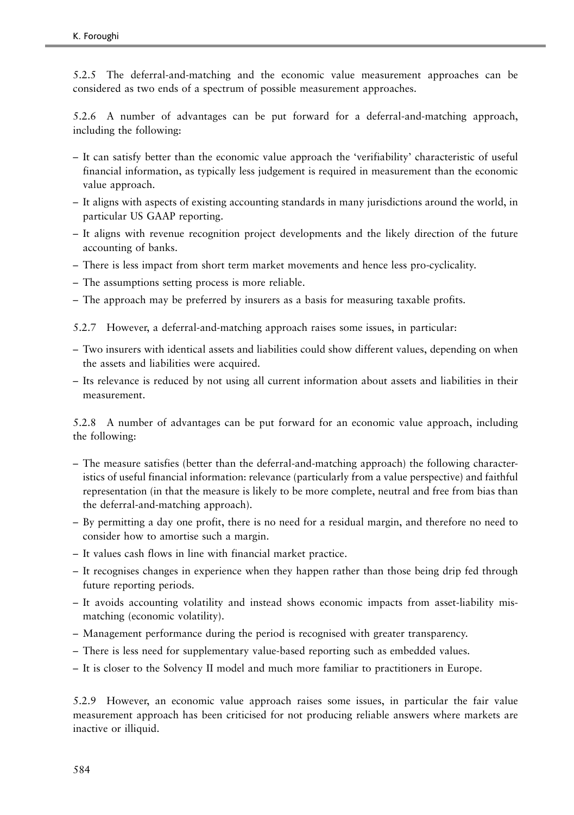5.2.5 The deferral-and-matching and the economic value measurement approaches can be considered as two ends of a spectrum of possible measurement approaches.

5.2.6 A number of advantages can be put forward for a deferral-and-matching approach, including the following:

- It can satisfy better than the economic value approach the 'verifiability' characteristic of useful financial information, as typically less judgement is required in measurement than the economic value approach.
- It aligns with aspects of existing accounting standards in many jurisdictions around the world, in particular US GAAP reporting.
- It aligns with revenue recognition project developments and the likely direction of the future accounting of banks.
- There is less impact from short term market movements and hence less pro-cyclicality.
- The assumptions setting process is more reliable.
- The approach may be preferred by insurers as a basis for measuring taxable profits.

5.2.7 However, a deferral-and-matching approach raises some issues, in particular:

- Two insurers with identical assets and liabilities could show different values, depending on when the assets and liabilities were acquired.
- Its relevance is reduced by not using all current information about assets and liabilities in their measurement.

5.2.8 A number of advantages can be put forward for an economic value approach, including the following:

- The measure satisfies (better than the deferral-and-matching approach) the following characteristics of useful financial information: relevance (particularly from a value perspective) and faithful representation (in that the measure is likely to be more complete, neutral and free from bias than the deferral-and-matching approach).
- By permitting a day one profit, there is no need for a residual margin, and therefore no need to consider how to amortise such a margin.
- It values cash flows in line with financial market practice.
- It recognises changes in experience when they happen rather than those being drip fed through future reporting periods.
- It avoids accounting volatility and instead shows economic impacts from asset-liability mismatching (economic volatility).
- Management performance during the period is recognised with greater transparency.
- There is less need for supplementary value-based reporting such as embedded values.
- It is closer to the Solvency II model and much more familiar to practitioners in Europe.

5.2.9 However, an economic value approach raises some issues, in particular the fair value measurement approach has been criticised for not producing reliable answers where markets are inactive or illiquid.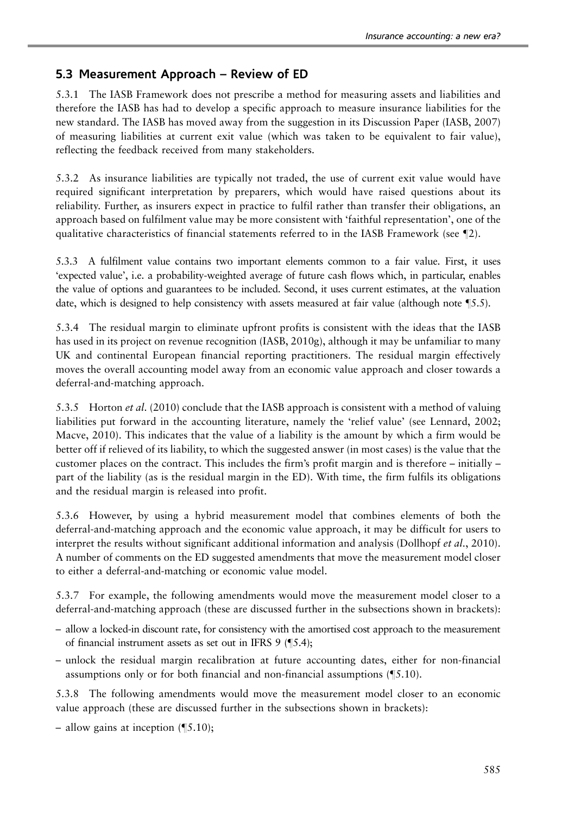### 5.3 Measurement Approach – Review of ED

5.3.1 The IASB Framework does not prescribe a method for measuring assets and liabilities and therefore the IASB has had to develop a specific approach to measure insurance liabilities for the new standard. The IASB has moved away from the suggestion in its Discussion Paper (IASB, [2007](#page-49-0)) of measuring liabilities at current exit value (which was taken to be equivalent to fair value), reflecting the feedback received from many stakeholders.

5.3.2 As insurance liabilities are typically not traded, the use of current exit value would have required significant interpretation by preparers, which would have raised questions about its reliability. Further, as insurers expect in practice to fulfil rather than transfer their obligations, an approach based on fulfilment value may be more consistent with 'faithful representation', one of the qualitative characteristics of financial statements referred to in the IASB Framework (see  $\P$ 2).

5.3.3 A fulfilment value contains two important elements common to a fair value. First, it uses 'expected value', i.e. a probability-weighted average of future cash flows which, in particular, enables the value of options and guarantees to be included. Second, it uses current estimates, at the valuation date, which is designed to help consistency with assets measured at fair value (although note  $\mathcal{S}.5$ ).

5.3.4 The residual margin to eliminate upfront profits is consistent with the ideas that the IASB has used in its project on revenue recognition (IASB, [2010g](#page-50-0)), although it may be unfamiliar to many UK and continental European financial reporting practitioners. The residual margin effectively moves the overall accounting model away from an economic value approach and closer towards a deferral-and-matching approach.

5.3.5 Horton *et al.* ([2010](#page-49-0)) conclude that the IASB approach is consistent with a method of valuing liabilities put forward in the accounting literature, namely the 'relief value' (see Lennard, [2002;](#page-51-0) Macve, [2010](#page-51-0)). This indicates that the value of a liability is the amount by which a firm would be better off if relieved of its liability, to which the suggested answer (in most cases) is the value that the customer places on the contract. This includes the firm's profit margin and is therefore – initially – part of the liability (as is the residual margin in the ED). With time, the firm fulfils its obligations and the residual margin is released into profit.

5.3.6 However, by using a hybrid measurement model that combines elements of both the deferral-and-matching approach and the economic value approach, it may be difficult for users to interpret the results without significant additional information and analysis (Dollhopf et al., [2010\)](#page-49-0). A number of comments on the ED suggested amendments that move the measurement model closer to either a deferral-and-matching or economic value model.

5.3.7 For example, the following amendments would move the measurement model closer to a deferral-and-matching approach (these are discussed further in the subsections shown in brackets):

- allow a locked-in discount rate, for consistency with the amortised cost approach to the measurement of financial instrument assets as set out in IFRS  $9$  ( $\text{\$5.4\text{)}}$ ;
- unlock the residual margin recalibration at future accounting dates, either for non-financial assumptions only or for both financial and non-financial assumptions  $(\S 5.10)$ .

5.3.8 The following amendments would move the measurement model closer to an economic value approach (these are discussed further in the subsections shown in brackets):

– allow gains at inception  $(\sqrt{5.10})$ ;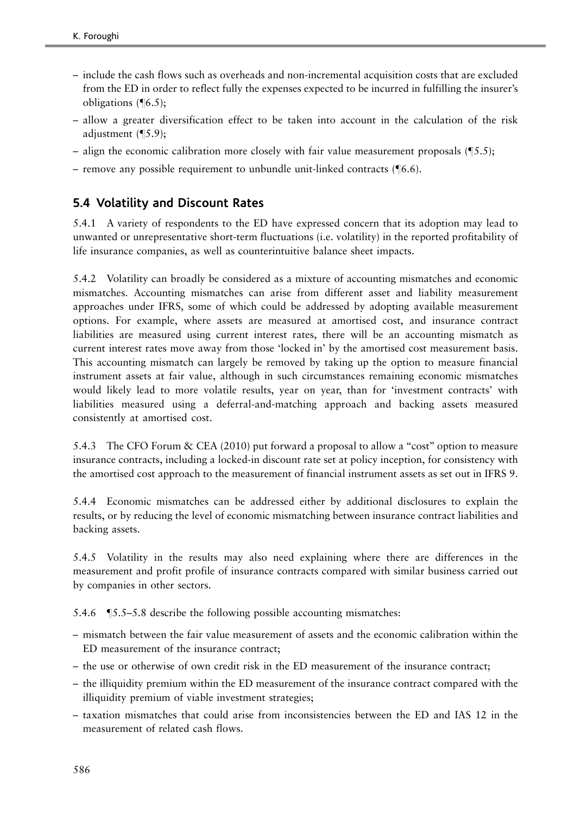- include the cash flows such as overheads and non-incremental acquisition costs that are excluded from the ED in order to reflect fully the expenses expected to be incurred in fulfilling the insurer's obligations  $(\sqrt{6.5})$ ;
- allow a greater diversification effect to be taken into account in the calculation of the risk adjustment  $(\P5.9);$
- align the economic calibration more closely with fair value measurement proposals  $(\sqrt{\phantom{a}}5.5)$ ;
- remove any possible requirement to unbundle unit-linked contracts  $(\mathcal{T}6.6)$ .

### 5.4 Volatility and Discount Rates

5.4.1 A variety of respondents to the ED have expressed concern that its adoption may lead to unwanted or unrepresentative short-term fluctuations (i.e. volatility) in the reported profitability of life insurance companies, as well as counterintuitive balance sheet impacts.

5.4.2 Volatility can broadly be considered as a mixture of accounting mismatches and economic mismatches. Accounting mismatches can arise from different asset and liability measurement approaches under IFRS, some of which could be addressed by adopting available measurement options. For example, where assets are measured at amortised cost, and insurance contract liabilities are measured using current interest rates, there will be an accounting mismatch as current interest rates move away from those 'locked in' by the amortised cost measurement basis. This accounting mismatch can largely be removed by taking up the option to measure financial instrument assets at fair value, although in such circumstances remaining economic mismatches would likely lead to more volatile results, year on year, than for 'investment contracts' with liabilities measured using a deferral-and-matching approach and backing assets measured consistently at amortised cost.

5.4.3 The CFO Forum & CEA [\(2010](#page-49-0)) put forward a proposal to allow a "cost" option to measure insurance contracts, including a locked-in discount rate set at policy inception, for consistency with the amortised cost approach to the measurement of financial instrument assets as set out in IFRS 9.

5.4.4 Economic mismatches can be addressed either by additional disclosures to explain the results, or by reducing the level of economic mismatching between insurance contract liabilities and backing assets.

5.4.5 Volatility in the results may also need explaining where there are differences in the measurement and profit profile of insurance contracts compared with similar business carried out by companies in other sectors.

5.4.6  $\sqrt{5.5}$ –5.8 describe the following possible accounting mismatches:

- mismatch between the fair value measurement of assets and the economic calibration within the ED measurement of the insurance contract;
- the use or otherwise of own credit risk in the ED measurement of the insurance contract;
- the illiquidity premium within the ED measurement of the insurance contract compared with the illiquidity premium of viable investment strategies;
- taxation mismatches that could arise from inconsistencies between the ED and IAS 12 in the measurement of related cash flows.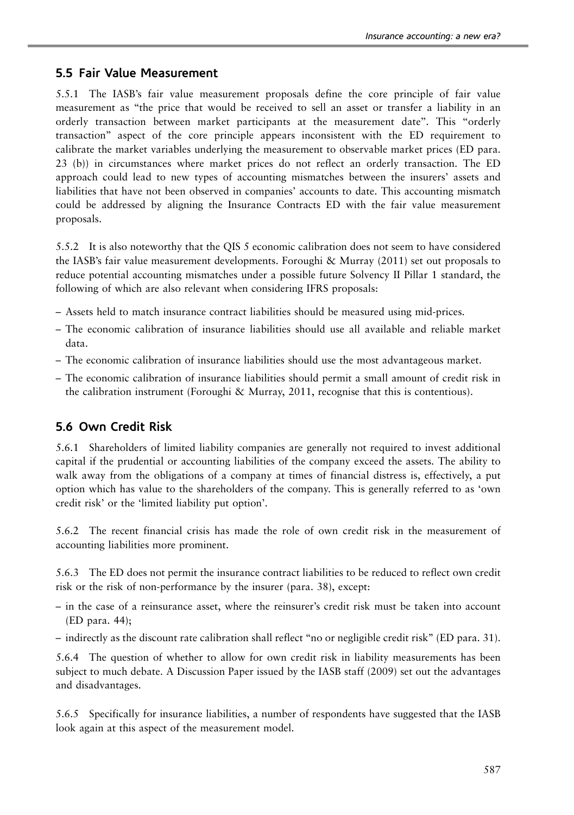### 5.5 Fair Value Measurement

5.5.1 The IASB's fair value measurement proposals define the core principle of fair value measurement as ''the price that would be received to sell an asset or transfer a liability in an orderly transaction between market participants at the measurement date''. This ''orderly transaction'' aspect of the core principle appears inconsistent with the ED requirement to calibrate the market variables underlying the measurement to observable market prices (ED para. 23 (b)) in circumstances where market prices do not reflect an orderly transaction. The ED approach could lead to new types of accounting mismatches between the insurers' assets and liabilities that have not been observed in companies' accounts to date. This accounting mismatch could be addressed by aligning the Insurance Contracts ED with the fair value measurement proposals.

5.5.2 It is also noteworthy that the QIS 5 economic calibration does not seem to have considered the IASB's fair value measurement developments. Foroughi & Murray ([2011](#page-49-0)) set out proposals to reduce potential accounting mismatches under a possible future Solvency II Pillar 1 standard, the following of which are also relevant when considering IFRS proposals:

- Assets held to match insurance contract liabilities should be measured using mid-prices.
- The economic calibration of insurance liabilities should use all available and reliable market data.
- The economic calibration of insurance liabilities should use the most advantageous market.
- The economic calibration of insurance liabilities should permit a small amount of credit risk in the calibration instrument (Foroughi & Murray, [2011,](#page-49-0) recognise that this is contentious).

### 5.6 Own Credit Risk

5.6.1 Shareholders of limited liability companies are generally not required to invest additional capital if the prudential or accounting liabilities of the company exceed the assets. The ability to walk away from the obligations of a company at times of financial distress is, effectively, a put option which has value to the shareholders of the company. This is generally referred to as 'own credit risk' or the 'limited liability put option'.

5.6.2 The recent financial crisis has made the role of own credit risk in the measurement of accounting liabilities more prominent.

5.6.3 The ED does not permit the insurance contract liabilities to be reduced to reflect own credit risk or the risk of non-performance by the insurer (para. 38), except:

- in the case of a reinsurance asset, where the reinsurer's credit risk must be taken into account (ED para. 44);
- indirectly as the discount rate calibration shall reflect ''no or negligible credit risk'' (ED para. 31).

5.6.4 The question of whether to allow for own credit risk in liability measurements has been subject to much debate. A Discussion Paper issued by the IASB staff ([2009](#page-50-0)) set out the advantages and disadvantages.

5.6.5 Specifically for insurance liabilities, a number of respondents have suggested that the IASB look again at this aspect of the measurement model.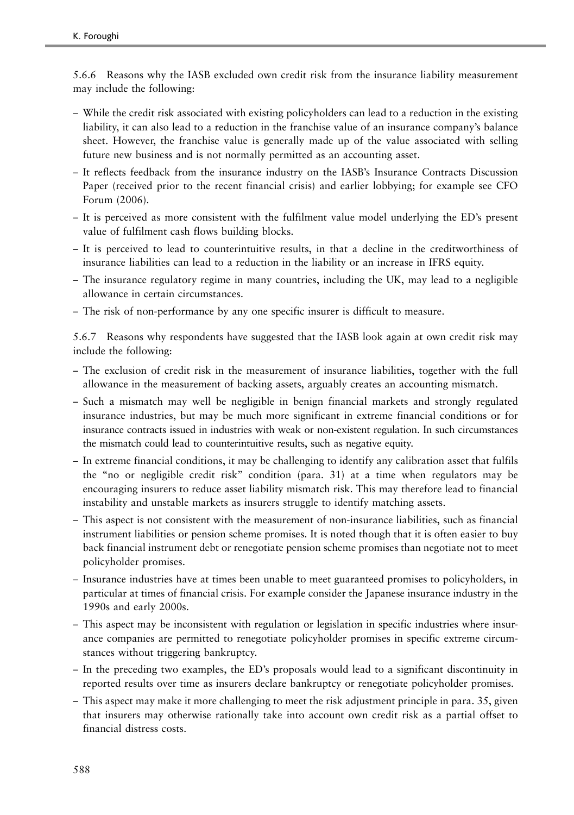5.6.6 Reasons why the IASB excluded own credit risk from the insurance liability measurement may include the following:

- While the credit risk associated with existing policyholders can lead to a reduction in the existing liability, it can also lead to a reduction in the franchise value of an insurance company's balance sheet. However, the franchise value is generally made up of the value associated with selling future new business and is not normally permitted as an accounting asset.
- It reflects feedback from the insurance industry on the IASB's Insurance Contracts Discussion Paper (received prior to the recent financial crisis) and earlier lobbying; for example see CFO Forum ([2006\)](#page-48-0).
- It is perceived as more consistent with the fulfilment value model underlying the ED's present value of fulfilment cash flows building blocks.
- It is perceived to lead to counterintuitive results, in that a decline in the creditworthiness of insurance liabilities can lead to a reduction in the liability or an increase in IFRS equity.
- The insurance regulatory regime in many countries, including the UK, may lead to a negligible allowance in certain circumstances.
- The risk of non-performance by any one specific insurer is difficult to measure.

5.6.7 Reasons why respondents have suggested that the IASB look again at own credit risk may include the following:

- The exclusion of credit risk in the measurement of insurance liabilities, together with the full allowance in the measurement of backing assets, arguably creates an accounting mismatch.
- Such a mismatch may well be negligible in benign financial markets and strongly regulated insurance industries, but may be much more significant in extreme financial conditions or for insurance contracts issued in industries with weak or non-existent regulation. In such circumstances the mismatch could lead to counterintuitive results, such as negative equity.
- In extreme financial conditions, it may be challenging to identify any calibration asset that fulfils the ''no or negligible credit risk'' condition (para. 31) at a time when regulators may be encouraging insurers to reduce asset liability mismatch risk. This may therefore lead to financial instability and unstable markets as insurers struggle to identify matching assets.
- This aspect is not consistent with the measurement of non-insurance liabilities, such as financial instrument liabilities or pension scheme promises. It is noted though that it is often easier to buy back financial instrument debt or renegotiate pension scheme promises than negotiate not to meet policyholder promises.
- Insurance industries have at times been unable to meet guaranteed promises to policyholders, in particular at times of financial crisis. For example consider the Japanese insurance industry in the 1990s and early 2000s.
- This aspect may be inconsistent with regulation or legislation in specific industries where insurance companies are permitted to renegotiate policyholder promises in specific extreme circumstances without triggering bankruptcy.
- In the preceding two examples, the ED's proposals would lead to a significant discontinuity in reported results over time as insurers declare bankruptcy or renegotiate policyholder promises.
- This aspect may make it more challenging to meet the risk adjustment principle in para. 35, given that insurers may otherwise rationally take into account own credit risk as a partial offset to financial distress costs.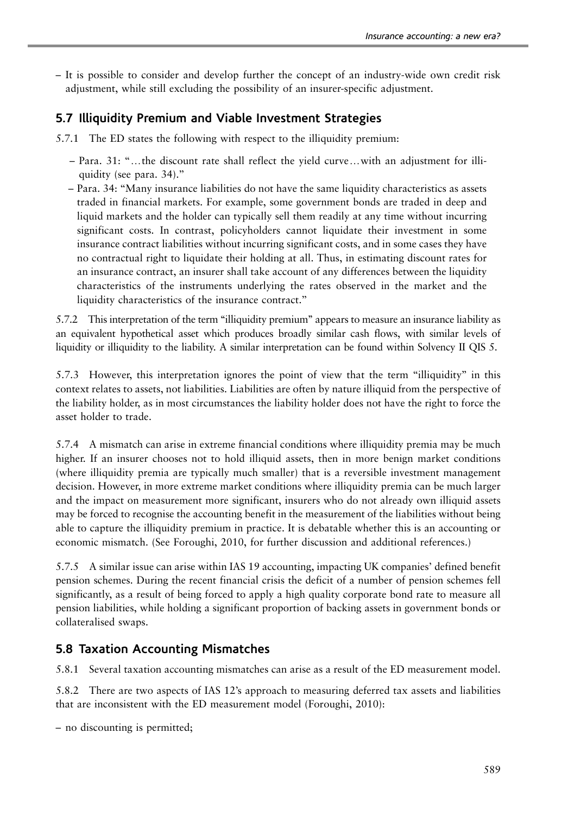– It is possible to consider and develop further the concept of an industry-wide own credit risk adjustment, while still excluding the possibility of an insurer-specific adjustment.

## 5.7 Illiquidity Premium and Viable Investment Strategies

- 5.7.1 The ED states the following with respect to the illiquidity premium:
	- $-$  Para. 31: "... the discount rate shall reflect the yield curve... with an adjustment for illiquidity (see para. 34).''
	- Para. 34: ''Many insurance liabilities do not have the same liquidity characteristics as assets traded in financial markets. For example, some government bonds are traded in deep and liquid markets and the holder can typically sell them readily at any time without incurring significant costs. In contrast, policyholders cannot liquidate their investment in some insurance contract liabilities without incurring significant costs, and in some cases they have no contractual right to liquidate their holding at all. Thus, in estimating discount rates for an insurance contract, an insurer shall take account of any differences between the liquidity characteristics of the instruments underlying the rates observed in the market and the liquidity characteristics of the insurance contract.''

5.7.2 This interpretation of the term ''illiquidity premium'' appears to measure an insurance liability as an equivalent hypothetical asset which produces broadly similar cash flows, with similar levels of liquidity or illiquidity to the liability. A similar interpretation can be found within Solvency II QIS 5.

5.7.3 However, this interpretation ignores the point of view that the term ''illiquidity'' in this context relates to assets, not liabilities. Liabilities are often by nature illiquid from the perspective of the liability holder, as in most circumstances the liability holder does not have the right to force the asset holder to trade.

5.7.4 A mismatch can arise in extreme financial conditions where illiquidity premia may be much higher. If an insurer chooses not to hold illiquid assets, then in more benign market conditions (where illiquidity premia are typically much smaller) that is a reversible investment management decision. However, in more extreme market conditions where illiquidity premia can be much larger and the impact on measurement more significant, insurers who do not already own illiquid assets may be forced to recognise the accounting benefit in the measurement of the liabilities without being able to capture the illiquidity premium in practice. It is debatable whether this is an accounting or economic mismatch. (See Foroughi, [2010,](#page-49-0) for further discussion and additional references.)

5.7.5 A similar issue can arise within IAS 19 accounting, impacting UK companies' defined benefit pension schemes. During the recent financial crisis the deficit of a number of pension schemes fell significantly, as a result of being forced to apply a high quality corporate bond rate to measure all pension liabilities, while holding a significant proportion of backing assets in government bonds or collateralised swaps.

## 5.8 Taxation Accounting Mismatches

5.8.1 Several taxation accounting mismatches can arise as a result of the ED measurement model.

5.8.2 There are two aspects of IAS 12's approach to measuring deferred tax assets and liabilities that are inconsistent with the ED measurement model (Foroughi, [2010](#page-49-0)):

– no discounting is permitted;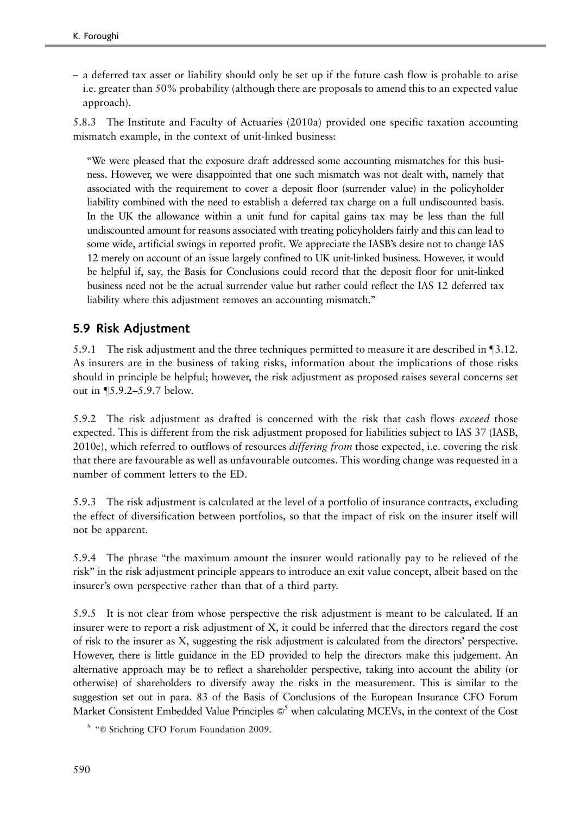– a deferred tax asset or liability should only be set up if the future cash flow is probable to arise i.e. greater than 50% probability (although there are proposals to amend this to an expected value approach).

5.8.3 The Institute and Faculty of Actuaries [\(2010a\)](#page-49-0) provided one specific taxation accounting mismatch example, in the context of unit-linked business:

''We were pleased that the exposure draft addressed some accounting mismatches for this business. However, we were disappointed that one such mismatch was not dealt with, namely that associated with the requirement to cover a deposit floor (surrender value) in the policyholder liability combined with the need to establish a deferred tax charge on a full undiscounted basis. In the UK the allowance within a unit fund for capital gains tax may be less than the full undiscounted amount for reasons associated with treating policyholders fairly and this can lead to some wide, artificial swings in reported profit. We appreciate the IASB's desire not to change IAS 12 merely on account of an issue largely confined to UK unit-linked business. However, it would be helpful if, say, the Basis for Conclusions could record that the deposit floor for unit-linked business need not be the actual surrender value but rather could reflect the IAS 12 deferred tax liability where this adjustment removes an accounting mismatch.''

## 5.9 Risk Adjustment

5.9.1 The risk adjustment and the three techniques permitted to measure it are described in  $\P$ 3.12. As insurers are in the business of taking risks, information about the implications of those risks should in principle be helpful; however, the risk adjustment as proposed raises several concerns set out in  $\P$ 5.9.2–5.9.7 below.

5.9.2 The risk adjustment as drafted is concerned with the risk that cash flows exceed those expected. This is different from the risk adjustment proposed for liabilities subject to IAS 37 (IASB, [2010e\)](#page-50-0), which referred to outflows of resources differing from those expected, i.e. covering the risk that there are favourable as well as unfavourable outcomes. This wording change was requested in a number of comment letters to the ED.

5.9.3 The risk adjustment is calculated at the level of a portfolio of insurance contracts, excluding the effect of diversification between portfolios, so that the impact of risk on the insurer itself will not be apparent.

5.9.4 The phrase "the maximum amount the insurer would rationally pay to be relieved of the risk'' in the risk adjustment principle appears to introduce an exit value concept, albeit based on the insurer's own perspective rather than that of a third party.

5.9.5 It is not clear from whose perspective the risk adjustment is meant to be calculated. If an insurer were to report a risk adjustment of X, it could be inferred that the directors regard the cost of risk to the insurer as X, suggesting the risk adjustment is calculated from the directors' perspective. However, there is little guidance in the ED provided to help the directors make this judgement. An alternative approach may be to reflect a shareholder perspective, taking into account the ability (or otherwise) of shareholders to diversify away the risks in the measurement. This is similar to the suggestion set out in para. 83 of the Basis of Conclusions of the European Insurance CFO Forum Market Consistent Embedded Value Principles  $\mathcal{O}^5$  when calculating MCEVs, in the context of the Cost

 $5$  " $\odot$  Stichting CFO Forum Foundation 2009.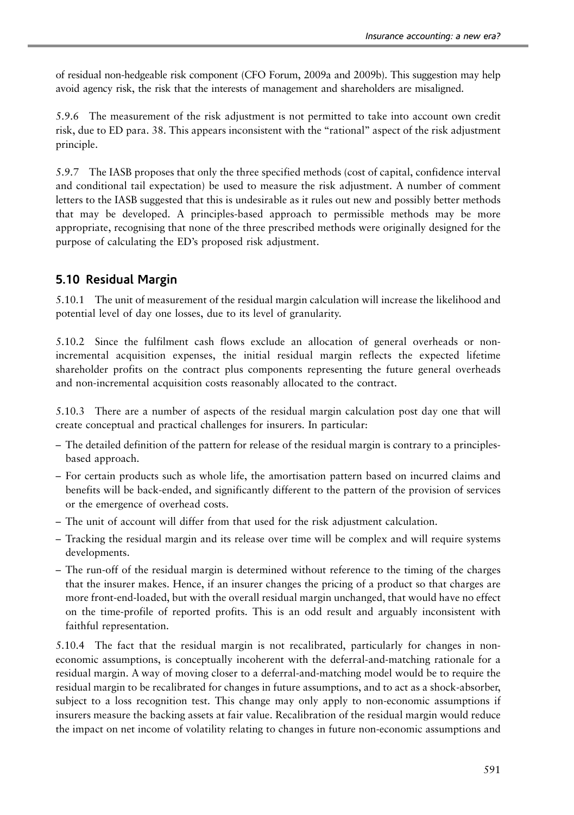of residual non-hedgeable risk component (CFO Forum, [2009a](#page-49-0) and [2009b\)](#page-49-0). This suggestion may help avoid agency risk, the risk that the interests of management and shareholders are misaligned.

5.9.6 The measurement of the risk adjustment is not permitted to take into account own credit risk, due to ED para. 38. This appears inconsistent with the ''rational'' aspect of the risk adjustment principle.

5.9.7 The IASB proposes that only the three specified methods (cost of capital, confidence interval and conditional tail expectation) be used to measure the risk adjustment. A number of comment letters to the IASB suggested that this is undesirable as it rules out new and possibly better methods that may be developed. A principles-based approach to permissible methods may be more appropriate, recognising that none of the three prescribed methods were originally designed for the purpose of calculating the ED's proposed risk adjustment.

### 5.10 Residual Margin

5.10.1 The unit of measurement of the residual margin calculation will increase the likelihood and potential level of day one losses, due to its level of granularity.

5.10.2 Since the fulfilment cash flows exclude an allocation of general overheads or nonincremental acquisition expenses, the initial residual margin reflects the expected lifetime shareholder profits on the contract plus components representing the future general overheads and non-incremental acquisition costs reasonably allocated to the contract.

5.10.3 There are a number of aspects of the residual margin calculation post day one that will create conceptual and practical challenges for insurers. In particular:

- The detailed definition of the pattern for release of the residual margin is contrary to a principlesbased approach.
- For certain products such as whole life, the amortisation pattern based on incurred claims and benefits will be back-ended, and significantly different to the pattern of the provision of services or the emergence of overhead costs.
- The unit of account will differ from that used for the risk adjustment calculation.
- Tracking the residual margin and its release over time will be complex and will require systems developments.
- The run-off of the residual margin is determined without reference to the timing of the charges that the insurer makes. Hence, if an insurer changes the pricing of a product so that charges are more front-end-loaded, but with the overall residual margin unchanged, that would have no effect on the time-profile of reported profits. This is an odd result and arguably inconsistent with faithful representation.

5.10.4 The fact that the residual margin is not recalibrated, particularly for changes in noneconomic assumptions, is conceptually incoherent with the deferral-and-matching rationale for a residual margin. A way of moving closer to a deferral-and-matching model would be to require the residual margin to be recalibrated for changes in future assumptions, and to act as a shock-absorber, subject to a loss recognition test. This change may only apply to non-economic assumptions if insurers measure the backing assets at fair value. Recalibration of the residual margin would reduce the impact on net income of volatility relating to changes in future non-economic assumptions and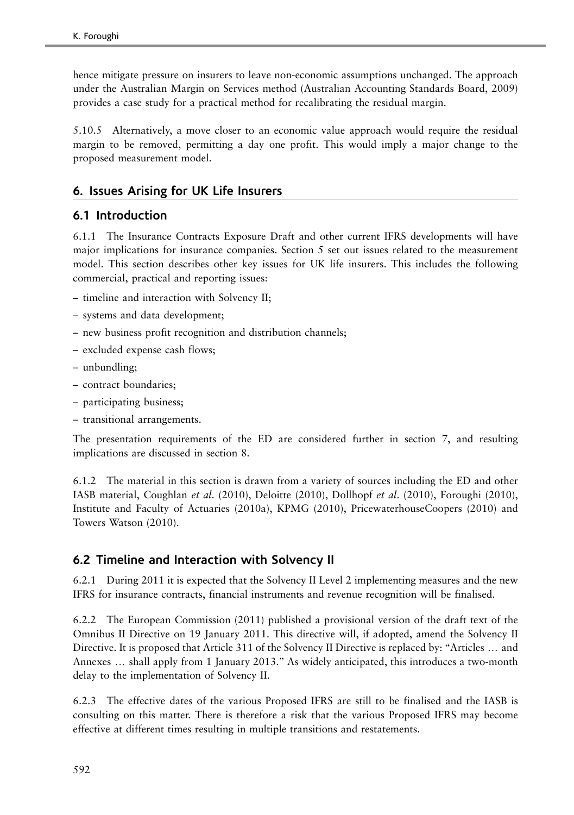hence mitigate pressure on insurers to leave non-economic assumptions unchanged. The approach under the Australian Margin on Services method (Australian Accounting Standards Board, [2009](#page-48-0)) provides a case study for a practical method for recalibrating the residual margin.

5.10.5 Alternatively, a move closer to an economic value approach would require the residual margin to be removed, permitting a day one profit. This would imply a major change to the proposed measurement model.

### 6. Issues Arising for UK Life Insurers

### 6.1 Introduction

6.1.1 The Insurance Contracts Exposure Draft and other current IFRS developments will have major implications for insurance companies. Section 5 set out issues related to the measurement model. This section describes other key issues for UK life insurers. This includes the following commercial, practical and reporting issues:

- timeline and interaction with Solvency II;
- systems and data development;
- new business profit recognition and distribution channels;
- excluded expense cash flows;
- unbundling;
- contract boundaries;
- participating business;
- transitional arrangements.

The presentation requirements of the ED are considered further in section 7, and resulting implications are discussed in section 8.

6.1.2 The material in this section is drawn from a variety of sources including the ED and other IASB material, Coughlan et al. ([2010\)](#page-49-0), Deloitte ([2010](#page-49-0)), Dollhopf et al. ([2010\)](#page-49-0), Foroughi [\(2010\)](#page-49-0), Institute and Faculty of Actuaries [\(2010a\)](#page-49-0), KPMG ([2010](#page-51-0)), PricewaterhouseCoopers [\(2010](#page-51-0)) and Towers Watson ([2010\)](#page-51-0).

### 6.2 Timeline and Interaction with Solvency II

6.2.1 During 2011 it is expected that the Solvency II Level 2 implementing measures and the new IFRS for insurance contracts, financial instruments and revenue recognition will be finalised.

6.2.2 The European Commission [\(2011](#page-49-0)) published a provisional version of the draft text of the Omnibus II Directive on 19 January 2011. This directive will, if adopted, amend the Solvency II Directive. It is proposed that Article 311 of the Solvency II Directive is replaced by: "Articles ... and Annexes ... shall apply from 1 January 2013." As widely anticipated, this introduces a two-month delay to the implementation of Solvency II.

6.2.3 The effective dates of the various Proposed IFRS are still to be finalised and the IASB is consulting on this matter. There is therefore a risk that the various Proposed IFRS may become effective at different times resulting in multiple transitions and restatements.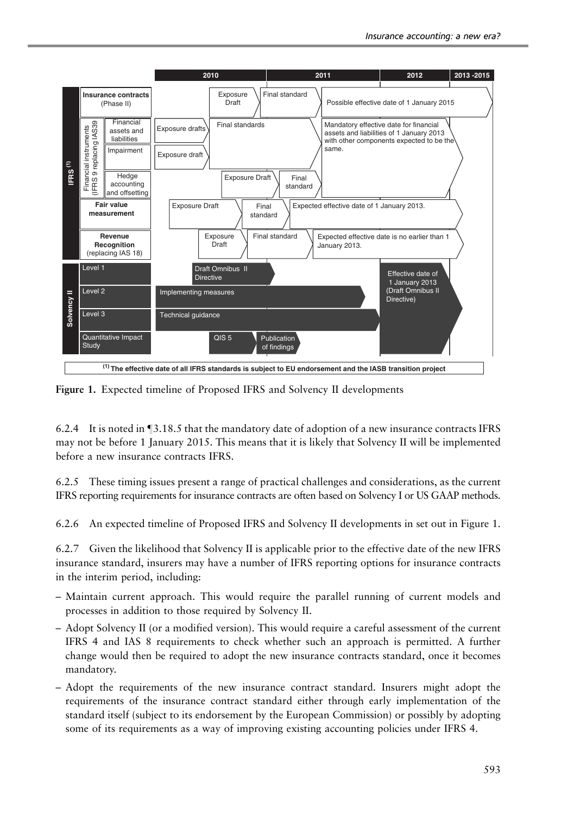

Figure 1. Expected timeline of Proposed IFRS and Solvency II developments

6.2.4 It is noted in  $\P$ 3.18.5 that the mandatory date of adoption of a new insurance contracts IFRS may not be before 1 January 2015. This means that it is likely that Solvency II will be implemented before a new insurance contracts IFRS.

6.2.5 These timing issues present a range of practical challenges and considerations, as the current IFRS reporting requirements for insurance contracts are often based on Solvency I or US GAAP methods.

6.2.6 An expected timeline of Proposed IFRS and Solvency II developments in set out in Figure 1.

6.2.7 Given the likelihood that Solvency II is applicable prior to the effective date of the new IFRS insurance standard, insurers may have a number of IFRS reporting options for insurance contracts in the interim period, including:

- Maintain current approach. This would require the parallel running of current models and processes in addition to those required by Solvency II.
- Adopt Solvency II (or a modified version). This would require a careful assessment of the current IFRS 4 and IAS 8 requirements to check whether such an approach is permitted. A further change would then be required to adopt the new insurance contracts standard, once it becomes mandatory.
- Adopt the requirements of the new insurance contract standard. Insurers might adopt the requirements of the insurance contract standard either through early implementation of the standard itself (subject to its endorsement by the European Commission) or possibly by adopting some of its requirements as a way of improving existing accounting policies under IFRS 4.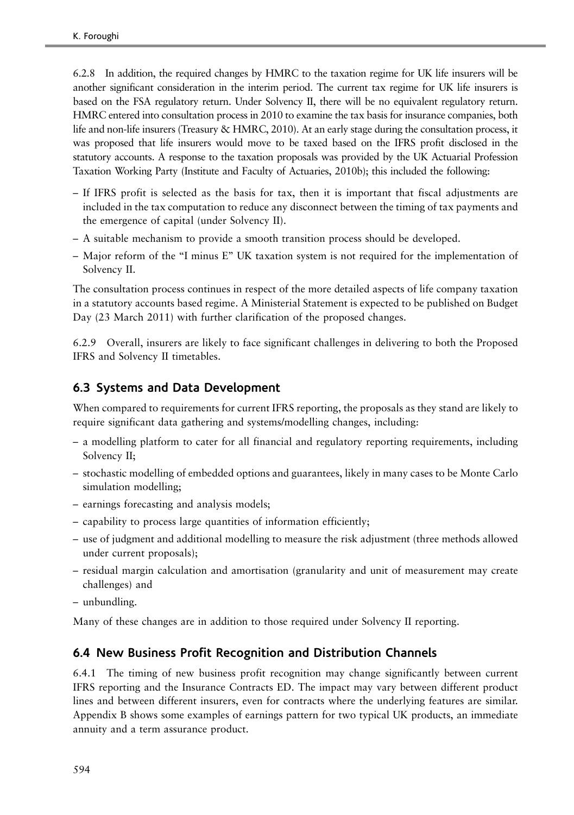6.2.8 In addition, the required changes by HMRC to the taxation regime for UK life insurers will be another significant consideration in the interim period. The current tax regime for UK life insurers is based on the FSA regulatory return. Under Solvency II, there will be no equivalent regulatory return. HMRC entered into consultation process in 2010 to examine the tax basis for insurance companies, both life and non-life insurers (Treasury & HMRC, [2010\)](#page-51-0). At an early stage during the consultation process, it was proposed that life insurers would move to be taxed based on the IFRS profit disclosed in the statutory accounts. A response to the taxation proposals was provided by the UK Actuarial Profession Taxation Working Party (Institute and Faculty of Actuaries, [2010b](#page-49-0)); this included the following:

- If IFRS profit is selected as the basis for tax, then it is important that fiscal adjustments are included in the tax computation to reduce any disconnect between the timing of tax payments and the emergence of capital (under Solvency II).
- A suitable mechanism to provide a smooth transition process should be developed.
- Major reform of the ''I minus E'' UK taxation system is not required for the implementation of Solvency II.

The consultation process continues in respect of the more detailed aspects of life company taxation in a statutory accounts based regime. A Ministerial Statement is expected to be published on Budget Day (23 March 2011) with further clarification of the proposed changes.

6.2.9 Overall, insurers are likely to face significant challenges in delivering to both the Proposed IFRS and Solvency II timetables.

### 6.3 Systems and Data Development

When compared to requirements for current IFRS reporting, the proposals as they stand are likely to require significant data gathering and systems/modelling changes, including:

- a modelling platform to cater for all financial and regulatory reporting requirements, including Solvency II;
- stochastic modelling of embedded options and guarantees, likely in many cases to be Monte Carlo simulation modelling;
- earnings forecasting and analysis models;
- capability to process large quantities of information efficiently;
- use of judgment and additional modelling to measure the risk adjustment (three methods allowed under current proposals);
- residual margin calculation and amortisation (granularity and unit of measurement may create challenges) and
- unbundling.

Many of these changes are in addition to those required under Solvency II reporting.

### 6.4 New Business Profit Recognition and Distribution Channels

6.4.1 The timing of new business profit recognition may change significantly between current IFRS reporting and the Insurance Contracts ED. The impact may vary between different product lines and between different insurers, even for contracts where the underlying features are similar. Appendix B shows some examples of earnings pattern for two typical UK products, an immediate annuity and a term assurance product.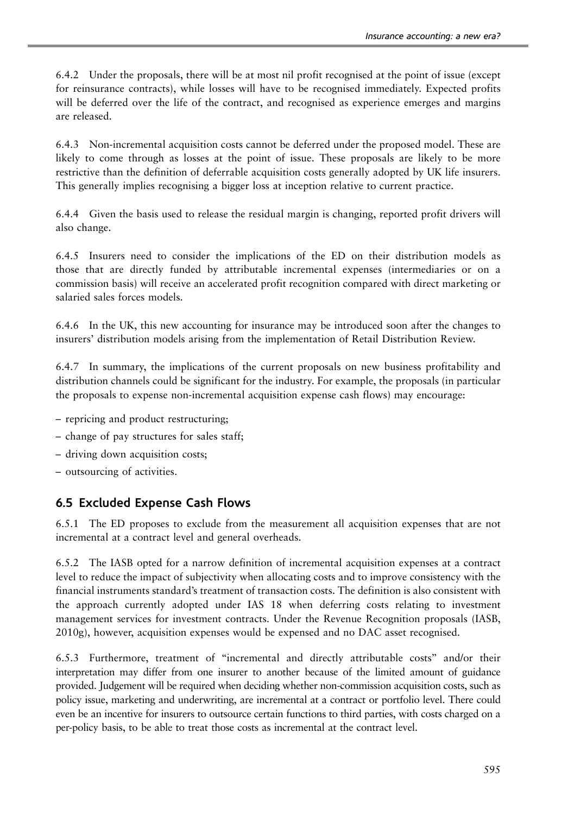6.4.2 Under the proposals, there will be at most nil profit recognised at the point of issue (except for reinsurance contracts), while losses will have to be recognised immediately. Expected profits will be deferred over the life of the contract, and recognised as experience emerges and margins are released.

6.4.3 Non-incremental acquisition costs cannot be deferred under the proposed model. These are likely to come through as losses at the point of issue. These proposals are likely to be more restrictive than the definition of deferrable acquisition costs generally adopted by UK life insurers. This generally implies recognising a bigger loss at inception relative to current practice.

6.4.4 Given the basis used to release the residual margin is changing, reported profit drivers will also change.

6.4.5 Insurers need to consider the implications of the ED on their distribution models as those that are directly funded by attributable incremental expenses (intermediaries or on a commission basis) will receive an accelerated profit recognition compared with direct marketing or salaried sales forces models.

6.4.6 In the UK, this new accounting for insurance may be introduced soon after the changes to insurers' distribution models arising from the implementation of Retail Distribution Review.

6.4.7 In summary, the implications of the current proposals on new business profitability and distribution channels could be significant for the industry. For example, the proposals (in particular the proposals to expense non-incremental acquisition expense cash flows) may encourage:

- repricing and product restructuring;
- change of pay structures for sales staff;
- driving down acquisition costs;
- outsourcing of activities.

### 6.5 Excluded Expense Cash Flows

6.5.1 The ED proposes to exclude from the measurement all acquisition expenses that are not incremental at a contract level and general overheads.

6.5.2 The IASB opted for a narrow definition of incremental acquisition expenses at a contract level to reduce the impact of subjectivity when allocating costs and to improve consistency with the financial instruments standard's treatment of transaction costs. The definition is also consistent with the approach currently adopted under IAS 18 when deferring costs relating to investment management services for investment contracts. Under the Revenue Recognition proposals (IASB, [2010g](#page-50-0)), however, acquisition expenses would be expensed and no DAC asset recognised.

6.5.3 Furthermore, treatment of ''incremental and directly attributable costs'' and/or their interpretation may differ from one insurer to another because of the limited amount of guidance provided. Judgement will be required when deciding whether non-commission acquisition costs, such as policy issue, marketing and underwriting, are incremental at a contract or portfolio level. There could even be an incentive for insurers to outsource certain functions to third parties, with costs charged on a per-policy basis, to be able to treat those costs as incremental at the contract level.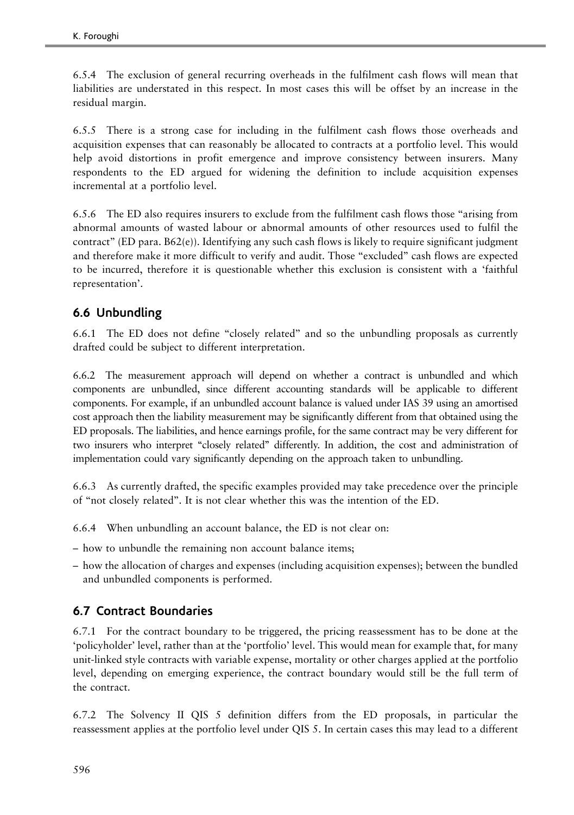6.5.4 The exclusion of general recurring overheads in the fulfilment cash flows will mean that liabilities are understated in this respect. In most cases this will be offset by an increase in the residual margin.

6.5.5 There is a strong case for including in the fulfilment cash flows those overheads and acquisition expenses that can reasonably be allocated to contracts at a portfolio level. This would help avoid distortions in profit emergence and improve consistency between insurers. Many respondents to the ED argued for widening the definition to include acquisition expenses incremental at a portfolio level.

6.5.6 The ED also requires insurers to exclude from the fulfilment cash flows those ''arising from abnormal amounts of wasted labour or abnormal amounts of other resources used to fulfil the contract'' (ED para. B62(e)). Identifying any such cash flows is likely to require significant judgment and therefore make it more difficult to verify and audit. Those "excluded" cash flows are expected to be incurred, therefore it is questionable whether this exclusion is consistent with a 'faithful representation'.

## 6.6 Unbundling

6.6.1 The ED does not define ''closely related'' and so the unbundling proposals as currently drafted could be subject to different interpretation.

6.6.2 The measurement approach will depend on whether a contract is unbundled and which components are unbundled, since different accounting standards will be applicable to different components. For example, if an unbundled account balance is valued under IAS 39 using an amortised cost approach then the liability measurement may be significantly different from that obtained using the ED proposals. The liabilities, and hence earnings profile, for the same contract may be very different for two insurers who interpret "closely related" differently. In addition, the cost and administration of implementation could vary significantly depending on the approach taken to unbundling.

6.6.3 As currently drafted, the specific examples provided may take precedence over the principle of ''not closely related''. It is not clear whether this was the intention of the ED.

- 6.6.4 When unbundling an account balance, the ED is not clear on:
- how to unbundle the remaining non account balance items;
- how the allocation of charges and expenses (including acquisition expenses); between the bundled and unbundled components is performed.

## 6.7 Contract Boundaries

6.7.1 For the contract boundary to be triggered, the pricing reassessment has to be done at the 'policyholder' level, rather than at the 'portfolio' level. This would mean for example that, for many unit-linked style contracts with variable expense, mortality or other charges applied at the portfolio level, depending on emerging experience, the contract boundary would still be the full term of the contract.

6.7.2 The Solvency II QIS 5 definition differs from the ED proposals, in particular the reassessment applies at the portfolio level under QIS 5. In certain cases this may lead to a different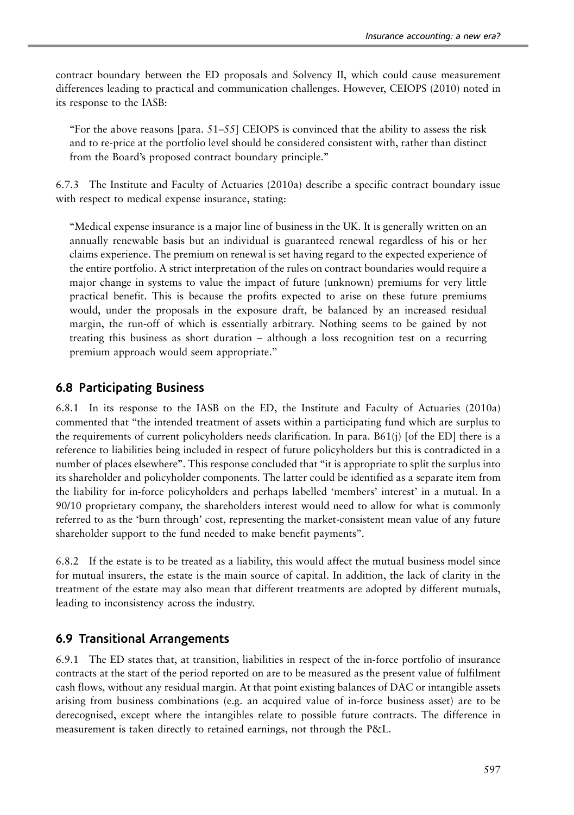contract boundary between the ED proposals and Solvency II, which could cause measurement differences leading to practical and communication challenges. However, CEIOPS ([2010](#page-48-0)) noted in its response to the IASB:

"For the above reasons  $[para. 51–55]$  CEIOPS is convinced that the ability to assess the risk and to re-price at the portfolio level should be considered consistent with, rather than distinct from the Board's proposed contract boundary principle.''

6.7.3 The Institute and Faculty of Actuaries [\(2010a\)](#page-49-0) describe a specific contract boundary issue with respect to medical expense insurance, stating:

''Medical expense insurance is a major line of business in the UK. It is generally written on an annually renewable basis but an individual is guaranteed renewal regardless of his or her claims experience. The premium on renewal is set having regard to the expected experience of the entire portfolio. A strict interpretation of the rules on contract boundaries would require a major change in systems to value the impact of future (unknown) premiums for very little practical benefit. This is because the profits expected to arise on these future premiums would, under the proposals in the exposure draft, be balanced by an increased residual margin, the run-off of which is essentially arbitrary. Nothing seems to be gained by not treating this business as short duration – although a loss recognition test on a recurring premium approach would seem appropriate.''

#### 6.8 Participating Business

6.8.1 In its response to the IASB on the ED, the Institute and Faculty of Actuaries [\(2010a](#page-49-0)) commented that ''the intended treatment of assets within a participating fund which are surplus to the requirements of current policyholders needs clarification. In para. B61(j) [of the ED] there is a reference to liabilities being included in respect of future policyholders but this is contradicted in a number of places elsewhere". This response concluded that "it is appropriate to split the surplus into its shareholder and policyholder components. The latter could be identified as a separate item from the liability for in-force policyholders and perhaps labelled 'members' interest' in a mutual. In a 90/10 proprietary company, the shareholders interest would need to allow for what is commonly referred to as the 'burn through' cost, representing the market-consistent mean value of any future shareholder support to the fund needed to make benefit payments''.

6.8.2 If the estate is to be treated as a liability, this would affect the mutual business model since for mutual insurers, the estate is the main source of capital. In addition, the lack of clarity in the treatment of the estate may also mean that different treatments are adopted by different mutuals, leading to inconsistency across the industry.

#### 6.9 Transitional Arrangements

6.9.1 The ED states that, at transition, liabilities in respect of the in-force portfolio of insurance contracts at the start of the period reported on are to be measured as the present value of fulfilment cash flows, without any residual margin. At that point existing balances of DAC or intangible assets arising from business combinations (e.g. an acquired value of in-force business asset) are to be derecognised, except where the intangibles relate to possible future contracts. The difference in measurement is taken directly to retained earnings, not through the P&L.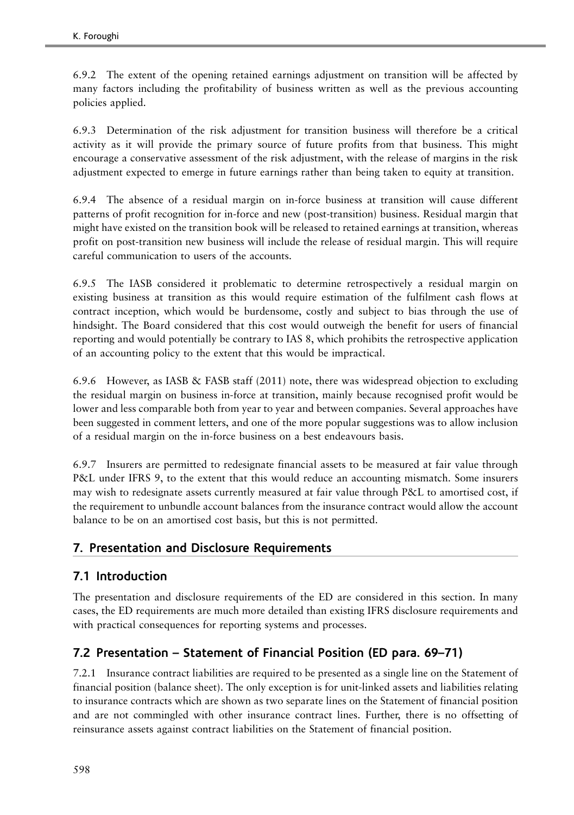6.9.2 The extent of the opening retained earnings adjustment on transition will be affected by many factors including the profitability of business written as well as the previous accounting policies applied.

6.9.3 Determination of the risk adjustment for transition business will therefore be a critical activity as it will provide the primary source of future profits from that business. This might encourage a conservative assessment of the risk adjustment, with the release of margins in the risk adjustment expected to emerge in future earnings rather than being taken to equity at transition.

6.9.4 The absence of a residual margin on in-force business at transition will cause different patterns of profit recognition for in-force and new (post-transition) business. Residual margin that might have existed on the transition book will be released to retained earnings at transition, whereas profit on post-transition new business will include the release of residual margin. This will require careful communication to users of the accounts.

6.9.5 The IASB considered it problematic to determine retrospectively a residual margin on existing business at transition as this would require estimation of the fulfilment cash flows at contract inception, which would be burdensome, costly and subject to bias through the use of hindsight. The Board considered that this cost would outweigh the benefit for users of financial reporting and would potentially be contrary to IAS 8, which prohibits the retrospective application of an accounting policy to the extent that this would be impractical.

6.9.6 However, as IASB & FASB staff [\(2011\)](#page-50-0) note, there was widespread objection to excluding the residual margin on business in-force at transition, mainly because recognised profit would be lower and less comparable both from year to year and between companies. Several approaches have been suggested in comment letters, and one of the more popular suggestions was to allow inclusion of a residual margin on the in-force business on a best endeavours basis.

6.9.7 Insurers are permitted to redesignate financial assets to be measured at fair value through P&L under IFRS 9, to the extent that this would reduce an accounting mismatch. Some insurers may wish to redesignate assets currently measured at fair value through P&L to amortised cost, if the requirement to unbundle account balances from the insurance contract would allow the account balance to be on an amortised cost basis, but this is not permitted.

### 7. Presentation and Disclosure Requirements

### 7.1 Introduction

The presentation and disclosure requirements of the ED are considered in this section. In many cases, the ED requirements are much more detailed than existing IFRS disclosure requirements and with practical consequences for reporting systems and processes.

### 7.2 Presentation – Statement of Financial Position (ED para. 69–71)

7.2.1 Insurance contract liabilities are required to be presented as a single line on the Statement of financial position (balance sheet). The only exception is for unit-linked assets and liabilities relating to insurance contracts which are shown as two separate lines on the Statement of financial position and are not commingled with other insurance contract lines. Further, there is no offsetting of reinsurance assets against contract liabilities on the Statement of financial position.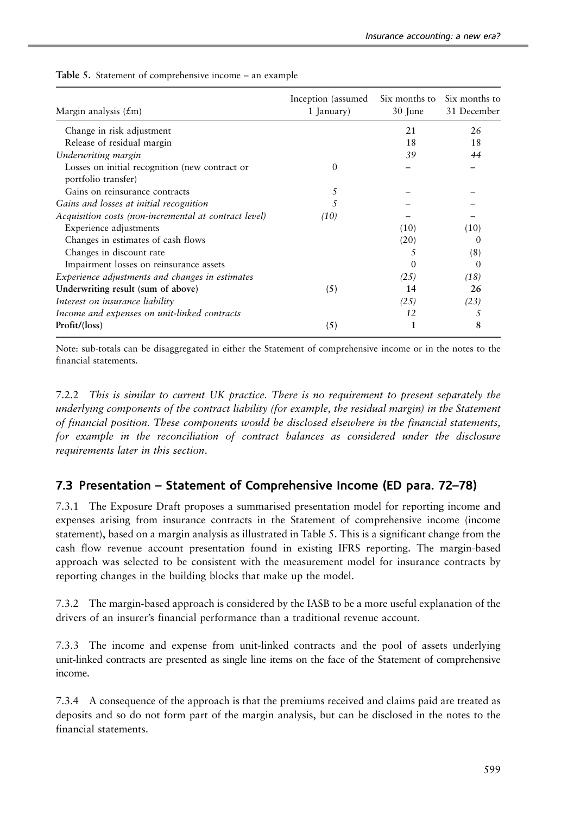| Margin analysis $(\text{\pounds}m)$                                   | Inception (assumed)<br>1 January) | Six months to<br>30 June | Six months to<br>31 December |
|-----------------------------------------------------------------------|-----------------------------------|--------------------------|------------------------------|
| Change in risk adjustment                                             |                                   | 21                       | 26                           |
| Release of residual margin                                            |                                   | 18                       | 18                           |
| Underwriting margin                                                   |                                   | 39                       | 44                           |
| Losses on initial recognition (new contract or<br>portfolio transfer) |                                   |                          |                              |
| Gains on reinsurance contracts                                        | 5                                 |                          |                              |
| Gains and losses at initial recognition                               |                                   |                          |                              |
| Acquisition costs (non-incremental at contract level)                 | (10)                              |                          |                              |
| Experience adjustments                                                |                                   | (10)                     | (10)                         |
| Changes in estimates of cash flows                                    |                                   | (20)                     | $\theta$                     |
| Changes in discount rate                                              |                                   | 5                        | (8)                          |
| Impairment losses on reinsurance assets                               |                                   | $\Omega$                 | $\Omega$                     |
| Experience adjustments and changes in estimates                       |                                   | (25)                     | (18)                         |
| Underwriting result (sum of above)                                    | (5)                               | 14                       | 26                           |
| Interest on insurance liability                                       |                                   | (25)                     | (23)                         |
| Income and expenses on unit-linked contracts                          |                                   | 12                       |                              |
| Profit/(loss)                                                         | (5)                               | 1                        | 8                            |

Table 5. Statement of comprehensive income – an example

Note: sub-totals can be disaggregated in either the Statement of comprehensive income or in the notes to the financial statements.

7.2.2 This is similar to current UK practice. There is no requirement to present separately the underlying components of the contract liability (for example, the residual margin) in the Statement of financial position. These components would be disclosed elsewhere in the financial statements, for example in the reconciliation of contract balances as considered under the disclosure requirements later in this section.

### 7.3 Presentation – Statement of Comprehensive Income (ED para. 72–78)

7.3.1 The Exposure Draft proposes a summarised presentation model for reporting income and expenses arising from insurance contracts in the Statement of comprehensive income (income statement), based on a margin analysis as illustrated in Table 5. This is a significant change from the cash flow revenue account presentation found in existing IFRS reporting. The margin-based approach was selected to be consistent with the measurement model for insurance contracts by reporting changes in the building blocks that make up the model.

7.3.2 The margin-based approach is considered by the IASB to be a more useful explanation of the drivers of an insurer's financial performance than a traditional revenue account.

7.3.3 The income and expense from unit-linked contracts and the pool of assets underlying unit-linked contracts are presented as single line items on the face of the Statement of comprehensive income.

7.3.4 A consequence of the approach is that the premiums received and claims paid are treated as deposits and so do not form part of the margin analysis, but can be disclosed in the notes to the financial statements.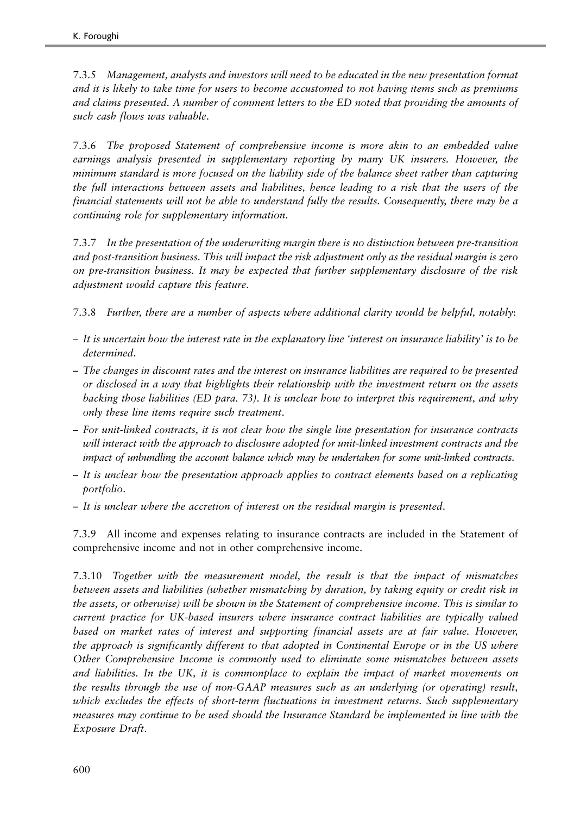7.3.5 Management, analysts and investors will need to be educated in the new presentation format and it is likely to take time for users to become accustomed to not having items such as premiums and claims presented. A number of comment letters to the ED noted that providing the amounts of such cash flows was valuable.

7.3.6 The proposed Statement of comprehensive income is more akin to an embedded value earnings analysis presented in supplementary reporting by many UK insurers. However, the minimum standard is more focused on the liability side of the balance sheet rather than capturing the full interactions between assets and liabilities, hence leading to a risk that the users of the financial statements will not be able to understand fully the results. Consequently, there may be a continuing role for supplementary information.

7.3.7 In the presentation of the underwriting margin there is no distinction between pre-transition and post-transition business. This will impact the risk adjustment only as the residual margin is zero on pre-transition business. It may be expected that further supplementary disclosure of the risk adjustment would capture this feature.

7.3.8 Further, there are a number of aspects where additional clarity would be helpful, notably:

- It is uncertain how the interest rate in the explanatory line 'interest on insurance liability' is to be determined.
- The changes in discount rates and the interest on insurance liabilities are required to be presented or disclosed in a way that highlights their relationship with the investment return on the assets backing those liabilities (ED para. 73). It is unclear how to interpret this requirement, and why only these line items require such treatment.
- For unit-linked contracts, it is not clear how the single line presentation for insurance contracts will interact with the approach to disclosure adopted for unit-linked investment contracts and the impact of unbundling the account balance which may be undertaken for some unit-linked contracts.
- It is unclear how the presentation approach applies to contract elements based on a replicating portfolio.
- It is unclear where the accretion of interest on the residual margin is presented.

7.3.9 All income and expenses relating to insurance contracts are included in the Statement of comprehensive income and not in other comprehensive income.

7.3.10 Together with the measurement model, the result is that the impact of mismatches between assets and liabilities (whether mismatching by duration, by taking equity or credit risk in the assets, or otherwise) will be shown in the Statement of comprehensive income. This is similar to current practice for UK-based insurers where insurance contract liabilities are typically valued based on market rates of interest and supporting financial assets are at fair value. However, the approach is significantly different to that adopted in Continental Europe or in the US where Other Comprehensive Income is commonly used to eliminate some mismatches between assets and liabilities. In the UK, it is commonplace to explain the impact of market movements on the results through the use of non-GAAP measures such as an underlying (or operating) result, which excludes the effects of short-term fluctuations in investment returns. Such supplementary measures may continue to be used should the Insurance Standard be implemented in line with the Exposure Draft.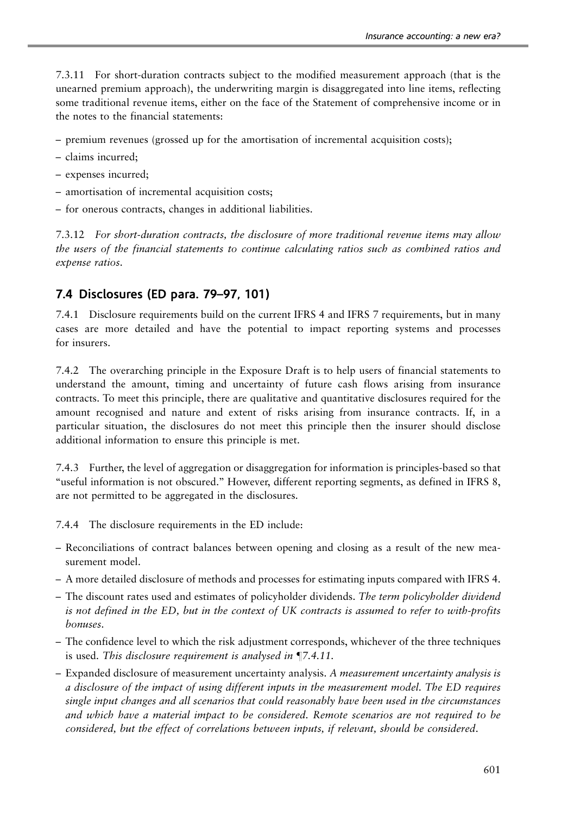7.3.11 For short-duration contracts subject to the modified measurement approach (that is the unearned premium approach), the underwriting margin is disaggregated into line items, reflecting some traditional revenue items, either on the face of the Statement of comprehensive income or in the notes to the financial statements:

– premium revenues (grossed up for the amortisation of incremental acquisition costs);

- claims incurred;
- expenses incurred;
- amortisation of incremental acquisition costs;
- for onerous contracts, changes in additional liabilities.

7.3.12 For short-duration contracts, the disclosure of more traditional revenue items may allow the users of the financial statements to continue calculating ratios such as combined ratios and expense ratios.

### 7.4 Disclosures (ED para. 79–97, 101)

7.4.1 Disclosure requirements build on the current IFRS 4 and IFRS 7 requirements, but in many cases are more detailed and have the potential to impact reporting systems and processes for insurers.

7.4.2 The overarching principle in the Exposure Draft is to help users of financial statements to understand the amount, timing and uncertainty of future cash flows arising from insurance contracts. To meet this principle, there are qualitative and quantitative disclosures required for the amount recognised and nature and extent of risks arising from insurance contracts. If, in a particular situation, the disclosures do not meet this principle then the insurer should disclose additional information to ensure this principle is met.

7.4.3 Further, the level of aggregation or disaggregation for information is principles-based so that ''useful information is not obscured.'' However, different reporting segments, as defined in IFRS 8, are not permitted to be aggregated in the disclosures.

7.4.4 The disclosure requirements in the ED include:

- Reconciliations of contract balances between opening and closing as a result of the new measurement model.
- A more detailed disclosure of methods and processes for estimating inputs compared with IFRS 4.
- The discount rates used and estimates of policyholder dividends. The term policyholder dividend is not defined in the ED, but in the context of UK contracts is assumed to refer to with-profits bonuses.
- The confidence level to which the risk adjustment corresponds, whichever of the three techniques is used. This disclosure requirement is analysed in  $\P$ 7.4.11.
- Expanded disclosure of measurement uncertainty analysis. A measurement uncertainty analysis is a disclosure of the impact of using different inputs in the measurement model. The ED requires single input changes and all scenarios that could reasonably have been used in the circumstances and which have a material impact to be considered. Remote scenarios are not required to be considered, but the effect of correlations between inputs, if relevant, should be considered.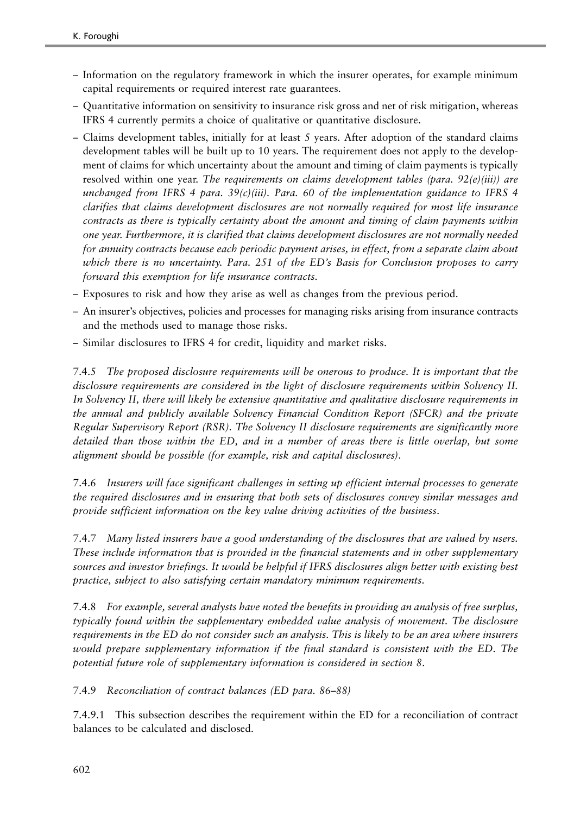- Information on the regulatory framework in which the insurer operates, for example minimum capital requirements or required interest rate guarantees.
- Quantitative information on sensitivity to insurance risk gross and net of risk mitigation, whereas IFRS 4 currently permits a choice of qualitative or quantitative disclosure.
- Claims development tables, initially for at least 5 years. After adoption of the standard claims development tables will be built up to 10 years. The requirement does not apply to the development of claims for which uncertainty about the amount and timing of claim payments is typically resolved within one year. The requirements on claims development tables (para, 92(e)(iii)) are unchanged from IFRS 4 para.  $39(c)(iii)$ . Para. 60 of the implementation guidance to IFRS 4 clarifies that claims development disclosures are not normally required for most life insurance contracts as there is typically certainty about the amount and timing of claim payments within one year. Furthermore, it is clarified that claims development disclosures are not normally needed for annuity contracts because each periodic payment arises, in effect, from a separate claim about which there is no uncertainty. Para. 251 of the ED's Basis for Conclusion proposes to carry forward this exemption for life insurance contracts.
- Exposures to risk and how they arise as well as changes from the previous period.
- An insurer's objectives, policies and processes for managing risks arising from insurance contracts and the methods used to manage those risks.
- Similar disclosures to IFRS 4 for credit, liquidity and market risks.

7.4.5 The proposed disclosure requirements will be onerous to produce. It is important that the disclosure requirements are considered in the light of disclosure requirements within Solvency II. In Solvency II, there will likely be extensive quantitative and qualitative disclosure requirements in the annual and publicly available Solvency Financial Condition Report (SFCR) and the private Regular Supervisory Report (RSR). The Solvency II disclosure requirements are significantly more detailed than those within the ED, and in a number of areas there is little overlap, but some alignment should be possible (for example, risk and capital disclosures).

7.4.6 Insurers will face significant challenges in setting up efficient internal processes to generate the required disclosures and in ensuring that both sets of disclosures convey similar messages and provide sufficient information on the key value driving activities of the business.

7.4.7 Many listed insurers have a good understanding of the disclosures that are valued by users. These include information that is provided in the financial statements and in other supplementary sources and investor briefings. It would be helpful if IFRS disclosures align better with existing best practice, subject to also satisfying certain mandatory minimum requirements.

7.4.8 For example, several analysts have noted the benefits in providing an analysis of free surplus, typically found within the supplementary embedded value analysis of movement. The disclosure requirements in the ED do not consider such an analysis. This is likely to be an area where insurers would prepare supplementary information if the final standard is consistent with the ED. The potential future role of supplementary information is considered in section 8.

7.4.9 Reconciliation of contract balances (ED para. 86–88)

7.4.9.1 This subsection describes the requirement within the ED for a reconciliation of contract balances to be calculated and disclosed.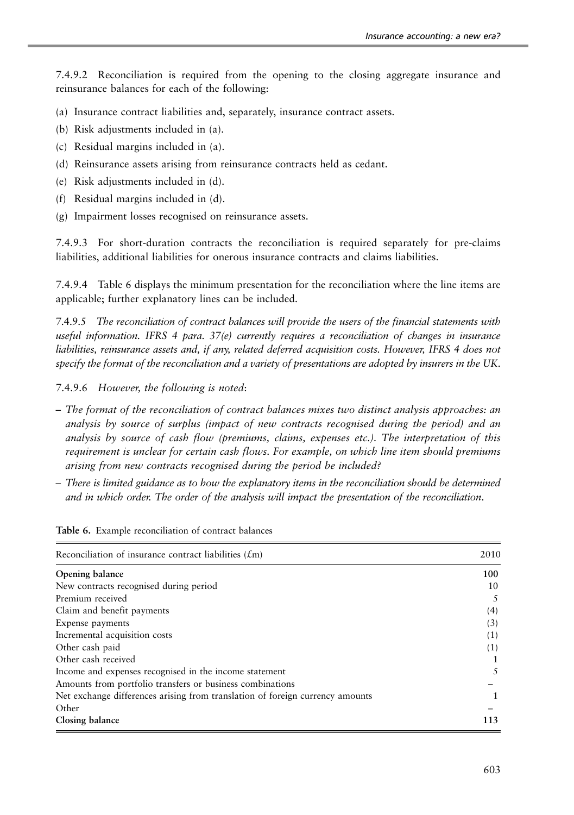7.4.9.2 Reconciliation is required from the opening to the closing aggregate insurance and reinsurance balances for each of the following:

- (a) Insurance contract liabilities and, separately, insurance contract assets.
- (b) Risk adjustments included in (a).
- (c) Residual margins included in (a).
- (d) Reinsurance assets arising from reinsurance contracts held as cedant.
- (e) Risk adjustments included in (d).
- (f) Residual margins included in (d).
- (g) Impairment losses recognised on reinsurance assets.

7.4.9.3 For short-duration contracts the reconciliation is required separately for pre-claims liabilities, additional liabilities for onerous insurance contracts and claims liabilities.

7.4.9.4 Table 6 displays the minimum presentation for the reconciliation where the line items are applicable; further explanatory lines can be included.

7.4.9.5 The reconciliation of contract balances will provide the users of the financial statements with useful information. IFRS 4 para. 37(e) currently requires a reconciliation of changes in insurance liabilities, reinsurance assets and, if any, related deferred acquisition costs. However, IFRS 4 does not specify the format of the reconciliation and a variety of presentations are adopted by insurers in the UK.

- 7.4.9.6 However, the following is noted:
- The format of the reconciliation of contract balances mixes two distinct analysis approaches: an analysis by source of surplus (impact of new contracts recognised during the period) and an analysis by source of cash flow (premiums, claims, expenses etc.). The interpretation of this requirement is unclear for certain cash flows. For example, on which line item should premiums arising from new contracts recognised during the period be included?
- There is limited guidance as to how the explanatory items in the reconciliation should be determined and in which order. The order of the analysis will impact the presentation of the reconciliation.

| Reconciliation of insurance contract liabilities $(f_m)$                      | 2010 |
|-------------------------------------------------------------------------------|------|
| Opening balance                                                               | 100  |
| New contracts recognised during period                                        | 10   |
| Premium received                                                              | 5    |
| Claim and benefit payments                                                    | (4)  |
| Expense payments                                                              | (3)  |
| Incremental acquisition costs                                                 | (1)  |
| Other cash paid                                                               | (1)  |
| Other cash received                                                           |      |
| Income and expenses recognised in the income statement                        | 5    |
| Amounts from portfolio transfers or business combinations                     |      |
| Net exchange differences arising from translation of foreign currency amounts | 1    |
| Other                                                                         |      |
| Closing balance                                                               | 113  |

Table 6. Example reconciliation of contract balances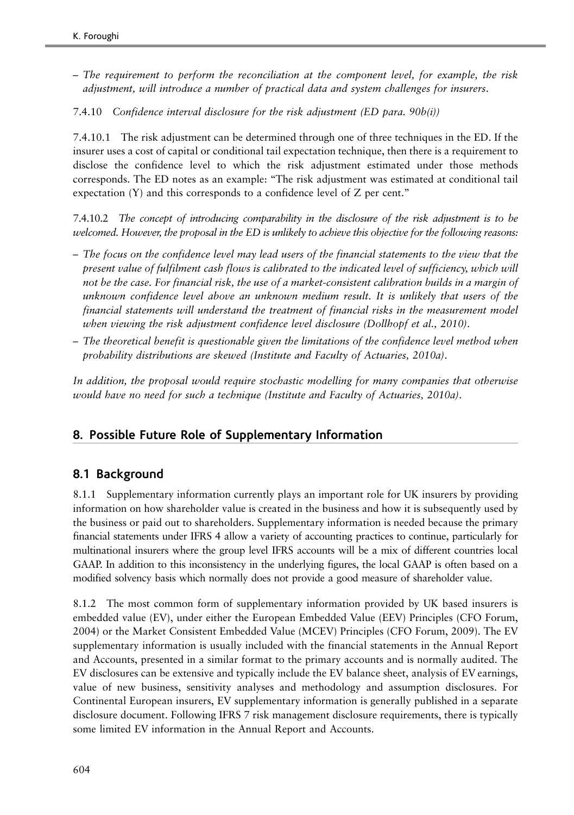- The requirement to perform the reconciliation at the component level, for example, the risk adjustment, will introduce a number of practical data and system challenges for insurers.
- 7.4.10 Confidence interval disclosure for the risk adjustment (ED para. 90b(i))

7.4.10.1 The risk adjustment can be determined through one of three techniques in the ED. If the insurer uses a cost of capital or conditional tail expectation technique, then there is a requirement to disclose the confidence level to which the risk adjustment estimated under those methods corresponds. The ED notes as an example: ''The risk adjustment was estimated at conditional tail expectation (Y) and this corresponds to a confidence level of Z per cent.''

7.4.10.2 The concept of introducing comparability in the disclosure of the risk adjustment is to be welcomed. However, the proposal in the ED is unlikely to achieve this objective for the following reasons:

- The focus on the confidence level may lead users of the financial statements to the view that the present value of fulfilment cash flows is calibrated to the indicated level of sufficiency, which will not be the case. For financial risk, the use of a market-consistent calibration builds in a margin of unknown confidence level above an unknown medium result. It is unlikely that users of the financial statements will understand the treatment of financial risks in the measurement model when viewing the risk adjustment confidence level disclosure (Dollhopf et al., [2010](#page-49-0)).
- The theoretical benefit is questionable given the limitations of the confidence level method when probability distributions are skewed (Institute and Faculty of Actuaries, [2010a\)](#page-49-0).

In addition, the proposal would require stochastic modelling for many companies that otherwise would have no need for such a technique (Institute and Faculty of Actuaries, [2010a](#page-49-0)).

### 8. Possible Future Role of Supplementary Information

### 8.1 Background

8.1.1 Supplementary information currently plays an important role for UK insurers by providing information on how shareholder value is created in the business and how it is subsequently used by the business or paid out to shareholders. Supplementary information is needed because the primary financial statements under IFRS 4 allow a variety of accounting practices to continue, particularly for multinational insurers where the group level IFRS accounts will be a mix of different countries local GAAP. In addition to this inconsistency in the underlying figures, the local GAAP is often based on a modified solvency basis which normally does not provide a good measure of shareholder value.

8.1.2 The most common form of supplementary information provided by UK based insurers is embedded value (EV), under either the European Embedded Value (EEV) Principles (CFO Forum, [2004\)](#page-48-0) or the Market Consistent Embedded Value (MCEV) Principles (CFO Forum, 2009). The EV supplementary information is usually included with the financial statements in the Annual Report and Accounts, presented in a similar format to the primary accounts and is normally audited. The EV disclosures can be extensive and typically include the EV balance sheet, analysis of EV earnings, value of new business, sensitivity analyses and methodology and assumption disclosures. For Continental European insurers, EV supplementary information is generally published in a separate disclosure document. Following IFRS 7 risk management disclosure requirements, there is typically some limited EV information in the Annual Report and Accounts.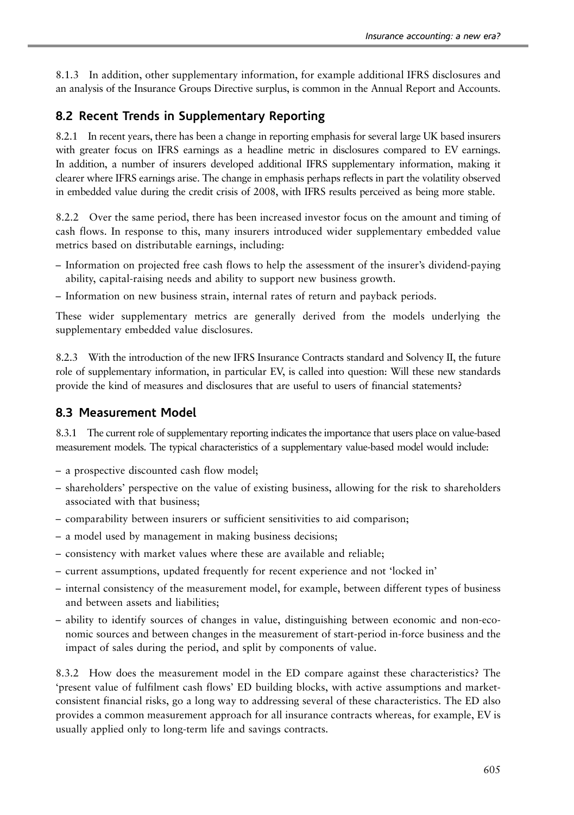8.1.3 In addition, other supplementary information, for example additional IFRS disclosures and an analysis of the Insurance Groups Directive surplus, is common in the Annual Report and Accounts.

### 8.2 Recent Trends in Supplementary Reporting

8.2.1 In recent years, there has been a change in reporting emphasis for several large UK based insurers with greater focus on IFRS earnings as a headline metric in disclosures compared to EV earnings. In addition, a number of insurers developed additional IFRS supplementary information, making it clearer where IFRS earnings arise. The change in emphasis perhaps reflects in part the volatility observed in embedded value during the credit crisis of 2008, with IFRS results perceived as being more stable.

8.2.2 Over the same period, there has been increased investor focus on the amount and timing of cash flows. In response to this, many insurers introduced wider supplementary embedded value metrics based on distributable earnings, including:

- Information on projected free cash flows to help the assessment of the insurer's dividend-paying ability, capital-raising needs and ability to support new business growth.
- Information on new business strain, internal rates of return and payback periods.

These wider supplementary metrics are generally derived from the models underlying the supplementary embedded value disclosures.

8.2.3 With the introduction of the new IFRS Insurance Contracts standard and Solvency II, the future role of supplementary information, in particular EV, is called into question: Will these new standards provide the kind of measures and disclosures that are useful to users of financial statements?

### 8.3 Measurement Model

8.3.1 The current role of supplementary reporting indicates the importance that users place on value-based measurement models. The typical characteristics of a supplementary value-based model would include:

- a prospective discounted cash flow model;
- shareholders' perspective on the value of existing business, allowing for the risk to shareholders associated with that business;
- comparability between insurers or sufficient sensitivities to aid comparison;
- a model used by management in making business decisions;
- consistency with market values where these are available and reliable;
- current assumptions, updated frequently for recent experience and not 'locked in'
- internal consistency of the measurement model, for example, between different types of business and between assets and liabilities;
- ability to identify sources of changes in value, distinguishing between economic and non-economic sources and between changes in the measurement of start-period in-force business and the impact of sales during the period, and split by components of value.

8.3.2 How does the measurement model in the ED compare against these characteristics? The 'present value of fulfilment cash flows' ED building blocks, with active assumptions and marketconsistent financial risks, go a long way to addressing several of these characteristics. The ED also provides a common measurement approach for all insurance contracts whereas, for example, EV is usually applied only to long-term life and savings contracts.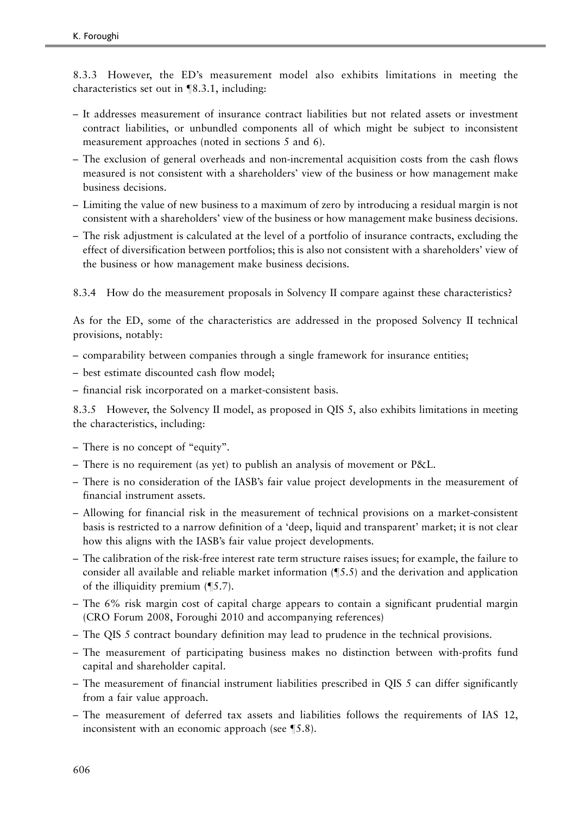8.3.3 However, the ED's measurement model also exhibits limitations in meeting the characteristics set out in  $\P$ 8.3.1, including:

- It addresses measurement of insurance contract liabilities but not related assets or investment contract liabilities, or unbundled components all of which might be subject to inconsistent measurement approaches (noted in sections 5 and 6).
- The exclusion of general overheads and non-incremental acquisition costs from the cash flows measured is not consistent with a shareholders' view of the business or how management make business decisions.
- Limiting the value of new business to a maximum of zero by introducing a residual margin is not consistent with a shareholders' view of the business or how management make business decisions.
- The risk adjustment is calculated at the level of a portfolio of insurance contracts, excluding the effect of diversification between portfolios; this is also not consistent with a shareholders' view of the business or how management make business decisions.

8.3.4 How do the measurement proposals in Solvency II compare against these characteristics?

As for the ED, some of the characteristics are addressed in the proposed Solvency II technical provisions, notably:

- comparability between companies through a single framework for insurance entities;
- best estimate discounted cash flow model;
- financial risk incorporated on a market-consistent basis.

8.3.5 However, the Solvency II model, as proposed in QIS 5, also exhibits limitations in meeting the characteristics, including:

- There is no concept of "equity".
- There is no requirement (as yet) to publish an analysis of movement or P&L.
- There is no consideration of the IASB's fair value project developments in the measurement of financial instrument assets.
- Allowing for financial risk in the measurement of technical provisions on a market-consistent basis is restricted to a narrow definition of a 'deep, liquid and transparent' market; it is not clear how this aligns with the IASB's fair value project developments.
- The calibration of the risk-free interest rate term structure raises issues; for example, the failure to consider all available and reliable market information  $(\S5.5)$  and the derivation and application of the illiquidity premium  $(\P 5.7)$ .
- The 6% risk margin cost of capital charge appears to contain a significant prudential margin (CRO Forum [2008](#page-49-0), Foroughi [2010](#page-49-0) and accompanying references)
- The QIS 5 contract boundary definition may lead to prudence in the technical provisions.
- The measurement of participating business makes no distinction between with-profits fund capital and shareholder capital.
- The measurement of financial instrument liabilities prescribed in QIS 5 can differ significantly from a fair value approach.
- The measurement of deferred tax assets and liabilities follows the requirements of IAS 12, inconsistent with an economic approach (see  $\S$ 5.8).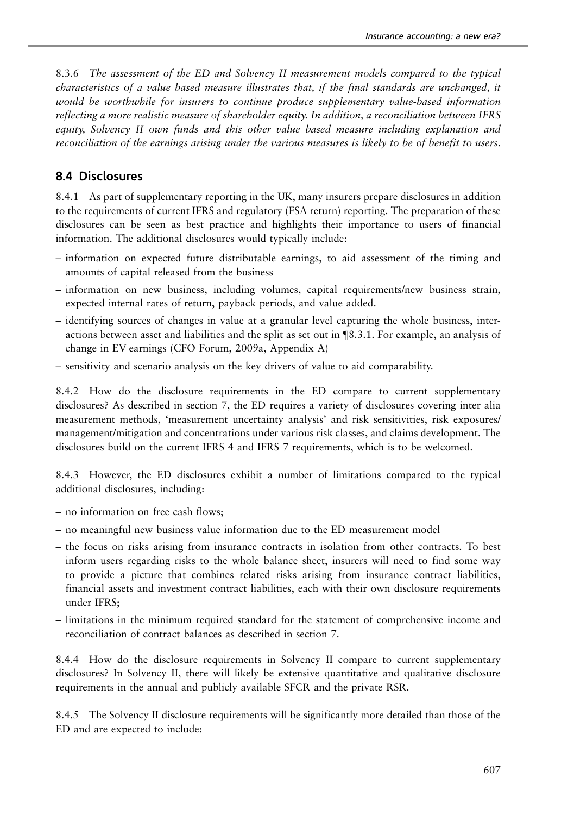8.3.6 The assessment of the ED and Solvency II measurement models compared to the typical characteristics of a value based measure illustrates that, if the final standards are unchanged, it would be worthwhile for insurers to continue produce supplementary value-based information reflecting a more realistic measure of shareholder equity. In addition, a reconciliation between IFRS equity, Solvency II own funds and this other value based measure including explanation and reconciliation of the earnings arising under the various measures is likely to be of benefit to users.

#### 8.4 Disclosures

8.4.1 As part of supplementary reporting in the UK, many insurers prepare disclosures in addition to the requirements of current IFRS and regulatory (FSA return) reporting. The preparation of these disclosures can be seen as best practice and highlights their importance to users of financial information. The additional disclosures would typically include:

- information on expected future distributable earnings, to aid assessment of the timing and amounts of capital released from the business
- information on new business, including volumes, capital requirements/new business strain, expected internal rates of return, payback periods, and value added.
- identifying sources of changes in value at a granular level capturing the whole business, interactions between asset and liabilities and the split as set out in  $$8.3.1$ . For example, an analysis of change in EV earnings (CFO Forum, [2009a,](#page-49-0) Appendix A)
- sensitivity and scenario analysis on the key drivers of value to aid comparability.

8.4.2 How do the disclosure requirements in the ED compare to current supplementary disclosures? As described in section 7, the ED requires a variety of disclosures covering inter alia measurement methods, 'measurement uncertainty analysis' and risk sensitivities, risk exposures/ management/mitigation and concentrations under various risk classes, and claims development. The disclosures build on the current IFRS 4 and IFRS 7 requirements, which is to be welcomed.

8.4.3 However, the ED disclosures exhibit a number of limitations compared to the typical additional disclosures, including:

- no information on free cash flows;
- no meaningful new business value information due to the ED measurement model
- the focus on risks arising from insurance contracts in isolation from other contracts. To best inform users regarding risks to the whole balance sheet, insurers will need to find some way to provide a picture that combines related risks arising from insurance contract liabilities, financial assets and investment contract liabilities, each with their own disclosure requirements under IFRS;
- limitations in the minimum required standard for the statement of comprehensive income and reconciliation of contract balances as described in section 7.

8.4.4 How do the disclosure requirements in Solvency II compare to current supplementary disclosures? In Solvency II, there will likely be extensive quantitative and qualitative disclosure requirements in the annual and publicly available SFCR and the private RSR.

8.4.5 The Solvency II disclosure requirements will be significantly more detailed than those of the ED and are expected to include: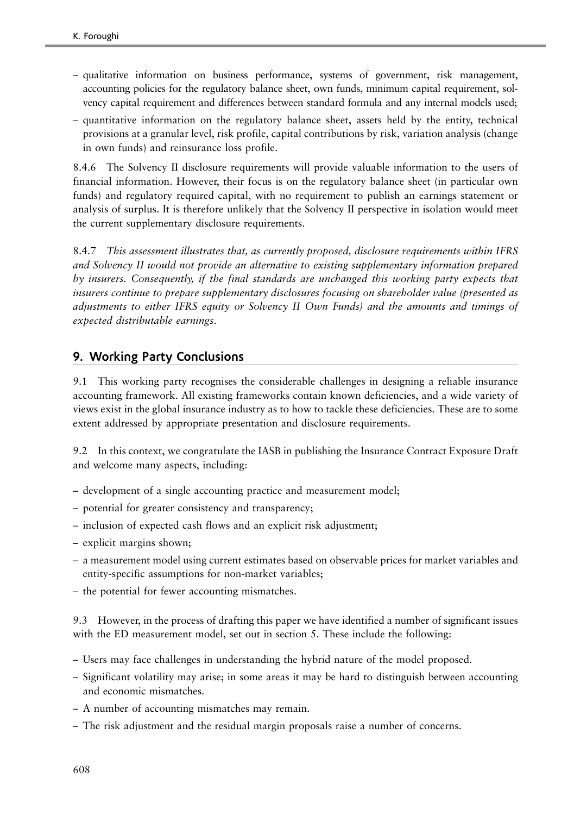- qualitative information on business performance, systems of government, risk management, accounting policies for the regulatory balance sheet, own funds, minimum capital requirement, solvency capital requirement and differences between standard formula and any internal models used;
- quantitative information on the regulatory balance sheet, assets held by the entity, technical provisions at a granular level, risk profile, capital contributions by risk, variation analysis (change in own funds) and reinsurance loss profile.

8.4.6 The Solvency II disclosure requirements will provide valuable information to the users of financial information. However, their focus is on the regulatory balance sheet (in particular own funds) and regulatory required capital, with no requirement to publish an earnings statement or analysis of surplus. It is therefore unlikely that the Solvency II perspective in isolation would meet the current supplementary disclosure requirements.

8.4.7 This assessment illustrates that, as currently proposed, disclosure requirements within IFRS and Solvency II would not provide an alternative to existing supplementary information prepared by insurers. Consequently, if the final standards are unchanged this working party expects that insurers continue to prepare supplementary disclosures focusing on shareholder value (presented as adjustments to either IFRS equity or Solvency II Own Funds) and the amounts and timings of expected distributable earnings.

### 9. Working Party Conclusions

9.1 This working party recognises the considerable challenges in designing a reliable insurance accounting framework. All existing frameworks contain known deficiencies, and a wide variety of views exist in the global insurance industry as to how to tackle these deficiencies. These are to some extent addressed by appropriate presentation and disclosure requirements.

9.2 In this context, we congratulate the IASB in publishing the Insurance Contract Exposure Draft and welcome many aspects, including:

- development of a single accounting practice and measurement model;
- potential for greater consistency and transparency;
- inclusion of expected cash flows and an explicit risk adjustment;
- explicit margins shown;
- a measurement model using current estimates based on observable prices for market variables and entity-specific assumptions for non-market variables;
- the potential for fewer accounting mismatches.

9.3 However, in the process of drafting this paper we have identified a number of significant issues with the ED measurement model, set out in section 5. These include the following:

- Users may face challenges in understanding the hybrid nature of the model proposed.
- Significant volatility may arise; in some areas it may be hard to distinguish between accounting and economic mismatches.
- A number of accounting mismatches may remain.
- The risk adjustment and the residual margin proposals raise a number of concerns.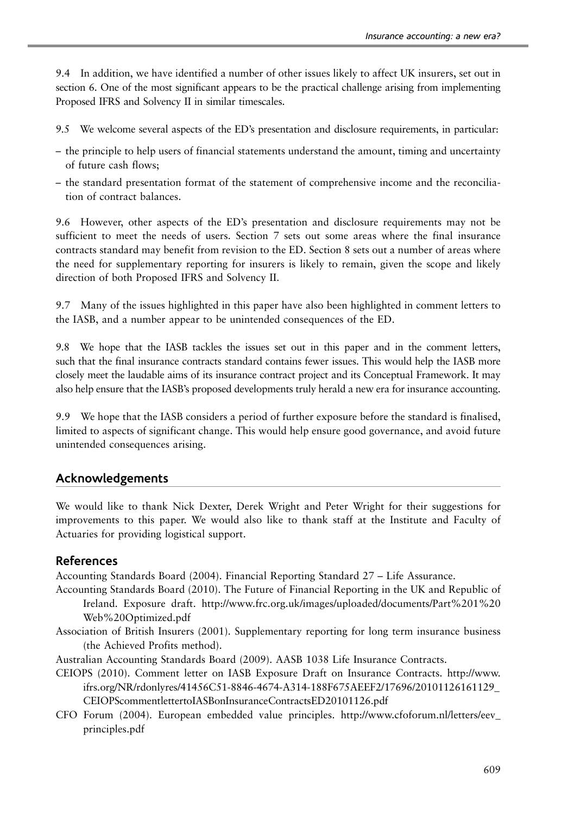<span id="page-48-0"></span>9.4 In addition, we have identified a number of other issues likely to affect UK insurers, set out in section 6. One of the most significant appears to be the practical challenge arising from implementing Proposed IFRS and Solvency II in similar timescales.

- 9.5 We welcome several aspects of the ED's presentation and disclosure requirements, in particular:
- the principle to help users of financial statements understand the amount, timing and uncertainty of future cash flows;
- the standard presentation format of the statement of comprehensive income and the reconciliation of contract balances.

9.6 However, other aspects of the ED's presentation and disclosure requirements may not be sufficient to meet the needs of users. Section 7 sets out some areas where the final insurance contracts standard may benefit from revision to the ED. Section 8 sets out a number of areas where the need for supplementary reporting for insurers is likely to remain, given the scope and likely direction of both Proposed IFRS and Solvency II.

9.7 Many of the issues highlighted in this paper have also been highlighted in comment letters to the IASB, and a number appear to be unintended consequences of the ED.

9.8 We hope that the IASB tackles the issues set out in this paper and in the comment letters, such that the final insurance contracts standard contains fewer issues. This would help the IASB more closely meet the laudable aims of its insurance contract project and its Conceptual Framework. It may also help ensure that the IASB's proposed developments truly herald a new era for insurance accounting.

9.9 We hope that the IASB considers a period of further exposure before the standard is finalised, limited to aspects of significant change. This would help ensure good governance, and avoid future unintended consequences arising.

### Acknowledgements

We would like to thank Nick Dexter, Derek Wright and Peter Wright for their suggestions for improvements to this paper. We would also like to thank staff at the Institute and Faculty of Actuaries for providing logistical support.

### References

Accounting Standards Board (2004). Financial Reporting Standard 27 – Life Assurance.

- Accounting Standards Board (2010). The Future of Financial Reporting in the UK and Republic of Ireland. Exposure draft. http://www.frc.org.uk/images/uploaded/documents/Part%201%20 Web%20Optimized.pdf
- Association of British Insurers (2001). Supplementary reporting for long term insurance business (the Achieved Profits method).
- Australian Accounting Standards Board (2009). AASB 1038 Life Insurance Contracts.
- CEIOPS (2010). Comment letter on IASB Exposure Draft on Insurance Contracts. http://www. ifrs.org/NR/rdonlyres/41456C51-8846-4674-A314-188F675AEEF2/17696/20101126161129\_ CEIOPScommentlettertoIASBonInsuranceContractsED20101126.pdf
- CFO Forum (2004). European embedded value principles. http://www.cfoforum.nl/letters/eev\_ principles.pdf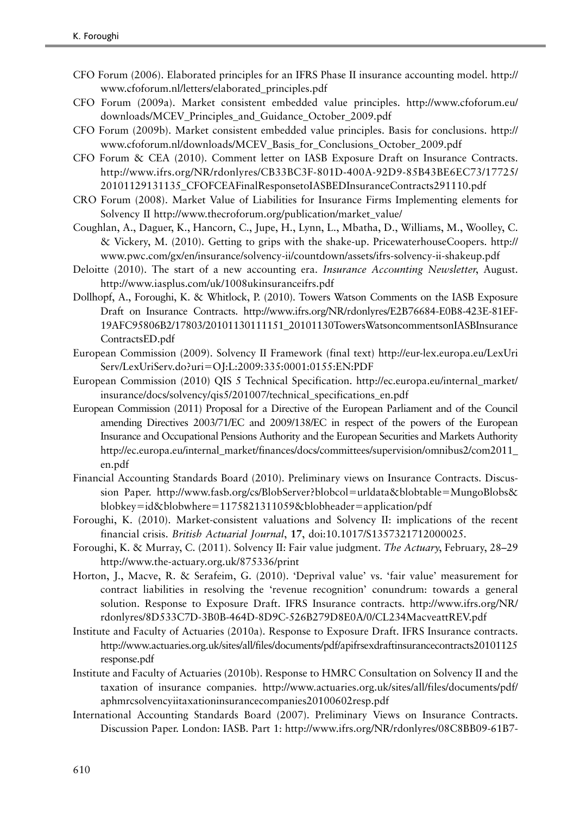- <span id="page-49-0"></span>CFO Forum (2006). Elaborated principles for an IFRS Phase II insurance accounting model. http:// www.cfoforum.nl/letters/elaborated\_principles.pdf
- CFO Forum (2009a). Market consistent embedded value principles. http://www.cfoforum.eu/ downloads/MCEV\_Principles\_and\_Guidance\_October\_2009.pdf
- CFO Forum (2009b). Market consistent embedded value principles. Basis for conclusions. http:// www.cfoforum.nl/downloads/MCEV\_Basis\_for\_Conclusions\_October\_2009.pdf
- CFO Forum & CEA (2010). Comment letter on IASB Exposure Draft on Insurance Contracts. http://www.ifrs.org/NR/rdonlyres/CB33BC3F-801D-400A-92D9-85B43BE6EC73/17725/ 20101129131135\_CFOFCEAFinalResponsetoIASBEDInsuranceContracts291110.pdf
- CRO Forum (2008). Market Value of Liabilities for Insurance Firms Implementing elements for Solvency II http://www.thecroforum.org/publication/market\_value/
- Coughlan, A., Daguer, K., Hancorn, C., Jupe, H., Lynn, L., Mbatha, D., Williams, M., Woolley, C. & Vickery, M. (2010). Getting to grips with the shake-up. PricewaterhouseCoopers. http:// www.pwc.com/gx/en/insurance/solvency-ii/countdown/assets/ifrs-solvency-ii-shakeup.pdf
- Deloitte (2010). The start of a new accounting era. Insurance Accounting Newsletter, August. http://www.iasplus.com/uk/1008ukinsuranceifrs.pdf
- Dollhopf, A., Foroughi, K. & Whitlock, P. (2010). Towers Watson Comments on the IASB Exposure Draft on Insurance Contracts. http://www.ifrs.org/NR/rdonlyres/E2B76684-E0B8-423E-81EF-19AFC95806B2/17803/20101130111151\_20101130TowersWatsoncommentsonIASBInsurance ContractsED.pdf
- European Commission (2009). Solvency II Framework (final text) http://eur-lex.europa.eu/LexUri Serv/LexUriServ.do?uri5OJ:L:2009:335:0001:0155:EN:PDF
- European Commission (2010) QIS 5 Technical Specification. http://ec.europa.eu/internal\_market/ insurance/docs/solvency/qis5/201007/technical\_specifications\_en.pdf
- European Commission (2011) Proposal for a Directive of the European Parliament and of the Council amending Directives 2003/71/EC and 2009/138/EC in respect of the powers of the European Insurance and Occupational Pensions Authority and the European Securities and Markets Authority http://ec.europa.eu/internal\_market/finances/docs/committees/supervision/omnibus2/com2011\_ en.pdf
- Financial Accounting Standards Board (2010). Preliminary views on Insurance Contracts. Discussion Paper. http://www.fasb.org/cs/BlobServer?blobcol=urldata&blobtable=MungoBlobs& blobkey=id&blobwhere=1175821311059&blobheader=application/pdf
- Foroughi, K. (2010). Market-consistent valuations and Solvency II: implications of the recent financial crisis. British Actuarial Journal, 17, doi:10.1017/S1357321712000025.
- Foroughi, K. & Murray, C. (2011). Solvency II: Fair value judgment. The Actuary, February, 28–29 http://www.the-actuary.org.uk/875336/print
- Horton, J., Macve, R. & Serafeim, G. (2010). 'Deprival value' vs. 'fair value' measurement for contract liabilities in resolving the 'revenue recognition' conundrum: towards a general solution. Response to Exposure Draft. IFRS Insurance contracts. http://www.ifrs.org/NR/ rdonlyres/8D533C7D-3B0B-464D-8D9C-526B279D8E0A/0/CL234MacveattREV.pdf
- Institute and Faculty of Actuaries (2010a). Response to Exposure Draft. IFRS Insurance contracts. http://www.actuaries.org.uk/sites/all/files/documents/pdf/apifrsexdraftinsurancecontracts20101125 response.pdf
- Institute and Faculty of Actuaries (2010b). Response to HMRC Consultation on Solvency II and the taxation of insurance companies. http://www.actuaries.org.uk/sites/all/files/documents/pdf/ aphmrcsolvencyiitaxationinsurancecompanies20100602resp.pdf
- International Accounting Standards Board (2007). Preliminary Views on Insurance Contracts. Discussion Paper. London: IASB. Part 1: http://www.ifrs.org/NR/rdonlyres/08C8BB09-61B7-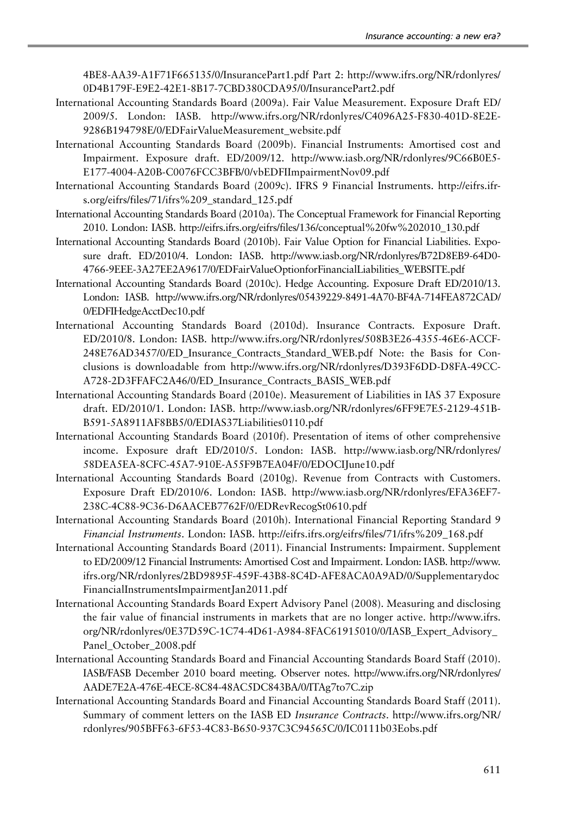<span id="page-50-0"></span>4BE8-AA39-A1F71F665135/0/InsurancePart1.pdf Part 2: http://www.ifrs.org/NR/rdonlyres/ 0D4B179F-E9E2-42E1-8B17-7CBD380CDA95/0/InsurancePart2.pdf

- International Accounting Standards Board (2009a). Fair Value Measurement. Exposure Draft ED/ 2009/5. London: IASB. http://www.ifrs.org/NR/rdonlyres/C4096A25-F830-401D-8E2E-9286B194798E/0/EDFairValueMeasurement\_website.pdf
- International Accounting Standards Board (2009b). Financial Instruments: Amortised cost and Impairment. Exposure draft. ED/2009/12. http://www.iasb.org/NR/rdonlyres/9C66B0E5- E177-4004-A20B-C0076FCC3BFB/0/vbEDFIImpairmentNov09.pdf
- International Accounting Standards Board (2009c). IFRS 9 Financial Instruments. http://eifrs.ifrs.org/eifrs/files/71/ifrs%209\_standard\_125.pdf
- International Accounting Standards Board (2010a). The Conceptual Framework for Financial Reporting 2010. London: IASB. http://eifrs.ifrs.org/eifrs/files/136/conceptual%20fw%202010\_130.pdf
- International Accounting Standards Board (2010b). Fair Value Option for Financial Liabilities. Exposure draft. ED/2010/4. London: IASB. http://www.iasb.org/NR/rdonlyres/B72D8EB9-64D0- 4766-9EEE-3A27EE2A9617/0/EDFairValueOptionforFinancialLiabilities\_WEBSITE.pdf
- International Accounting Standards Board (2010c). Hedge Accounting. Exposure Draft ED/2010/13. London: IASB. http://www.ifrs.org/NR/rdonlyres/05439229-8491-4A70-BF4A-714FEA872CAD/ 0/EDFIHedgeAcctDec10.pdf
- International Accounting Standards Board (2010d). Insurance Contracts. Exposure Draft. ED/2010/8. London: IASB. http://www.ifrs.org/NR/rdonlyres/508B3E26-4355-46E6-ACCF-248E76AD3457/0/ED\_Insurance\_Contracts\_Standard\_WEB.pdf Note: the Basis for Conclusions is downloadable from http://www.ifrs.org/NR/rdonlyres/D393F6DD-D8FA-49CC-A728-2D3FFAFC2A46/0/ED\_Insurance\_Contracts\_BASIS\_WEB.pdf
- International Accounting Standards Board (2010e). Measurement of Liabilities in IAS 37 Exposure draft. ED/2010/1. London: IASB. http://www.iasb.org/NR/rdonlyres/6FF9E7E5-2129-451B-B591-5A8911AF8BB5/0/EDIAS37Liabilities0110.pdf
- International Accounting Standards Board (2010f). Presentation of items of other comprehensive income. Exposure draft ED/2010/5. London: IASB. http://www.iasb.org/NR/rdonlyres/ 58DEA5EA-8CFC-45A7-910E-A55F9B7EA04F/0/EDOCIJune10.pdf
- International Accounting Standards Board (2010g). Revenue from Contracts with Customers. Exposure Draft ED/2010/6. London: IASB. http://www.iasb.org/NR/rdonlyres/EFA36EF7- 238C-4C88-9C36-D6AACEB7762F/0/EDRevRecogSt0610.pdf
- International Accounting Standards Board (2010h). International Financial Reporting Standard 9 Financial Instruments. London: IASB. http://eifrs.ifrs.org/eifrs/files/71/ifrs%209\_168.pdf
- International Accounting Standards Board (2011). Financial Instruments: Impairment. Supplement to ED/2009/12 Financial Instruments: Amortised Cost and Impairment. London: IASB. http://www. ifrs.org/NR/rdonlyres/2BD9895F-459F-43B8-8C4D-AFE8ACA0A9AD/0/Supplementarydoc FinancialInstrumentsImpairmentJan2011.pdf
- International Accounting Standards Board Expert Advisory Panel (2008). Measuring and disclosing the fair value of financial instruments in markets that are no longer active. http://www.ifrs. org/NR/rdonlyres/0E37D59C-1C74-4D61-A984-8FAC61915010/0/IASB\_Expert\_Advisory\_ Panel\_October\_2008.pdf
- International Accounting Standards Board and Financial Accounting Standards Board Staff (2010). IASB/FASB December 2010 board meeting. Observer notes. http://www.ifrs.org/NR/rdonlyres/ AADE7E2A-476E-4ECE-8C84-48AC5DC843BA/0/ITAg7to7C.zip
- International Accounting Standards Board and Financial Accounting Standards Board Staff (2011). Summary of comment letters on the IASB ED Insurance Contracts. http://www.ifrs.org/NR/ rdonlyres/905BFF63-6F53-4C83-B650-937C3C94565C/0/IC0111b03Eobs.pdf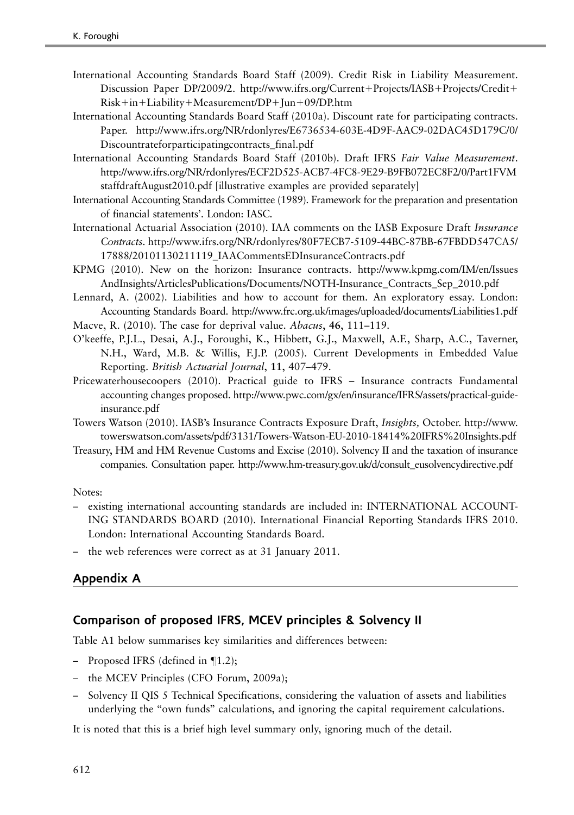- <span id="page-51-0"></span>International Accounting Standards Board Staff (2009). Credit Risk in Liability Measurement. Discussion Paper DP/2009/2. http://www.ifrs.org/Current+Projects/IASB+Projects/Credit+  $Risk+in+Liability+Measurement/DP+Jun+09/DP.htm$
- International Accounting Standards Board Staff (2010a). Discount rate for participating contracts. Paper. http://www.ifrs.org/NR/rdonlyres/E6736534-603E-4D9F-AAC9-02DAC45D179C/0/ Discountrateforparticipatingcontracts\_final.pdf
- International Accounting Standards Board Staff (2010b). Draft IFRS Fair Value Measurement. http://www.ifrs.org/NR/rdonlyres/ECF2D525-ACB7-4FC8-9E29-B9FB072EC8F2/0/Part1FVM staffdraftAugust2010.pdf [illustrative examples are provided separately]
- International Accounting Standards Committee (1989). Framework for the preparation and presentation of financial statements'. London: IASC.
- International Actuarial Association (2010). IAA comments on the IASB Exposure Draft Insurance Contracts. http://www.ifrs.org/NR/rdonlyres/80F7ECB7-5109-44BC-87BB-67FBDD547CA5/ 17888/20101130211119\_IAACommentsEDInsuranceContracts.pdf
- KPMG (2010). New on the horizon: Insurance contracts. http://www.kpmg.com/IM/en/Issues AndInsights/ArticlesPublications/Documents/NOTH-Insurance\_Contracts\_Sep\_2010.pdf
- Lennard, A. (2002). Liabilities and how to account for them. An exploratory essay. London: Accounting Standards Board. http://www.frc.org.uk/images/uploaded/documents/Liabilities1.pdf
- Macve, R. (2010). The case for deprival value. Abacus, 46, 111–119.
- O'keeffe, P.J.L., Desai, A.J., Foroughi, K., Hibbett, G.J., Maxwell, A.F., Sharp, A.C., Taverner, N.H., Ward, M.B. & Willis, F.J.P. (2005). Current Developments in Embedded Value Reporting. British Actuarial Journal, 11, 407–479.
- Pricewaterhousecoopers (2010). Practical guide to IFRS Insurance contracts Fundamental accounting changes proposed. http://www.pwc.com/gx/en/insurance/IFRS/assets/practical-guideinsurance.pdf
- Towers Watson (2010). IASB's Insurance Contracts Exposure Draft, Insights, October. http://www. towerswatson.com/assets/pdf/3131/Towers-Watson-EU-2010-18414%20IFRS%20Insights.pdf
- Treasury, HM and HM Revenue Customs and Excise (2010). Solvency II and the taxation of insurance companies. Consultation paper. http://www.hm-treasury.gov.uk/d/consult\_eusolvencydirective.pdf

Notes:

- existing international accounting standards are included in: INTERNATIONAL ACCOUNT-ING STANDARDS BOARD (2010). International Financial Reporting Standards IFRS 2010. London: International Accounting Standards Board.
- the web references were correct as at 31 January 2011.

### Appendix A

### Comparison of proposed IFRS, MCEV principles & Solvency II

[Table A1](#page-52-0) below summarises key similarities and differences between:

- Proposed IFRS (defined in  $\P$ 1.2);
- the MCEV Principles (CFO Forum, [2009a\)](#page-49-0);
- Solvency II QIS 5 Technical Specifications, considering the valuation of assets and liabilities underlying the "own funds" calculations, and ignoring the capital requirement calculations.

It is noted that this is a brief high level summary only, ignoring much of the detail.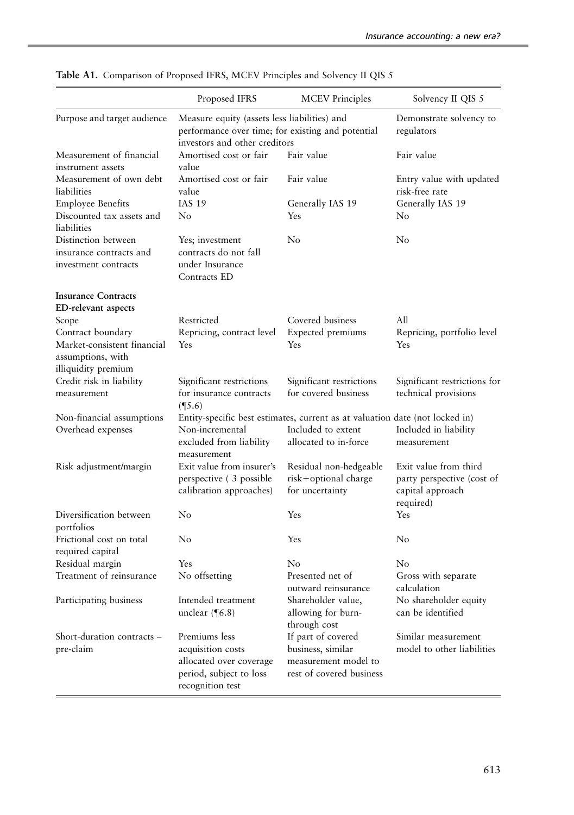|                                                                         | Proposed IFRS                                                                                                                      | <b>MCEV</b> Principles                                                                                                      | Solvency II QIS 5                                                                    |
|-------------------------------------------------------------------------|------------------------------------------------------------------------------------------------------------------------------------|-----------------------------------------------------------------------------------------------------------------------------|--------------------------------------------------------------------------------------|
| Purpose and target audience                                             | Measure equity (assets less liabilities) and<br>performance over time; for existing and potential<br>investors and other creditors |                                                                                                                             | Demonstrate solvency to<br>regulators                                                |
| Measurement of financial<br>instrument assets                           | Amortised cost or fair<br>value                                                                                                    | Fair value                                                                                                                  | Fair value                                                                           |
| Measurement of own debt<br>liabilities                                  | Amortised cost or fair<br>value                                                                                                    | Fair value                                                                                                                  | Entry value with updated<br>risk-free rate                                           |
| <b>Employee Benefits</b><br>Discounted tax assets and<br>liabilities    | <b>IAS 19</b><br>No                                                                                                                | Generally IAS 19<br>Yes                                                                                                     | Generally IAS 19<br>No                                                               |
| Distinction between<br>insurance contracts and<br>investment contracts  | Yes; investment<br>contracts do not fall<br>under Insurance<br>Contracts ED                                                        | No                                                                                                                          | No                                                                                   |
| <b>Insurance Contracts</b><br>ED-relevant aspects                       |                                                                                                                                    |                                                                                                                             |                                                                                      |
| Scope                                                                   | Restricted                                                                                                                         | Covered business                                                                                                            | All                                                                                  |
| Contract boundary                                                       | Repricing, contract level                                                                                                          | <b>Expected</b> premiums                                                                                                    | Repricing, portfolio level                                                           |
| Market-consistent financial<br>assumptions, with<br>illiquidity premium | Yes                                                                                                                                | Yes                                                                                                                         | Yes                                                                                  |
| Credit risk in liability<br>measurement                                 | Significant restrictions<br>for insurance contracts<br>$($ [5.6)                                                                   | Significant restrictions<br>for covered business                                                                            | Significant restrictions for<br>technical provisions                                 |
| Non-financial assumptions<br>Overhead expenses                          | Non-incremental<br>excluded from liability<br>measurement                                                                          | Entity-specific best estimates, current as at valuation date (not locked in)<br>Included to extent<br>allocated to in-force | Included in liability<br>measurement                                                 |
| Risk adjustment/margin                                                  | Exit value from insurer's<br>perspective (3 possible<br>calibration approaches)                                                    | Residual non-hedgeable<br>risk+optional charge<br>for uncertainty                                                           | Exit value from third<br>party perspective (cost of<br>capital approach<br>required) |
| Diversification between<br>portfolios                                   | No                                                                                                                                 | Yes                                                                                                                         | Yes                                                                                  |
| Frictional cost on total<br>required capital                            | No                                                                                                                                 | Yes                                                                                                                         | No                                                                                   |
| Residual margin                                                         | Yes                                                                                                                                | No                                                                                                                          | No                                                                                   |
| Treatment of reinsurance                                                | No offsetting                                                                                                                      | Presented net of<br>outward reinsurance                                                                                     | Gross with separate<br>calculation                                                   |
| Participating business                                                  | Intended treatment<br>unclear $(\sqrt{6.8})$                                                                                       | Shareholder value,<br>allowing for burn-<br>through cost                                                                    | No shareholder equity<br>can be identified                                           |
| Short-duration contracts -<br>pre-claim                                 | Premiums less<br>acquisition costs<br>allocated over coverage<br>period, subject to loss<br>recognition test                       | If part of covered<br>business, similar<br>measurement model to<br>rest of covered business                                 | Similar measurement<br>model to other liabilities                                    |

<span id="page-52-0"></span>Table A1. Comparison of Proposed IFRS, MCEV Principles and Solvency II QIS 5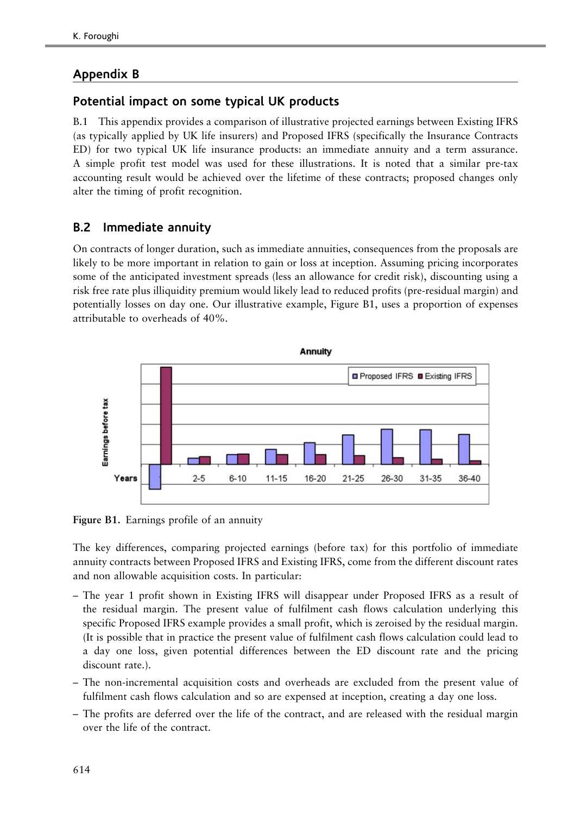## Appendix B

## Potential impact on some typical UK products

B.1 This appendix provides a comparison of illustrative projected earnings between Existing IFRS (as typically applied by UK life insurers) and Proposed IFRS (specifically the Insurance Contracts ED) for two typical UK life insurance products: an immediate annuity and a term assurance. A simple profit test model was used for these illustrations. It is noted that a similar pre-tax accounting result would be achieved over the lifetime of these contracts; proposed changes only alter the timing of profit recognition.

## B.2 Immediate annuity

On contracts of longer duration, such as immediate annuities, consequences from the proposals are likely to be more important in relation to gain or loss at inception. Assuming pricing incorporates some of the anticipated investment spreads (less an allowance for credit risk), discounting using a risk free rate plus illiquidity premium would likely lead to reduced profits (pre-residual margin) and potentially losses on day one. Our illustrative example, Figure B1, uses a proportion of expenses attributable to overheads of 40%.



Figure B1. Earnings profile of an annuity

The key differences, comparing projected earnings (before tax) for this portfolio of immediate annuity contracts between Proposed IFRS and Existing IFRS, come from the different discount rates and non allowable acquisition costs. In particular:

- The year 1 profit shown in Existing IFRS will disappear under Proposed IFRS as a result of the residual margin. The present value of fulfilment cash flows calculation underlying this specific Proposed IFRS example provides a small profit, which is zeroised by the residual margin. (It is possible that in practice the present value of fulfilment cash flows calculation could lead to a day one loss, given potential differences between the ED discount rate and the pricing discount rate.).
- The non-incremental acquisition costs and overheads are excluded from the present value of fulfilment cash flows calculation and so are expensed at inception, creating a day one loss.
- The profits are deferred over the life of the contract, and are released with the residual margin over the life of the contract.